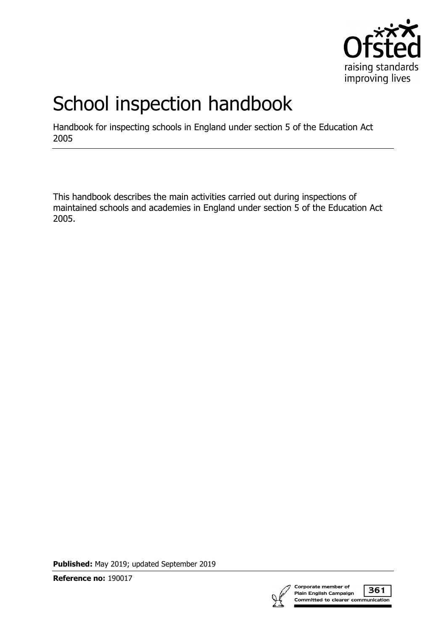

# School inspection handbook

Handbook for inspecting schools in England under section 5 of the Education Act 2005

This handbook describes the main activities carried out during inspections of maintained schools and academies in England under section 5 of the Education Act 2005.

**Published:** May 2019; updated September 2019

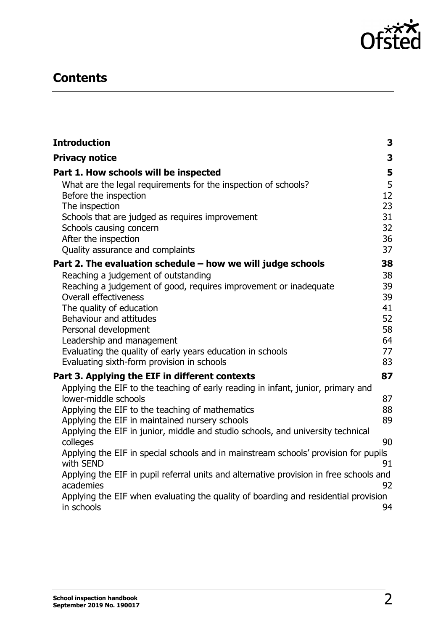

# **Contents**

<span id="page-1-0"></span>

| <b>Introduction</b>                                                                                 | 3        |
|-----------------------------------------------------------------------------------------------------|----------|
| <b>Privacy notice</b>                                                                               | 3        |
| Part 1. How schools will be inspected                                                               | 5        |
| What are the legal requirements for the inspection of schools?                                      | 5        |
| Before the inspection                                                                               | 12       |
| The inspection                                                                                      | 23       |
| Schools that are judged as requires improvement                                                     | 31       |
| Schools causing concern                                                                             | 32       |
| After the inspection<br>Quality assurance and complaints                                            | 36<br>37 |
|                                                                                                     |          |
| Part 2. The evaluation schedule $-$ how we will judge schools                                       | 38       |
| Reaching a judgement of outstanding                                                                 | 38<br>39 |
| Reaching a judgement of good, requires improvement or inadequate<br><b>Overall effectiveness</b>    | 39       |
| The quality of education                                                                            | 41       |
| Behaviour and attitudes                                                                             | 52       |
| Personal development                                                                                | 58       |
| Leadership and management                                                                           | 64       |
| Evaluating the quality of early years education in schools                                          | 77       |
| Evaluating sixth-form provision in schools                                                          | 83       |
| Part 3. Applying the EIF in different contexts                                                      | 87       |
| Applying the EIF to the teaching of early reading in infant, junior, primary and                    |          |
| lower-middle schools                                                                                | 87       |
| Applying the EIF to the teaching of mathematics                                                     | 88       |
| Applying the EIF in maintained nursery schools                                                      | 89       |
| Applying the EIF in junior, middle and studio schools, and university technical                     |          |
| colleges                                                                                            | 90       |
| Applying the EIF in special schools and in mainstream schools' provision for pupils<br>with SEND    | 91       |
| Applying the EIF in pupil referral units and alternative provision in free schools and<br>academies | 92       |
| Applying the EIF when evaluating the quality of boarding and residential provision<br>in schools    | 94       |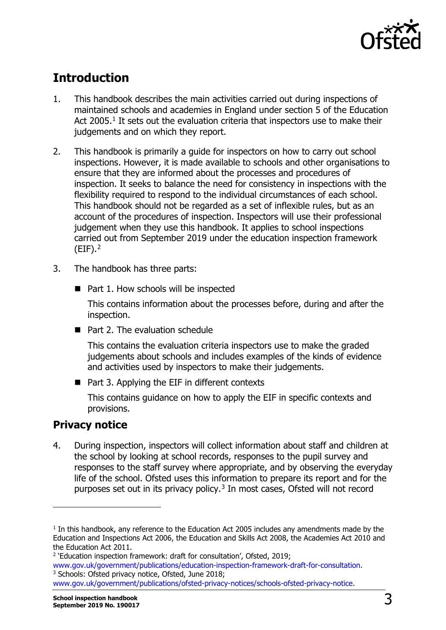

# **Introduction**

- 1. This handbook describes the main activities carried out during inspections of maintained schools and academies in England under section 5 of the Education Act 2005.<sup>[1](#page-2-1)</sup> It sets out the evaluation criteria that inspectors use to make their judgements and on which they report.
- 2. This handbook is primarily a guide for inspectors on how to carry out school inspections. However, it is made available to schools and other organisations to ensure that they are informed about the processes and procedures of inspection. It seeks to balance the need for consistency in inspections with the flexibility required to respond to the individual circumstances of each school. This handbook should not be regarded as a set of inflexible rules, but as an account of the procedures of inspection. Inspectors will use their professional judgement when they use this handbook. It applies to school inspections carried out from September 2019 under the education inspection framework  $(EIF).<sup>2</sup>$  $(EIF).<sup>2</sup>$  $(EIF).<sup>2</sup>$
- 3. The handbook has three parts:
	- Part 1. How schools will be inspected

This contains information about the processes before, during and after the inspection.

 $\blacksquare$  Part 2. The evaluation schedule

This contains the evaluation criteria inspectors use to make the graded judgements about schools and includes examples of the kinds of evidence and activities used by inspectors to make their judgements.

■ Part 3. Applying the EIF in different contexts

This contains guidance on how to apply the EIF in specific contexts and provisions.

## <span id="page-2-0"></span>**Privacy notice**

-

4. During inspection, inspectors will collect information about staff and children at the school by looking at school records, responses to the pupil survey and responses to the staff survey where appropriate, and by observing the everyday life of the school. Ofsted uses this information to prepare its report and for the purposes set out in its privacy policy, $3$  In most cases, Ofsted will not record

<span id="page-2-1"></span> $<sup>1</sup>$  In this handbook, any reference to the Education Act 2005 includes any amendments made by the</sup> Education and Inspections Act 2006, the Education and Skills Act 2008, the Academies Act 2010 and the Education Act 2011.

<span id="page-2-2"></span><sup>&</sup>lt;sup>2</sup> 'Education inspection framework: draft for consultation', Ofsted, 2019;

[www.gov.uk/government/publications/education-inspection-framework-draft-for-consultation.](http://www.gov.uk/government/publications/education-inspection-framework-draft-for-consultation)<br><sup>3</sup> Schools: Ofsted privacy notice, Ofsted, June 2018;

<span id="page-2-3"></span>[www.gov.uk/government/publications/ofsted-privacy-notices/schools-ofsted-privacy-notice.](https://www.gov.uk/government/publications/ofsted-privacy-notices/schools-ofsted-privacy-notice)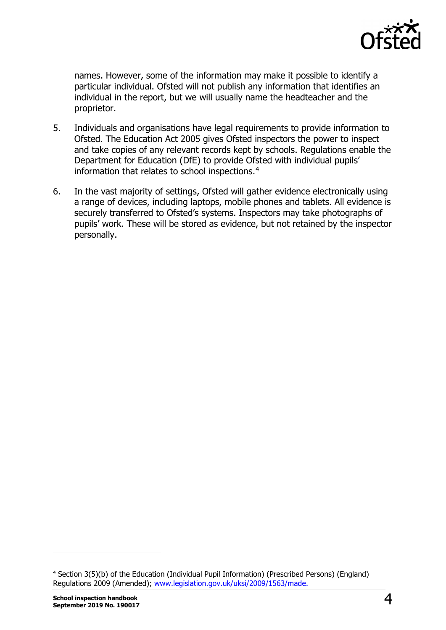

names. However, some of the information may make it possible to identify a particular individual. Ofsted will not publish any information that identifies an individual in the report, but we will usually name the headteacher and the proprietor.

- 5. Individuals and organisations have legal requirements to provide information to Ofsted. The Education Act 2005 gives Ofsted inspectors the power to inspect and take copies of any relevant records kept by schools. Regulations enable the Department for Education (DfE) to provide Ofsted with individual pupils' information that relates to school inspections.<sup>[4](#page-3-0)</sup>
- 6. In the vast majority of settings, Ofsted will gather evidence electronically using a range of devices, including laptops, mobile phones and tablets. All evidence is securely transferred to Ofsted's systems. Inspectors may take photographs of pupils' work. These will be stored as evidence, but not retained by the inspector personally.

<span id="page-3-0"></span><sup>4</sup> Section 3(5)(b) of the Education (Individual Pupil Information) (Prescribed Persons) (England) Regulations 2009 (Amended); www.legislation.gov.uk/uksi/2009/1563/made.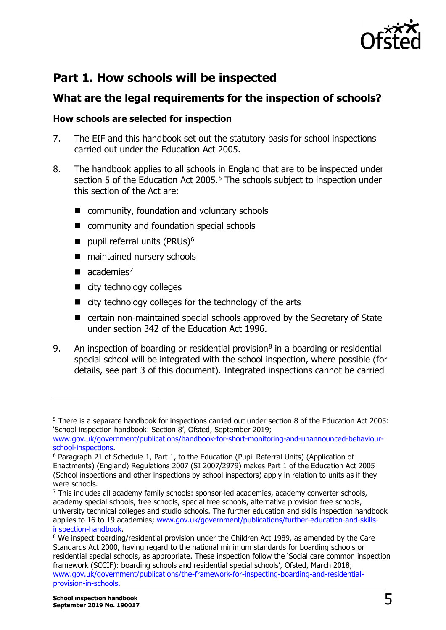

## <span id="page-4-0"></span>**Part 1. How schools will be inspected**

## <span id="page-4-1"></span>**What are the legal requirements for the inspection of schools?**

## **How schools are selected for inspection**

- 7. The EIF and this handbook set out the statutory basis for school inspections carried out under the Education Act 2005.
- 8. The handbook applies to all schools in England that are to be inspected under section [5](#page-4-2) of the Education Act 2005.<sup>5</sup> The schools subject to inspection under this section of the Act are:
	- community, foundation and voluntary schools
	- community and foundation special schools
	- pupil referral units (PRUs)<sup>[6](#page-4-3)</sup>
	- maintained nursery schools
	- $\blacksquare$  academies<sup>[7](#page-4-4)</sup>

- city technology colleges
- $\blacksquare$  city technology colleges for the technology of the arts
- certain non-maintained special schools approved by the Secretary of State under section 342 of the Education Act 1996.
- 9. An inspection of boarding or residential provision<sup>[8](#page-4-5)</sup> in a boarding or residential special school will be integrated with the school inspection, where possible (for details, see part 3 of this document). Integrated inspections cannot be carried

<span id="page-4-2"></span><sup>5</sup> There is a separate handbook for inspections carried out under section 8 of the Education Act 2005: 'School inspection handbook: Section 8', Ofsted, September 2019;

www.gov.uk/government/publications/handbook-for-short-monitoring-and-unannounced-behaviour-<br>school-inspections.

<span id="page-4-3"></span> $6$  Paragraph 21 of Schedule 1, Part 1, to the Education (Pupil Referral Units) (Application of Enactments) (England) Regulations 2007 (SI 2007/2979) makes Part 1 of the Education Act 2005 (School inspections and other inspections by school inspectors) apply in relation to units as if they were schools.

<span id="page-4-4"></span><sup>&</sup>lt;sup>7</sup> This includes all academy family schools: sponsor-led academies, academy converter schools, academy special schools, free schools, special free schools, alternative provision free schools, university technical colleges and studio schools. The further education and skills inspection handbook applies to 16 to 19 academies; www.gov.uk/government/publications/further-education-and-skills-<br>inspection-handbook.

<span id="page-4-5"></span><sup>&</sup>lt;sup>8</sup> We inspect boarding/residential provision under the Children Act 1989, as amended by the Care Standards Act 2000, having regard to the national minimum standards for boarding schools or residential special schools, as appropriate. These inspection follow the 'Social care common inspection framework (SCCIF): boarding schools and residential special schools', Ofsted, March 2018; [www.gov.uk/government/publications/the-framework-for-inspecting-boarding-and-residential](http://www.gov.uk/government/publications/the-framework-for-inspecting-boarding-and-residential-provision-in-schools)[provision-in-schools.](http://www.gov.uk/government/publications/the-framework-for-inspecting-boarding-and-residential-provision-in-schools)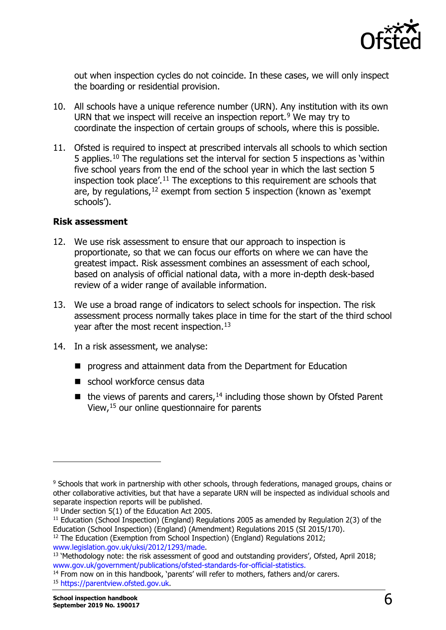

out when inspection cycles do not coincide. In these cases, we will only inspect the boarding or residential provision.

- 10. All schools have a unique reference number (URN). Any institution with its own URN that we inspect will receive an inspection report.<sup>[9](#page-5-0)</sup> We may try to coordinate the inspection of certain groups of schools, where this is possible.
- 11. Ofsted is required to inspect at prescribed intervals all schools to which section 5 applies.[10](#page-5-1) The regulations set the interval for section 5 inspections as 'within five school years from the end of the school year in which the last section 5 inspection took place'.<sup>[11](#page-5-2)</sup> The exceptions to this requirement are schools that are, by regulations,  $12$  exempt from section 5 inspection (known as 'exempt schools').

#### **Risk assessment**

- 12. We use risk assessment to ensure that our approach to inspection is proportionate, so that we can focus our efforts on where we can have the greatest impact. Risk assessment combines an assessment of each school, based on analysis of official national data, with a more in-depth desk-based review of a wider range of available information.
- 13. We use a broad range of indicators to select schools for inspection. The risk assessment process normally takes place in time for the start of the third school year after the most recent inspection.<sup>[13](#page-5-4)</sup>
- 14. In a risk assessment, we analyse:
	- **P** progress and attainment data from the Department for Education
	- school workforce census data
	- $\blacksquare$  the views of parents and carers,<sup>[14](#page-5-5)</sup> including those shown by Ofsted Parent View,[15](#page-5-6) our online questionnaire for parents

<span id="page-5-0"></span><sup>9</sup> Schools that work in partnership with other schools, through federations, managed groups, chains or other collaborative activities, but that have a separate URN will be inspected as individual schools and separate inspection reports will be published.

<span id="page-5-1"></span><sup>&</sup>lt;sup>10</sup> Under section 5(1) of the Education Act 2005.

<span id="page-5-2"></span><sup>&</sup>lt;sup>11</sup> Education (School Inspection) (England) Regulations 2005 as amended by Regulation 2(3) of the Education (School Inspection) (England) (Amendment) Regulations 2015 (SI 2015/170).

<span id="page-5-3"></span><sup>&</sup>lt;sup>12</sup> The Education (Exemption from School Inspection) (England) Regulations 2012; www.legislation.gov.uk/uksi/2012/1293/made.

<span id="page-5-4"></span><sup>&</sup>lt;sup>13</sup> 'Methodology note: the risk assessment of good and outstanding providers', Ofsted, April 2018;<br>www.gov.uk/government/publications/ofsted-standards-for-official-statistics.

<span id="page-5-6"></span><span id="page-5-5"></span><sup>&</sup>lt;sup>14</sup> From now on in this handbook, 'parents' will refer to mothers, fathers and/or carers. <sup>15</sup> [https://parentview.ofsted.gov.uk.](https://parentview.ofsted.gov.uk/)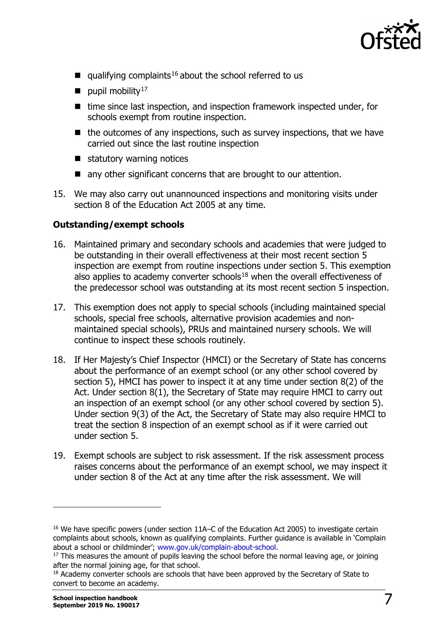

- qualifying complaints<sup>[16](#page-6-0)</sup> about the school referred to us
- pupil mobility<sup>[17](#page-6-1)</sup>
- $\blacksquare$  time since last inspection, and inspection framework inspected under, for schools exempt from routine inspection.
- $\blacksquare$  the outcomes of any inspections, such as survey inspections, that we have carried out since the last routine inspection
- $\blacksquare$  statutory warning notices
- any other significant concerns that are brought to our attention.
- 15. We may also carry out unannounced inspections and monitoring visits under section 8 of the Education Act 2005 at any time.

## **Outstanding/exempt schools**

- 16. Maintained primary and secondary schools and academies that were judged to be outstanding in their overall effectiveness at their most recent section 5 inspection are exempt from routine inspections under section 5. This exemption also applies to academy converter schools $18$  when the overall effectiveness of the predecessor school was outstanding at its most recent section 5 inspection.
- 17. This exemption does not apply to special schools (including maintained special schools, special free schools, alternative provision academies and nonmaintained special schools), PRUs and maintained nursery schools. We will continue to inspect these schools routinely.
- 18. If Her Majesty's Chief Inspector (HMCI) or the Secretary of State has concerns about the performance of an exempt school (or any other school covered by section 5), HMCI has power to inspect it at any time under section 8(2) of the Act. Under section 8(1), the Secretary of State may require HMCI to carry out an inspection of an exempt school (or any other school covered by section 5). Under section 9(3) of the Act, the Secretary of State may also require HMCI to treat the section 8 inspection of an exempt school as if it were carried out under section 5.
- 19. Exempt schools are subject to risk assessment. If the risk assessment process raises concerns about the performance of an exempt school, we may inspect it under section 8 of the Act at any time after the risk assessment. We will

<span id="page-6-0"></span><sup>16</sup> We have specific powers (under section 11A–C of the Education Act 2005) to investigate certain complaints about schools, known as qualifying complaints. Further guidance is available in 'Complain about a school or childminder'; [www.gov.uk/complain-about-school.](http://www.gov.uk/complain-about-school)

<span id="page-6-1"></span> $17$  This measures the amount of pupils leaving the school before the normal leaving age, or joining after the normal joining age, for that school.

<span id="page-6-2"></span><sup>&</sup>lt;sup>18</sup> Academy converter schools are schools that have been approved by the Secretary of State to convert to become an academy.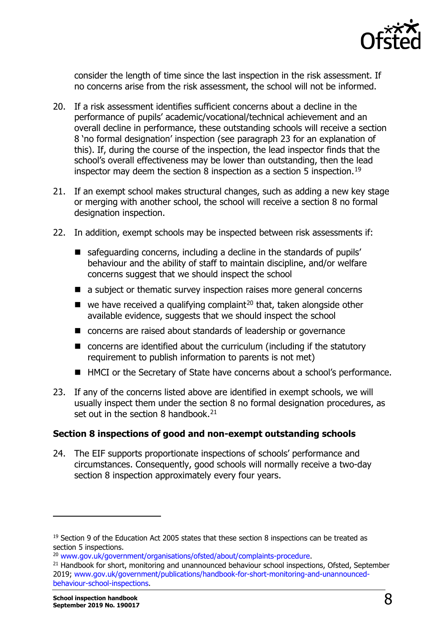

consider the length of time since the last inspection in the risk assessment. If no concerns arise from the risk assessment, the school will not be informed.

- 20. If a risk assessment identifies sufficient concerns about a decline in the performance of pupils' academic/vocational/technical achievement and an overall decline in performance, these outstanding schools will receive a section 8 'no formal designation' inspection (see paragraph 23 for an explanation of this). If, during the course of the inspection, the lead inspector finds that the school's overall effectiveness may be lower than outstanding, then the lead inspector may deem the section 8 inspection as a section 5 inspection.<sup>[19](#page-7-0)</sup>
- 21. If an exempt school makes structural changes, such as adding a new key stage or merging with another school, the school will receive a section 8 no formal designation inspection.
- 22. In addition, exempt schools may be inspected between risk assessments if:
	- safeguarding concerns, including a decline in the standards of pupils' behaviour and the ability of staff to maintain discipline, and/or welfare concerns suggest that we should inspect the school
	- a subject or thematic survey inspection raises more general concerns
	- $\blacksquare$  we have received a qualifying complaint<sup>[20](#page-7-1)</sup> that, taken alongside other available evidence, suggests that we should inspect the school
	- concerns are raised about standards of leadership or governance
	- $\blacksquare$  concerns are identified about the curriculum (including if the statutory requirement to publish information to parents is not met)
	- HMCI or the Secretary of State have concerns about a school's performance.
- 23. If any of the concerns listed above are identified in exempt schools, we will usually inspect them under the section 8 no formal designation procedures, as set out in the section 8 handbook.<sup>21</sup>

#### **Section 8 inspections of good and non-exempt outstanding schools**

24. The EIF supports proportionate inspections of schools' performance and circumstances. Consequently, good schools will normally receive a two-day section 8 inspection approximately every four years.

<span id="page-7-0"></span><sup>&</sup>lt;sup>19</sup> Section 9 of the Education Act 2005 states that these section 8 inspections can be treated as section 5 inspections.<br><sup>20</sup> www.gov.uk/government/organisations/ofsted/about/complaints-procedure.

<span id="page-7-2"></span><span id="page-7-1"></span><sup>&</sup>lt;sup>21</sup> Handbook for short, monitoring and unannounced behaviour school inspections, Ofsted, September 2019; [www.gov.uk/government/publications/handbook-for-short-monitoring-and-unannounced](http://www.gov.uk/government/publications/handbook-for-short-monitoring-and-unannounced-behaviour-school-inspections)[behaviour-school-inspections.](http://www.gov.uk/government/publications/handbook-for-short-monitoring-and-unannounced-behaviour-school-inspections)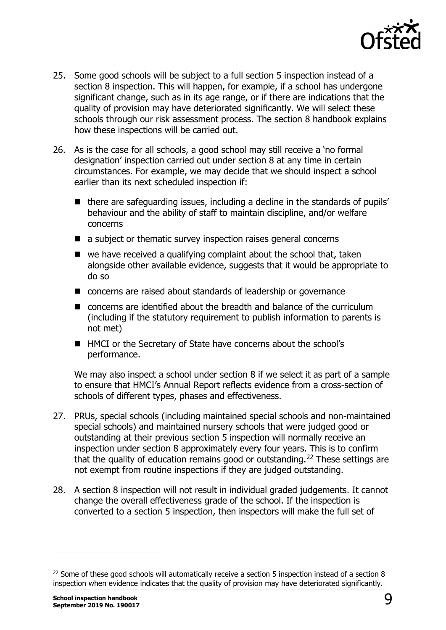

- 25. Some good schools will be subject to a full section 5 inspection instead of a section 8 inspection. This will happen, for example, if a school has undergone significant change, such as in its age range, or if there are indications that the quality of provision may have deteriorated significantly. We will select these schools through our risk assessment process. The section 8 handbook explains how these inspections will be carried out.
- 26. As is the case for all schools, a good school may still receive a 'no formal designation' inspection carried out under section 8 at any time in certain circumstances. For example, we may decide that we should inspect a school earlier than its next scheduled inspection if:
	- $\blacksquare$  there are safeguarding issues, including a decline in the standards of pupils' behaviour and the ability of staff to maintain discipline, and/or welfare concerns
	- a subject or thematic survey inspection raises general concerns
	- $\blacksquare$  we have received a qualifying complaint about the school that, taken alongside other available evidence, suggests that it would be appropriate to do so
	- concerns are raised about standards of leadership or governance
	- concerns are identified about the breadth and balance of the curriculum (including if the statutory requirement to publish information to parents is not met)
	- HMCI or the Secretary of State have concerns about the school's performance.

We may also inspect a school under section 8 if we select it as part of a sample to ensure that HMCI's Annual Report reflects evidence from a cross-section of schools of different types, phases and effectiveness.

- 27. PRUs, special schools (including maintained special schools and non-maintained special schools) and maintained nursery schools that were judged good or outstanding at their previous section 5 inspection will normally receive an inspection under section 8 approximately every four years. This is to confirm that the quality of education remains good or outstanding.<sup>[22](#page-8-0)</sup> These settings are not exempt from routine inspections if they are judged outstanding.
- 28. A section 8 inspection will not result in individual graded judgements. It cannot change the overall effectiveness grade of the school. If the inspection is converted to a section 5 inspection, then inspectors will make the full set of

<span id="page-8-0"></span><sup>&</sup>lt;sup>22</sup> Some of these good schools will automatically receive a section 5 inspection instead of a section 8 inspection when evidence indicates that the quality of provision may have deteriorated significantly.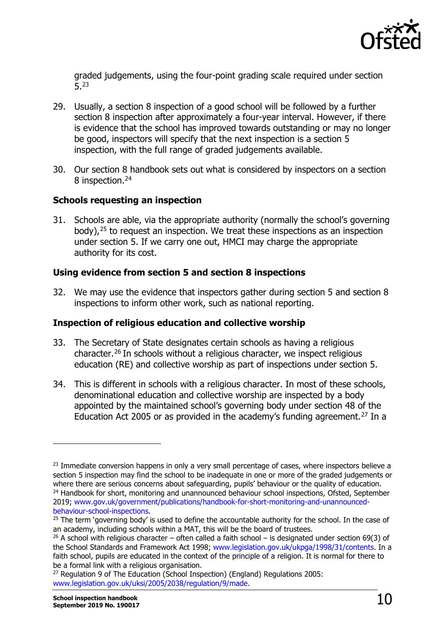

graded judgements, using the four-point grading scale required under section 5.[23](#page-9-0)

- 29. Usually, a section 8 inspection of a good school will be followed by a further section 8 inspection after approximately a four-year interval. However, if there is evidence that the school has improved towards outstanding or may no longer be good, inspectors will specify that the next inspection is a section 5 inspection, with the full range of graded judgements available.
- 30. Our section 8 handbook sets out what is considered by inspectors on a section 8 inspection.<sup>[24](#page-9-1)</sup>

## **Schools requesting an inspection**

31. Schools are able, via the appropriate authority (normally the school's governing body),[25](#page-9-2) to request an inspection. We treat these inspections as an inspection under section 5. If we carry one out, HMCI may charge the appropriate authority for its cost.

## **Using evidence from section 5 and section 8 inspections**

32. We may use the evidence that inspectors gather during section 5 and section 8 inspections to inform other work, such as national reporting.

## **Inspection of religious education and collective worship**

- 33. The Secretary of State designates certain schools as having a religious character.[26](#page-9-3) In schools without a religious character, we inspect religious education (RE) and collective worship as part of inspections under section 5.
- 34. This is different in schools with a religious character. In most of these schools, denominational education and collective worship are inspected by a body appointed by the maintained school's governing body under section 48 of the Education Act 2005 or as provided in the academy's funding agreement.<sup>[27](#page-9-4)</sup> In a

<span id="page-9-4"></span><sup>27</sup> Regulation 9 of The Education (School Inspection) (England) Regulations 2005: [www.legislation.gov.uk/uksi/2005/2038/regulation/9/made.](http://www.legislation.gov.uk/uksi/2005/2038/regulation/9/made)

<span id="page-9-0"></span><sup>&</sup>lt;sup>23</sup> Immediate conversion happens in only a very small percentage of cases, where inspectors believe a section 5 inspection may find the school to be inadequate in one or more of the graded judgements or where there are serious concerns about safeguarding, pupils' behaviour or the quality of education. <sup>24</sup> Handbook for short, monitoring and unannounced behaviour school inspections, Ofsted, September

<span id="page-9-1"></span><sup>2019;</sup> www.gov.uk/government/publications/handbook-for-short-monitoring-and-unannounced-<br>behaviour-school-inspections.

<span id="page-9-2"></span><sup>&</sup>lt;sup>25</sup> The term 'governing body' is used to define the accountable authority for the school. In the case of an academy, including schools within a MAT, this will be the board of trustees.

<span id="page-9-3"></span><sup>&</sup>lt;sup>26</sup> A school with religious character – often called a faith school – is designated under section 69(3) of the School Standards and Framework Act 1998; [www.legislation.gov.uk/ukpga/1998/31/contents.](http://www.legislation.gov.uk/ukpga/1998/31/contents) In a faith school, pupils are educated in the context of the principle of a religion. It is normal for there to be a formal link with a religious organisation.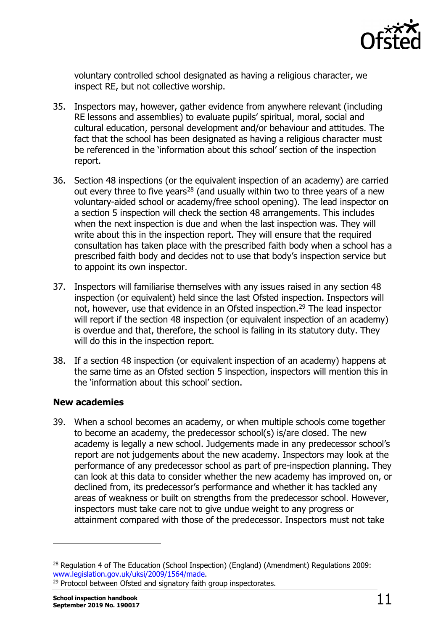

voluntary controlled school designated as having a religious character, we inspect RE, but not collective worship.

- 35. Inspectors may, however, gather evidence from anywhere relevant (including RE lessons and assemblies) to evaluate pupils' spiritual, moral, social and cultural education, personal development and/or behaviour and attitudes. The fact that the school has been designated as having a religious character must be referenced in the 'information about this school' section of the inspection report.
- 36. Section 48 inspections (or the equivalent inspection of an academy) are carried out every three to five years<sup>[28](#page-10-0)</sup> (and usually within two to three years of a new voluntary-aided school or academy/free school opening). The lead inspector on a section 5 inspection will check the section 48 arrangements. This includes when the next inspection is due and when the last inspection was. They will write about this in the inspection report. They will ensure that the required consultation has taken place with the prescribed faith body when a school has a prescribed faith body and decides not to use that body's inspection service but to appoint its own inspector.
- 37. Inspectors will familiarise themselves with any issues raised in any section 48 inspection (or equivalent) held since the last Ofsted inspection. Inspectors will not, however, use that evidence in an Ofsted inspection.<sup>[29](#page-10-1)</sup> The lead inspector will report if the section 48 inspection (or equivalent inspection of an academy) is overdue and that, therefore, the school is failing in its statutory duty. They will do this in the inspection report.
- 38. If a section 48 inspection (or equivalent inspection of an academy) happens at the same time as an Ofsted section 5 inspection, inspectors will mention this in the 'information about this school' section.

## **New academies**

39. When a school becomes an academy, or when multiple schools come together to become an academy, the predecessor school(s) is/are closed. The new academy is legally a new school. Judgements made in any predecessor school's report are not judgements about the new academy. Inspectors may look at the performance of any predecessor school as part of pre-inspection planning. They can look at this data to consider whether the new academy has improved on, or declined from, its predecessor's performance and whether it has tackled any areas of weakness or built on strengths from the predecessor school. However, inspectors must take care not to give undue weight to any progress or attainment compared with those of the predecessor. Inspectors must not take

<span id="page-10-0"></span><sup>&</sup>lt;sup>28</sup> Regulation 4 of The Education (School Inspection) (England) (Amendment) Regulations 2009: www.legislation.gov.uk/uksi/2009/1564/made.

<span id="page-10-1"></span><sup>&</sup>lt;sup>29</sup> Protocol between Ofsted and signatory faith group inspectorates.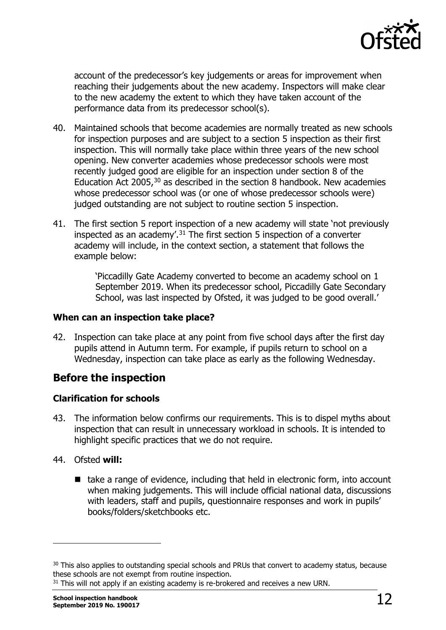

account of the predecessor's key judgements or areas for improvement when reaching their judgements about the new academy. Inspectors will make clear to the new academy the extent to which they have taken account of the performance data from its predecessor school(s).

- 40. Maintained schools that become academies are normally treated as new schools for inspection purposes and are subject to a section 5 inspection as their first inspection. This will normally take place within three years of the new school opening. New converter academies whose predecessor schools were most recently judged good are eligible for an inspection under section 8 of the Education Act 2005,  $30$  as described in the section 8 handbook. New academies whose predecessor school was (or one of whose predecessor schools were) judged outstanding are not subject to routine section 5 inspection.
- 41. The first section 5 report inspection of a new academy will state 'not previously inspected as an academy'.<sup>[31](#page-11-2)</sup> The first section 5 inspection of a converter academy will include, in the context section, a statement that follows the example below:

'Piccadilly Gate Academy converted to become an academy school on 1 September 2019. When its predecessor school, Piccadilly Gate Secondary School, was last inspected by Ofsted, it was judged to be good overall.'

#### **When can an inspection take place?**

42. Inspection can take place at any point from five school days after the first day pupils attend in Autumn term. For example, if pupils return to school on a Wednesday, inspection can take place as early as the following Wednesday.

## <span id="page-11-0"></span>**Before the inspection**

## **Clarification for schools**

- 43. The information below confirms our requirements. This is to dispel myths about inspection that can result in unnecessary workload in schools. It is intended to highlight specific practices that we do not require.
- 44. Ofsted **will:**

1

 $\blacksquare$  take a range of evidence, including that held in electronic form, into account when making judgements. This will include official national data, discussions with leaders, staff and pupils, questionnaire responses and work in pupils' books/folders/sketchbooks etc.

<span id="page-11-1"></span><sup>&</sup>lt;sup>30</sup> This also applies to outstanding special schools and PRUs that convert to academy status, because these schools are not exempt from routine inspection.

<span id="page-11-2"></span><sup>&</sup>lt;sup>31</sup> This will not apply if an existing academy is re-brokered and receives a new URN.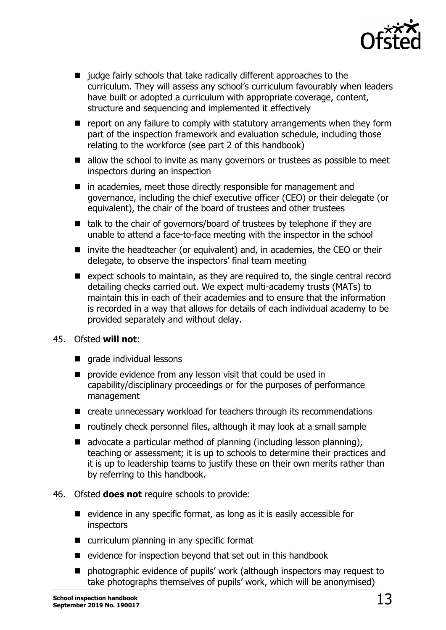

- judge fairly schools that take radically different approaches to the curriculum. They will assess any school's curriculum favourably when leaders have built or adopted a curriculum with appropriate coverage, content, structure and sequencing and implemented it effectively
- $\blacksquare$  report on any failure to comply with statutory arrangements when they form part of the inspection framework and evaluation schedule, including those relating to the workforce (see part 2 of this handbook)
- allow the school to invite as many governors or trustees as possible to meet inspectors during an inspection
- in academies, meet those directly responsible for management and governance, including the chief executive officer (CEO) or their delegate (or equivalent), the chair of the board of trustees and other trustees
- $\blacksquare$  talk to the chair of governors/board of trustees by telephone if they are unable to attend a face-to-face meeting with the inspector in the school
- invite the headteacher (or equivalent) and, in academies, the CEO or their delegate, to observe the inspectors' final team meeting
- $\blacksquare$  expect schools to maintain, as they are required to, the single central record detailing checks carried out. We expect multi-academy trusts (MATs) to maintain this in each of their academies and to ensure that the information is recorded in a way that allows for details of each individual academy to be provided separately and without delay.

#### 45. Ofsted **will not**:

- **qrade individual lessons**
- **P** provide evidence from any lesson visit that could be used in capability/disciplinary proceedings or for the purposes of performance management
- create unnecessary workload for teachers through its recommendations
- $\blacksquare$  routinely check personnel files, although it may look at a small sample
- $\blacksquare$  advocate a particular method of planning (including lesson planning), teaching or assessment; it is up to schools to determine their practices and it is up to leadership teams to justify these on their own merits rather than by referring to this handbook.
- 46. Ofsted **does not** require schools to provide:
	- $\blacksquare$  evidence in any specific format, as long as it is easily accessible for inspectors
	- curriculum planning in any specific format
	- $\blacksquare$  evidence for inspection beyond that set out in this handbook
	- **n** photographic evidence of pupils' work (although inspectors may request to take photographs themselves of pupils' work, which will be anonymised)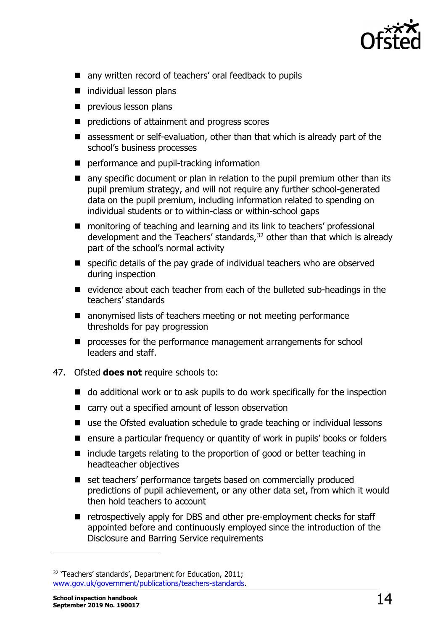

- any written record of teachers' oral feedback to pupils
- individual lesson plans
- **previous lesson plans**
- **P** predictions of attainment and progress scores
- assessment or self-evaluation, other than that which is already part of the school's business processes
- **P** performance and pupil-tracking information
- **E** any specific document or plan in relation to the pupil premium other than its pupil premium strategy, and will not require any further school-generated data on the pupil premium, including information related to spending on individual students or to within-class or within-school gaps
- monitoring of teaching and learning and its link to teachers' professional development and the Teachers' standards,<sup>[32](#page-13-0)</sup> other than that which is already part of the school's normal activity
- **E** specific details of the pay grade of individual teachers who are observed during inspection
- $\blacksquare$  evidence about each teacher from each of the bulleted sub-headings in the teachers' standards
- anonymised lists of teachers meeting or not meeting performance thresholds for pay progression
- **P** processes for the performance management arrangements for school leaders and staff.
- 47. Ofsted **does not** require schools to:
	- $\blacksquare$  do additional work or to ask pupils to do work specifically for the inspection
	- carry out a specified amount of lesson observation
	- use the Ofsted evaluation schedule to grade teaching or individual lessons
	- ensure a particular frequency or quantity of work in pupils' books or folders
	- $\blacksquare$  include targets relating to the proportion of good or better teaching in headteacher objectives
	- set teachers' performance targets based on commercially produced predictions of pupil achievement, or any other data set, from which it would then hold teachers to account
	- retrospectively apply for DBS and other pre-employment checks for staff appointed before and continuously employed since the introduction of the Disclosure and Barring Service requirements

<span id="page-13-0"></span><sup>&</sup>lt;sup>32</sup> 'Teachers' standards', Department for Education, 2011; [www.gov.uk/government/publications/teachers-standards.](http://www.gov.uk/government/publications/teachers-standards)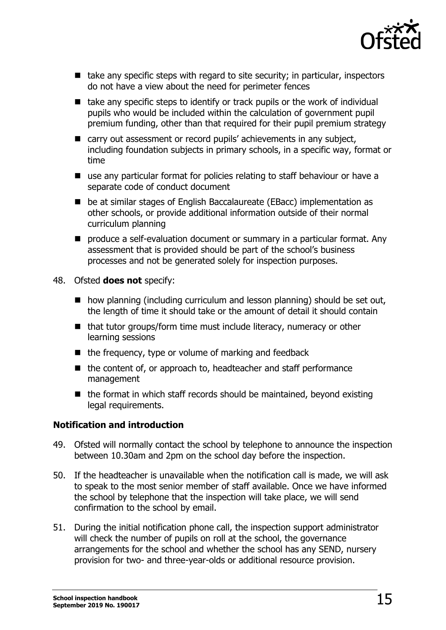

- $\blacksquare$  take any specific steps with regard to site security; in particular, inspectors do not have a view about the need for perimeter fences
- $\blacksquare$  take any specific steps to identify or track pupils or the work of individual pupils who would be included within the calculation of government pupil premium funding, other than that required for their pupil premium strategy
- carry out assessment or record pupils' achievements in any subject, including foundation subjects in primary schools, in a specific way, format or time
- use any particular format for policies relating to staff behaviour or have a separate code of conduct document
- be at similar stages of English Baccalaureate (EBacc) implementation as other schools, or provide additional information outside of their normal curriculum planning
- produce a self-evaluation document or summary in a particular format. Any assessment that is provided should be part of the school's business processes and not be generated solely for inspection purposes.
- 48. Ofsted **does not** specify:
	- $\blacksquare$  how planning (including curriculum and lesson planning) should be set out, the length of time it should take or the amount of detail it should contain
	- $\blacksquare$  that tutor groups/form time must include literacy, numeracy or other learning sessions
	- $\blacksquare$  the frequency, type or volume of marking and feedback
	- $\blacksquare$  the content of, or approach to, headteacher and staff performance management
	- $\blacksquare$  the format in which staff records should be maintained, beyond existing legal requirements.

## **Notification and introduction**

- 49. Ofsted will normally contact the school by telephone to announce the inspection between 10.30am and 2pm on the school day before the inspection.
- 50. If the headteacher is unavailable when the notification call is made, we will ask to speak to the most senior member of staff available. Once we have informed the school by telephone that the inspection will take place, we will send confirmation to the school by email.
- 51. During the initial notification phone call, the inspection support administrator will check the number of pupils on roll at the school, the governance arrangements for the school and whether the school has any SEND, nursery provision for two- and three-year-olds or additional resource provision.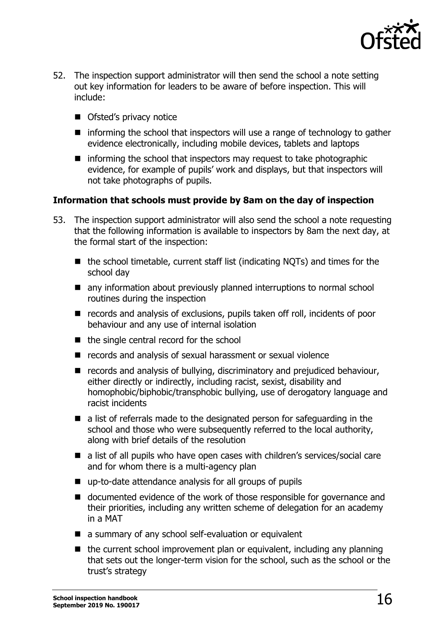

- 52. The inspection support administrator will then send the school a note setting out key information for leaders to be aware of before inspection. This will include:
	- Ofsted's privacy notice
	- $\blacksquare$  informing the school that inspectors will use a range of technology to gather evidence electronically, including mobile devices, tablets and laptops
	- $\blacksquare$  informing the school that inspectors may request to take photographic evidence, for example of pupils' work and displays, but that inspectors will not take photographs of pupils.

## **Information that schools must provide by 8am on the day of inspection**

- 53. The inspection support administrator will also send the school a note requesting that the following information is available to inspectors by 8am the next day, at the formal start of the inspection:
	- $\blacksquare$  the school timetable, current staff list (indicating NOTs) and times for the school day
	- any information about previously planned interruptions to normal school routines during the inspection
	- records and analysis of exclusions, pupils taken off roll, incidents of poor behaviour and any use of internal isolation
	- $\blacksquare$  the single central record for the school
	- records and analysis of sexual harassment or sexual violence
	- records and analysis of bullying, discriminatory and prejudiced behaviour, either directly or indirectly, including racist, sexist, disability and homophobic/biphobic/transphobic bullying, use of derogatory language and racist incidents
	- a list of referrals made to the designated person for safeguarding in the school and those who were subsequently referred to the local authority, along with brief details of the resolution
	- a list of all pupils who have open cases with children's services/social care and for whom there is a multi-agency plan
	- up-to-date attendance analysis for all groups of pupils
	- documented evidence of the work of those responsible for governance and their priorities, including any written scheme of delegation for an academy in a MAT
	- a summary of any school self-evaluation or equivalent
	- $\blacksquare$  the current school improvement plan or equivalent, including any planning that sets out the longer-term vision for the school, such as the school or the trust's strategy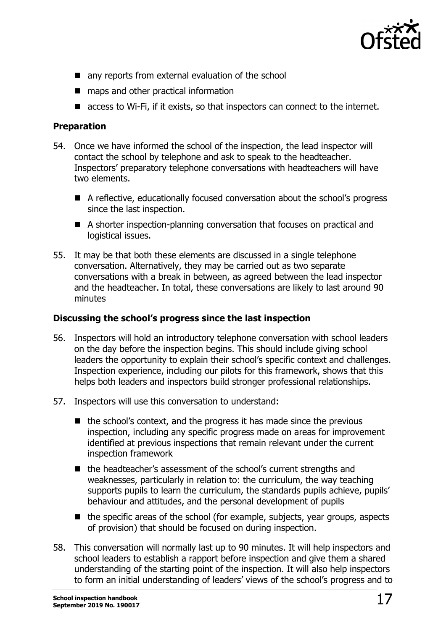

- any reports from external evaluation of the school
- maps and other practical information
- access to Wi-Fi, if it exists, so that inspectors can connect to the internet.

## **Preparation**

- 54. Once we have informed the school of the inspection, the lead inspector will contact the school by telephone and ask to speak to the headteacher. Inspectors' preparatory telephone conversations with headteachers will have two elements.
	- A reflective, educationally focused conversation about the school's progress since the last inspection.
	- A shorter inspection-planning conversation that focuses on practical and logistical issues.
- 55. It may be that both these elements are discussed in a single telephone conversation. Alternatively, they may be carried out as two separate conversations with a break in between, as agreed between the lead inspector and the headteacher. In total, these conversations are likely to last around 90 minutes

## **Discussing the school's progress since the last inspection**

- 56. Inspectors will hold an introductory telephone conversation with school leaders on the day before the inspection begins. This should include giving school leaders the opportunity to explain their school's specific context and challenges. Inspection experience, including our pilots for this framework, shows that this helps both leaders and inspectors build stronger professional relationships.
- 57. Inspectors will use this conversation to understand:
	- $\blacksquare$  the school's context, and the progress it has made since the previous inspection, including any specific progress made on areas for improvement identified at previous inspections that remain relevant under the current inspection framework
	- the headteacher's assessment of the school's current strengths and weaknesses, particularly in relation to: the curriculum, the way teaching supports pupils to learn the curriculum, the standards pupils achieve, pupils' behaviour and attitudes, and the personal development of pupils
	- $\blacksquare$  the specific areas of the school (for example, subjects, year groups, aspects of provision) that should be focused on during inspection.
- 58. This conversation will normally last up to 90 minutes. It will help inspectors and school leaders to establish a rapport before inspection and give them a shared understanding of the starting point of the inspection. It will also help inspectors to form an initial understanding of leaders' views of the school's progress and to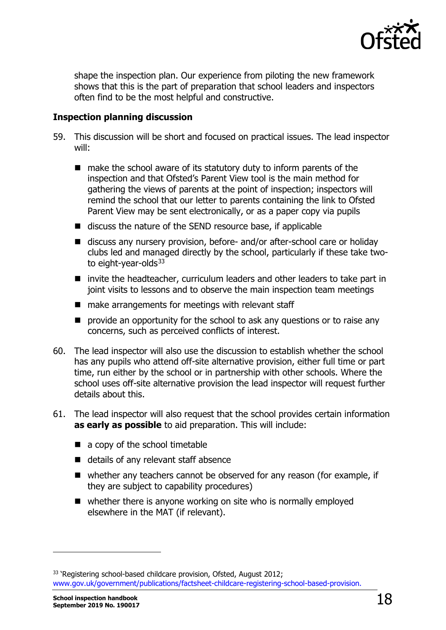

shape the inspection plan. Our experience from piloting the new framework shows that this is the part of preparation that school leaders and inspectors often find to be the most helpful and constructive.

## **Inspection planning discussion**

- 59. This discussion will be short and focused on practical issues. The lead inspector will:
	- $\blacksquare$  make the school aware of its statutory duty to inform parents of the inspection and that Ofsted's Parent View tool is the main method for gathering the views of parents at the point of inspection; inspectors will remind the school that our letter to parents containing the link to Ofsted Parent View may be sent electronically, or as a paper copy via pupils
	- $\blacksquare$  discuss the nature of the SEND resource base, if applicable
	- discuss any nursery provision, before- and/or after-school care or holiday clubs led and managed directly by the school, particularly if these take two-to eight-year-olds<sup>[33](#page-17-0)</sup>
	- invite the headteacher, curriculum leaders and other leaders to take part in joint visits to lessons and to observe the main inspection team meetings
	- $\blacksquare$  make arrangements for meetings with relevant staff
	- **P** provide an opportunity for the school to ask any questions or to raise any concerns, such as perceived conflicts of interest.
- 60. The lead inspector will also use the discussion to establish whether the school has any pupils who attend off-site alternative provision, either full time or part time, run either by the school or in partnership with other schools. Where the school uses off-site alternative provision the lead inspector will request further details about this.
- 61. The lead inspector will also request that the school provides certain information **as early as possible** to aid preparation. This will include:
	- a copy of the school timetable
	- details of any relevant staff absence
	- whether any teachers cannot be observed for any reason (for example, if they are subject to capability procedures)
	- whether there is anyone working on site who is normally employed elsewhere in the MAT (if relevant).

<span id="page-17-0"></span><sup>&</sup>lt;sup>33</sup> 'Registering school-based childcare provision, Ofsted, August 2012; [www.gov.uk/government/publications/factsheet-childcare-registering-school-based-provision.](http://www.gov.uk/government/publications/factsheet-childcare-registering-school-based-provision)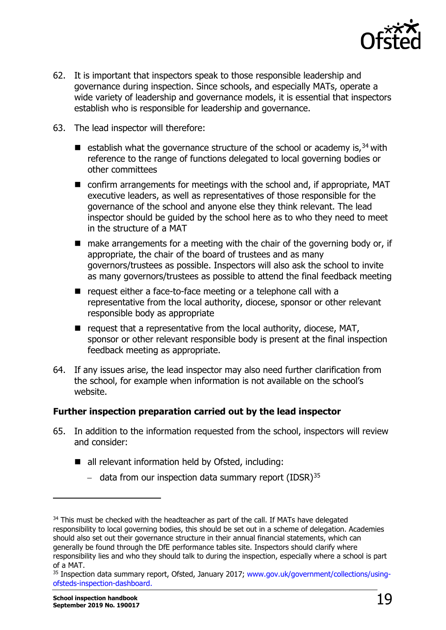

- 62. It is important that inspectors speak to those responsible leadership and governance during inspection. Since schools, and especially MATs, operate a wide variety of leadership and governance models, it is essential that inspectors establish who is responsible for leadership and governance.
- 63. The lead inspector will therefore:
	- **E** establish what the governance structure of the school or academy is,  $34$  with reference to the range of functions delegated to local governing bodies or other committees
	- confirm arrangements for meetings with the school and, if appropriate, MAT executive leaders, as well as representatives of those responsible for the governance of the school and anyone else they think relevant. The lead inspector should be guided by the school here as to who they need to meet in the structure of a MAT
	- $\blacksquare$  make arrangements for a meeting with the chair of the governing body or, if appropriate, the chair of the board of trustees and as many governors/trustees as possible. Inspectors will also ask the school to invite as many governors/trustees as possible to attend the final feedback meeting
	- $\blacksquare$  request either a face-to-face meeting or a telephone call with a representative from the local authority, diocese, sponsor or other relevant responsible body as appropriate
	- $\blacksquare$  request that a representative from the local authority, diocese, MAT, sponsor or other relevant responsible body is present at the final inspection feedback meeting as appropriate.
- 64. If any issues arise, the lead inspector may also need further clarification from the school, for example when information is not available on the school's website.

## **Further inspection preparation carried out by the lead inspector**

- 65. In addition to the information requested from the school, inspectors will review and consider:
	- all relevant information held by Ofsted, including:
		- − data from our inspection data summary report (IDSR)[35](#page-18-1)

<span id="page-18-0"></span><sup>&</sup>lt;sup>34</sup> This must be checked with the headteacher as part of the call. If MATs have delegated responsibility to local governing bodies, this should be set out in a scheme of delegation. Academies should also set out their governance structure in their annual financial statements, which can generally be found through the DfE performance tables site. Inspectors should clarify where responsibility lies and who they should talk to during the inspection, especially where a school is part of a MAT.<br><sup>35</sup> Inspection data summary report, Ofsted, January 2017; [www.gov.uk/government/collections/using-](http://www.gov.uk/government/collections/using-ofsteds-inspection-dashboard)

<span id="page-18-1"></span>[ofsteds-inspection-dashboard.](http://www.gov.uk/government/collections/using-ofsteds-inspection-dashboard)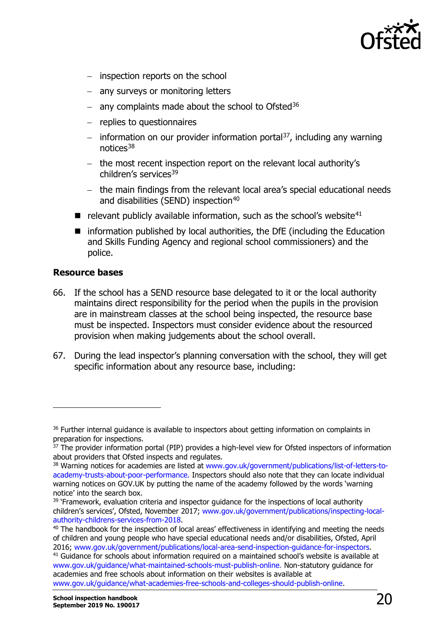

- − inspection reports on the school
- − any surveys or monitoring letters
- − any complaints made about the school to Ofsted<sup>[36](#page-19-0)</sup>
- − replies to questionnaires
- − information on our provider information portal<sup>[37](#page-19-1)</sup>, including any warning notices[38](#page-19-2)
- − the most recent inspection report on the relevant local authority's children's services<sup>[39](#page-19-3)</sup>
- − the main findings from the relevant local area's special educational needs and disabilities (SEND) inspection<sup>[40](#page-19-4)</sup>
- $\blacksquare$  relevant publicly available information, such as the school's website<sup>[41](#page-19-5)</sup>
- information published by local authorities, the DfE (including the Education and Skills Funding Agency and regional school commissioners) and the police.

### **Resource bases**

- 66. If the school has a SEND resource base delegated to it or the local authority maintains direct responsibility for the period when the pupils in the provision are in mainstream classes at the school being inspected, the resource base must be inspected. Inspectors must consider evidence about the resourced provision when making judgements about the school overall.
- 67. During the lead inspector's planning conversation with the school, they will get specific information about any resource base, including:

<span id="page-19-0"></span> $36$  Further internal guidance is available to inspectors about getting information on complaints in preparation for inspections.

<span id="page-19-1"></span><sup>&</sup>lt;sup>37</sup> The provider information portal (PIP) provides a high-level view for Ofsted inspectors of information about providers that Ofsted inspects and regulates.

<span id="page-19-2"></span><sup>&</sup>lt;sup>38</sup> Warning notices for academies are listed at [www.gov.uk/government/publications/list-of-letters-to](http://www.gov.uk/government/publications/list-of-letters-to-academy-trusts-about-poor-performance)[academy-trusts-about-poor-performance.](http://www.gov.uk/government/publications/list-of-letters-to-academy-trusts-about-poor-performance) Inspectors should also note that they can locate individual warning notices on GOV.UK by putting the name of the academy followed by the words 'warning notice' into the search box.

<span id="page-19-3"></span><sup>&</sup>lt;sup>39</sup> 'Framework, evaluation criteria and inspector guidance for the inspections of local authority children's services', Ofsted, November 2017; www.gov.uk/government/publications/inspecting-local-<br>authority-childrens-services-from-2018.

<span id="page-19-4"></span> $40$  The handbook for the inspection of local areas' effectiveness in identifying and meeting the needs of children and young people who have special educational needs and/or disabilities, Ofsted, April 2016; www.gov.uk/government/publications/local-area-send-inspection-guidance-for-inspectors.

<span id="page-19-5"></span><sup>&</sup>lt;sup>41</sup> Guidance for schools about information required on a maintained school's website is available at [www.gov.uk/guidance/what-maintained-schools-must-publish-online.](http://www.gov.uk/guidance/what-maintained-schools-must-publish-online) Non-statutory guidance for academies and free schools about information on their websites is available at [www.gov.uk/guidance/what-academies-free-schools-and-colleges-should-publish-online.](http://www.gov.uk/guidance/what-academies-free-schools-and-colleges-should-publish-online)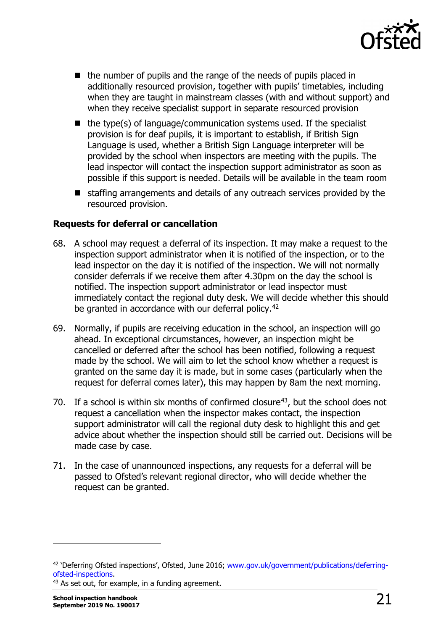

- $\blacksquare$  the number of pupils and the range of the needs of pupils placed in additionally resourced provision, together with pupils' timetables, including when they are taught in mainstream classes (with and without support) and when they receive specialist support in separate resourced provision
- $\blacksquare$  the type(s) of language/communication systems used. If the specialist provision is for deaf pupils, it is important to establish, if British Sian Language is used, whether a British Sign Language interpreter will be provided by the school when inspectors are meeting with the pupils. The lead inspector will contact the inspection support administrator as soon as possible if this support is needed. Details will be available in the team room
- staffing arrangements and details of any outreach services provided by the resourced provision.

## **Requests for deferral or cancellation**

- 68. A school may request a deferral of its inspection. It may make a request to the inspection support administrator when it is notified of the inspection, or to the lead inspector on the day it is notified of the inspection. We will not normally consider deferrals if we receive them after 4.30pm on the day the school is notified. The inspection support administrator or lead inspector must immediately contact the regional duty desk. We will decide whether this should be granted in accordance with our deferral policy.<sup>42</sup>
- 69. Normally, if pupils are receiving education in the school, an inspection will go ahead. In exceptional circumstances, however, an inspection might be cancelled or deferred after the school has been notified, following a request made by the school. We will aim to let the school know whether a request is granted on the same day it is made, but in some cases (particularly when the request for deferral comes later), this may happen by 8am the next morning.
- 70. If a school is within six months of confirmed closure<sup>[43](#page-20-1)</sup>, but the school does not request a cancellation when the inspector makes contact, the inspection support administrator will call the regional duty desk to highlight this and get advice about whether the inspection should still be carried out. Decisions will be made case by case.
- 71. In the case of unannounced inspections, any requests for a deferral will be passed to Ofsted's relevant regional director, who will decide whether the request can be granted.

<span id="page-20-0"></span><sup>&</sup>lt;sup>42</sup> 'Deferring Ofsted inspections', Ofsted, June 2016; www.gov.uk/government/publications/deferring-<br>ofsted-inspections.

<span id="page-20-1"></span> $43$  As set out, for example, in a funding agreement.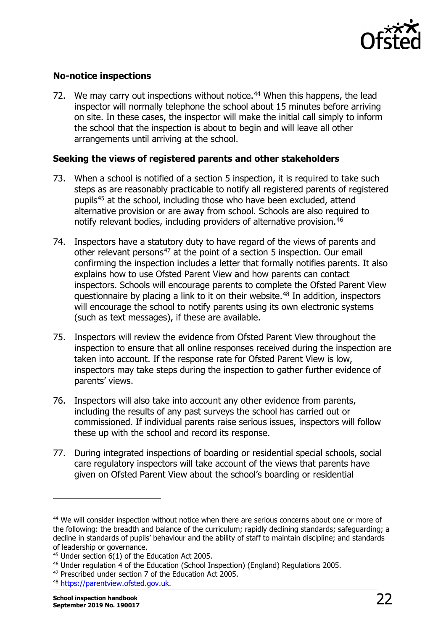

## **No-notice inspections**

72. We may carry out inspections without notice.<sup>[44](#page-21-0)</sup> When this happens, the lead inspector will normally telephone the school about 15 minutes before arriving on site. In these cases, the inspector will make the initial call simply to inform the school that the inspection is about to begin and will leave all other arrangements until arriving at the school.

## **Seeking the views of registered parents and other stakeholders**

- 73. When a school is notified of a section 5 inspection, it is required to take such steps as are reasonably practicable to notify all registered parents of registered pupils[45](#page-21-1) at the school, including those who have been excluded, attend alternative provision or are away from school. Schools are also required to notify relevant bodies, including providers of alternative provision.<sup>[46](#page-21-2)</sup>
- 74. Inspectors have a statutory duty to have regard of the views of parents and other relevant persons<sup>[47](#page-21-3)</sup> at the point of a section 5 inspection. Our email confirming the inspection includes a letter that formally notifies parents. It also explains how to use Ofsted Parent View and how parents can contact inspectors. Schools will encourage parents to complete the Ofsted Parent View questionnaire by placing a link to it on their website.<sup>[48](#page-21-4)</sup> In addition, inspectors will encourage the school to notify parents using its own electronic systems (such as text messages), if these are available.
- 75. Inspectors will review the evidence from Ofsted Parent View throughout the inspection to ensure that all online responses received during the inspection are taken into account. If the response rate for Ofsted Parent View is low, inspectors may take steps during the inspection to gather further evidence of parents' views.
- 76. Inspectors will also take into account any other evidence from parents, including the results of any past surveys the school has carried out or commissioned. If individual parents raise serious issues, inspectors will follow these up with the school and record its response.
- 77. During integrated inspections of boarding or residential special schools, social care regulatory inspectors will take account of the views that parents have given on Ofsted Parent View about the school's boarding or residential

<span id="page-21-0"></span><sup>&</sup>lt;sup>44</sup> We will consider inspection without notice when there are serious concerns about one or more of the following: the breadth and balance of the curriculum; rapidly declining standards; safeguarding; a decline in standards of pupils' behaviour and the ability of staff to maintain discipline; and standards of leadership or governance.

<span id="page-21-1"></span> $45$  Under section 6(1) of the Education Act 2005.

<span id="page-21-2"></span><sup>46</sup> Under regulation 4 of the Education (School Inspection) (England) Regulations 2005.

<span id="page-21-3"></span><sup>47</sup> Prescribed under section 7 of the Education Act 2005.

<span id="page-21-4"></span><sup>48</sup> [https://parentview.ofsted.gov.uk.](https://parentview.ofsted.gov.uk/)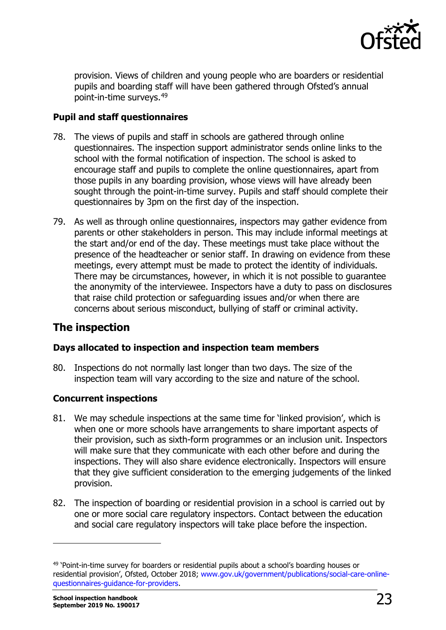

provision. Views of children and young people who are boarders or residential pupils and boarding staff will have been gathered through Ofsted's annual point-in-time surveys.[49](#page-22-1) 

## **Pupil and staff questionnaires**

- 78. The views of pupils and staff in schools are gathered through online questionnaires. The inspection support administrator sends online links to the school with the formal notification of inspection. The school is asked to encourage staff and pupils to complete the online questionnaires, apart from those pupils in any boarding provision, whose views will have already been sought through the point-in-time survey. Pupils and staff should complete their questionnaires by 3pm on the first day of the inspection.
- 79. As well as through online questionnaires, inspectors may gather evidence from parents or other stakeholders in person. This may include informal meetings at the start and/or end of the day. These meetings must take place without the presence of the headteacher or senior staff. In drawing on evidence from these meetings, every attempt must be made to protect the identity of individuals. There may be circumstances, however, in which it is not possible to guarantee the anonymity of the interviewee. Inspectors have a duty to pass on disclosures that raise child protection or safeguarding issues and/or when there are concerns about serious misconduct, bullying of staff or criminal activity.

## <span id="page-22-0"></span>**The inspection**

## **Days allocated to inspection and inspection team members**

80. Inspections do not normally last longer than two days. The size of the inspection team will vary according to the size and nature of the school.

## **Concurrent inspections**

- 81. We may schedule inspections at the same time for 'linked provision', which is when one or more schools have arrangements to share important aspects of their provision, such as sixth-form programmes or an inclusion unit. Inspectors will make sure that they communicate with each other before and during the inspections. They will also share evidence electronically. Inspectors will ensure that they give sufficient consideration to the emerging judgements of the linked provision.
- 82. The inspection of boarding or residential provision in a school is carried out by one or more social care regulatory inspectors. Contact between the education and social care regulatory inspectors will take place before the inspection.

<span id="page-22-1"></span><sup>&</sup>lt;sup>49</sup> 'Point-in-time survey for boarders or residential pupils about a school's boarding houses or residential provision', Ofsted, October 2018; [www.gov.uk/government/publications/social-care-online](http://www.gov.uk/government/publications/social-care-online-questionnaires-guidance-for-providers)[questionnaires-guidance-for-providers.](http://www.gov.uk/government/publications/social-care-online-questionnaires-guidance-for-providers)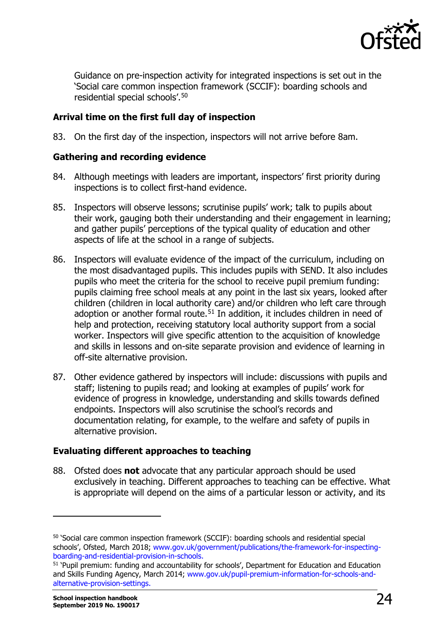

Guidance on pre-inspection activity for integrated inspections is set out in the 'Social care common inspection framework (SCCIF): boarding schools and residential special schools'.[50](#page-23-0)

## **Arrival time on the first full day of inspection**

83. On the first day of the inspection, inspectors will not arrive before 8am.

## **Gathering and recording evidence**

- 84. Although meetings with leaders are important, inspectors' first priority during inspections is to collect first-hand evidence.
- 85. Inspectors will observe lessons; scrutinise pupils' work; talk to pupils about their work, gauging both their understanding and their engagement in learning; and gather pupils' perceptions of the typical quality of education and other aspects of life at the school in a range of subjects.
- 86. Inspectors will evaluate evidence of the impact of the curriculum, including on the most disadvantaged pupils. This includes pupils with SEND. It also includes pupils who meet the criteria for the school to receive pupil premium funding: pupils claiming free school meals at any point in the last six years, looked after children (children in local authority care) and/or children who left care through adoption or another formal route.<sup>[51](#page-23-1)</sup> In addition, it includes children in need of help and protection, receiving statutory local authority support from a social worker. Inspectors will give specific attention to the acquisition of knowledge and skills in lessons and on-site separate provision and evidence of learning in off-site alternative provision.
- 87. Other evidence gathered by inspectors will include: discussions with pupils and staff; listening to pupils read; and looking at examples of pupils' work for evidence of progress in knowledge, understanding and skills towards defined endpoints. Inspectors will also scrutinise the school's records and documentation relating, for example, to the welfare and safety of pupils in alternative provision.

## **Evaluating different approaches to teaching**

88. Ofsted does **not** advocate that any particular approach should be used exclusively in teaching. Different approaches to teaching can be effective. What is appropriate will depend on the aims of a particular lesson or activity, and its

<span id="page-23-0"></span><sup>50</sup> 'Social care common inspection framework (SCCIF): boarding schools and residential special schools', Ofsted, March 2018; www.gov.uk/government/publications/the-framework-for-inspectingboarding-and-residential-provision-in-schools.

<span id="page-23-1"></span><sup>&</sup>lt;sup>51</sup> 'Pupil premium: funding and accountability for schools', Department for Education and Education and Skills Funding Agency, March 2014; [www.gov.uk/pupil-premium-information-for-schools-and](http://www.gov.uk/pupil-premium-information-for-schools-and-alternative-provision-settings)[alternative-provision-settings.](http://www.gov.uk/pupil-premium-information-for-schools-and-alternative-provision-settings)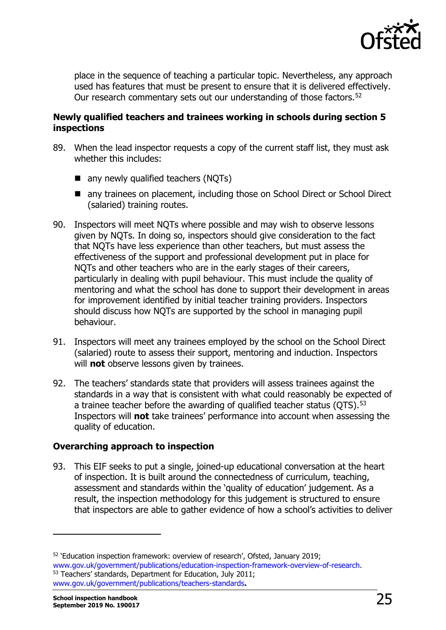

place in the sequence of teaching a particular topic. Nevertheless, any approach used has features that must be present to ensure that it is delivered effectively. Our research commentary sets out our understanding of those factors.<sup>[52](#page-24-0)</sup>

## **Newly qualified teachers and trainees working in schools during section 5 inspections**

- 89. When the lead inspector requests a copy of the current staff list, they must ask whether this includes:
	- any newly qualified teachers (NOTs)
	- any trainees on placement, including those on School Direct or School Direct (salaried) training routes.
- 90. Inspectors will meet NQTs where possible and may wish to observe lessons given by NQTs. In doing so, inspectors should give consideration to the fact that NQTs have less experience than other teachers, but must assess the effectiveness of the support and professional development put in place for NQTs and other teachers who are in the early stages of their careers, particularly in dealing with pupil behaviour. This must include the quality of mentoring and what the school has done to support their development in areas for improvement identified by initial teacher training providers. Inspectors should discuss how NQTs are supported by the school in managing pupil behaviour.
- 91. Inspectors will meet any trainees employed by the school on the School Direct (salaried) route to assess their support, mentoring and induction. Inspectors will **not** observe lessons given by trainees.
- 92. The teachers' standards state that providers will assess trainees against the standards in a way that is consistent with what could reasonably be expected of a trainee teacher before the awarding of qualified teacher status (OTS).<sup>[53](#page-24-1)</sup> Inspectors will **not** take trainees' performance into account when assessing the quality of education.

## **Overarching approach to inspection**

93. This EIF seeks to put a single, joined-up educational conversation at the heart of inspection. It is built around the connectedness of curriculum, teaching, assessment and standards within the 'quality of education' judgement. As a result, the inspection methodology for this judgement is structured to ensure that inspectors are able to gather evidence of how a school's activities to deliver

<span id="page-24-0"></span> $52$  'Education inspection framework: overview of research', Ofsted, January 2019;<br>www.gov.uk/government/publications/education-inspection-framework-overview-of-research. 53 Teachers' standards, Department for Education, July 2011;

<span id="page-24-1"></span>[www.gov.uk/government/publications/teachers-standards](https://www.gov.uk/government/publications/teachers-standards)**.**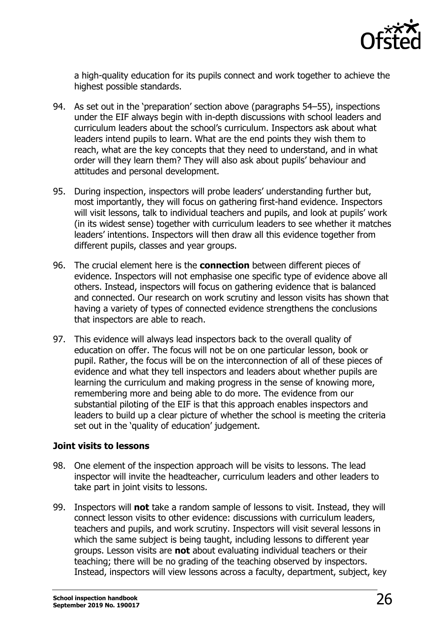

a high-quality education for its pupils connect and work together to achieve the highest possible standards.

- 94. As set out in the 'preparation' section above (paragraphs 54–55), inspections under the EIF always begin with in-depth discussions with school leaders and curriculum leaders about the school's curriculum. Inspectors ask about what leaders intend pupils to learn. What are the end points they wish them to reach, what are the key concepts that they need to understand, and in what order will they learn them? They will also ask about pupils' behaviour and attitudes and personal development.
- 95. During inspection, inspectors will probe leaders' understanding further but, most importantly, they will focus on gathering first-hand evidence. Inspectors will visit lessons, talk to individual teachers and pupils, and look at pupils' work (in its widest sense) together with curriculum leaders to see whether it matches leaders' intentions. Inspectors will then draw all this evidence together from different pupils, classes and year groups.
- 96. The crucial element here is the **connection** between different pieces of evidence. Inspectors will not emphasise one specific type of evidence above all others. Instead, inspectors will focus on gathering evidence that is balanced and connected. Our research on work scrutiny and lesson visits has shown that having a variety of types of connected evidence strengthens the conclusions that inspectors are able to reach.
- 97. This evidence will always lead inspectors back to the overall quality of education on offer. The focus will not be on one particular lesson, book or pupil. Rather, the focus will be on the interconnection of all of these pieces of evidence and what they tell inspectors and leaders about whether pupils are learning the curriculum and making progress in the sense of knowing more, remembering more and being able to do more. The evidence from our substantial piloting of the EIF is that this approach enables inspectors and leaders to build up a clear picture of whether the school is meeting the criteria set out in the 'quality of education' judgement.

## **Joint visits to lessons**

- 98. One element of the inspection approach will be visits to lessons. The lead inspector will invite the headteacher, curriculum leaders and other leaders to take part in joint visits to lessons.
- 99. Inspectors will **not** take a random sample of lessons to visit. Instead, they will connect lesson visits to other evidence: discussions with curriculum leaders, teachers and pupils, and work scrutiny. Inspectors will visit several lessons in which the same subject is being taught, including lessons to different year groups. Lesson visits are **not** about evaluating individual teachers or their teaching; there will be no grading of the teaching observed by inspectors. Instead, inspectors will view lessons across a faculty, department, subject, key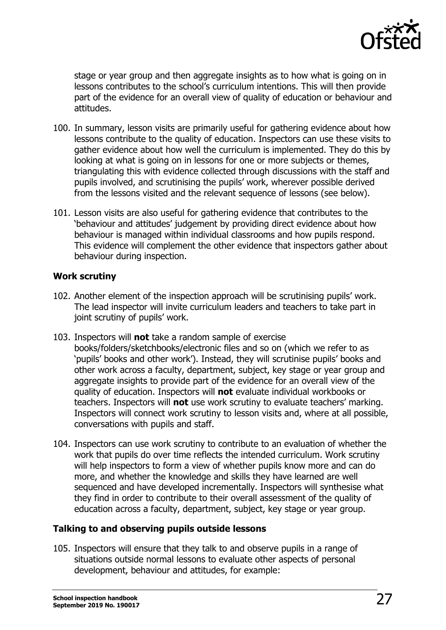

stage or year group and then aggregate insights as to how what is going on in lessons contributes to the school's curriculum intentions. This will then provide part of the evidence for an overall view of quality of education or behaviour and attitudes.

- 100. In summary, lesson visits are primarily useful for gathering evidence about how lessons contribute to the quality of education. Inspectors can use these visits to gather evidence about how well the curriculum is implemented. They do this by looking at what is going on in lessons for one or more subjects or themes, triangulating this with evidence collected through discussions with the staff and pupils involved, and scrutinising the pupils' work, wherever possible derived from the lessons visited and the relevant sequence of lessons (see below).
- 101. Lesson visits are also useful for gathering evidence that contributes to the 'behaviour and attitudes' judgement by providing direct evidence about how behaviour is managed within individual classrooms and how pupils respond. This evidence will complement the other evidence that inspectors gather about behaviour during inspection.

## **Work scrutiny**

- 102. Another element of the inspection approach will be scrutinising pupils' work. The lead inspector will invite curriculum leaders and teachers to take part in joint scrutiny of pupils' work.
- 103. Inspectors will **not** take a random sample of exercise books/folders/sketchbooks/electronic files and so on (which we refer to as 'pupils' books and other work'). Instead, they will scrutinise pupils' books and other work across a faculty, department, subject, key stage or year group and aggregate insights to provide part of the evidence for an overall view of the quality of education. Inspectors will **not** evaluate individual workbooks or teachers. Inspectors will **not** use work scrutiny to evaluate teachers' marking. Inspectors will connect work scrutiny to lesson visits and, where at all possible, conversations with pupils and staff.
- 104. Inspectors can use work scrutiny to contribute to an evaluation of whether the work that pupils do over time reflects the intended curriculum. Work scrutiny will help inspectors to form a view of whether pupils know more and can do more, and whether the knowledge and skills they have learned are well sequenced and have developed incrementally. Inspectors will synthesise what they find in order to contribute to their overall assessment of the quality of education across a faculty, department, subject, key stage or year group.

## **Talking to and observing pupils outside lessons**

105. Inspectors will ensure that they talk to and observe pupils in a range of situations outside normal lessons to evaluate other aspects of personal development, behaviour and attitudes, for example: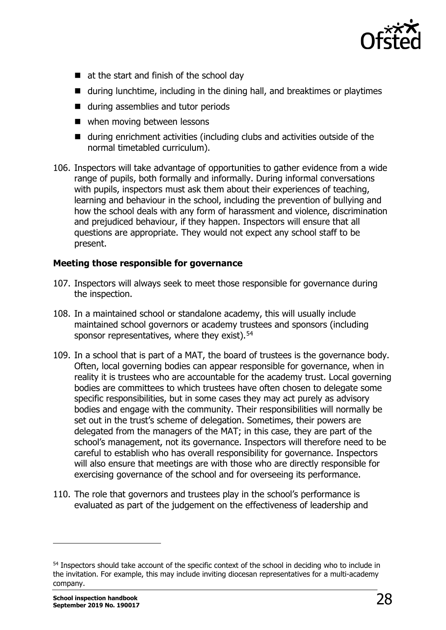

- at the start and finish of the school day
- during lunchtime, including in the dining hall, and breaktimes or playtimes
- during assemblies and tutor periods
- when moving between lessons
- during enrichment activities (including clubs and activities outside of the normal timetabled curriculum).
- 106. Inspectors will take advantage of opportunities to gather evidence from a wide range of pupils, both formally and informally. During informal conversations with pupils, inspectors must ask them about their experiences of teaching, learning and behaviour in the school, including the prevention of bullying and how the school deals with any form of harassment and violence, discrimination and prejudiced behaviour, if they happen. Inspectors will ensure that all questions are appropriate. They would not expect any school staff to be present.

## **Meeting those responsible for governance**

- 107. Inspectors will always seek to meet those responsible for governance during the inspection.
- 108. In a maintained school or standalone academy, this will usually include maintained school governors or academy trustees and sponsors (including sponsor representatives, where they exist).<sup>[54](#page-27-0)</sup>
- 109. In a school that is part of a MAT, the board of trustees is the governance body. Often, local governing bodies can appear responsible for governance, when in reality it is trustees who are accountable for the academy trust. Local governing bodies are committees to which trustees have often chosen to delegate some specific responsibilities, but in some cases they may act purely as advisory bodies and engage with the community. Their responsibilities will normally be set out in the trust's scheme of delegation. Sometimes, their powers are delegated from the managers of the MAT; in this case, they are part of the school's management, not its governance. Inspectors will therefore need to be careful to establish who has overall responsibility for governance. Inspectors will also ensure that meetings are with those who are directly responsible for exercising governance of the school and for overseeing its performance.
- 110. The role that governors and trustees play in the school's performance is evaluated as part of the judgement on the effectiveness of leadership and

<span id="page-27-0"></span><sup>54</sup> Inspectors should take account of the specific context of the school in deciding who to include in the invitation. For example, this may include inviting diocesan representatives for a multi-academy company.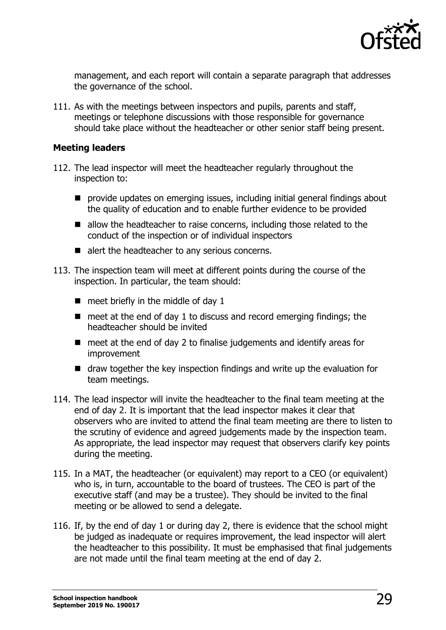

management, and each report will contain a separate paragraph that addresses the governance of the school.

111. As with the meetings between inspectors and pupils, parents and staff, meetings or telephone discussions with those responsible for governance should take place without the headteacher or other senior staff being present.

### **Meeting leaders**

- 112. The lead inspector will meet the headteacher regularly throughout the inspection to:
	- **P** provide updates on emerging issues, including initial general findings about the quality of education and to enable further evidence to be provided
	- allow the headteacher to raise concerns, including those related to the conduct of the inspection or of individual inspectors
	- alert the headteacher to any serious concerns.
- 113. The inspection team will meet at different points during the course of the inspection. In particular, the team should:
	- $\blacksquare$  meet briefly in the middle of day 1
	- $\blacksquare$  meet at the end of day 1 to discuss and record emerging findings; the headteacher should be invited
	- $\blacksquare$  meet at the end of day 2 to finalise judgements and identify areas for improvement
	- draw together the key inspection findings and write up the evaluation for team meetings.
- 114. The lead inspector will invite the headteacher to the final team meeting at the end of day 2. It is important that the lead inspector makes it clear that observers who are invited to attend the final team meeting are there to listen to the scrutiny of evidence and agreed judgements made by the inspection team. As appropriate, the lead inspector may request that observers clarify key points during the meeting.
- 115. In a MAT, the headteacher (or equivalent) may report to a CEO (or equivalent) who is, in turn, accountable to the board of trustees. The CEO is part of the executive staff (and may be a trustee). They should be invited to the final meeting or be allowed to send a delegate.
- 116. If, by the end of day 1 or during day 2, there is evidence that the school might be judged as inadequate or requires improvement, the lead inspector will alert the headteacher to this possibility. It must be emphasised that final judgements are not made until the final team meeting at the end of day 2.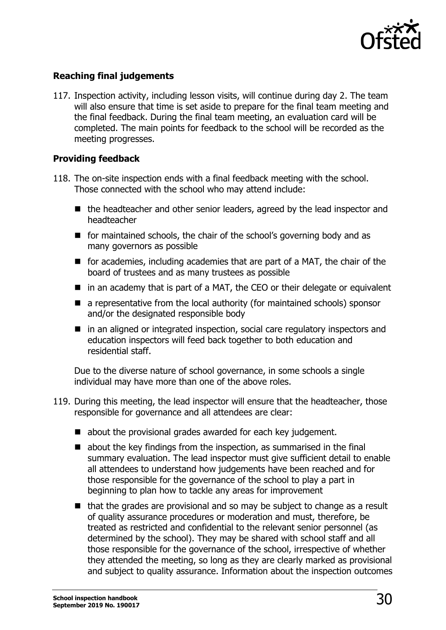

## **Reaching final judgements**

117. Inspection activity, including lesson visits, will continue during day 2. The team will also ensure that time is set aside to prepare for the final team meeting and the final feedback. During the final team meeting, an evaluation card will be completed. The main points for feedback to the school will be recorded as the meeting progresses.

## **Providing feedback**

- 118. The on-site inspection ends with a final feedback meeting with the school. Those connected with the school who may attend include:
	- $\blacksquare$  the headteacher and other senior leaders, agreed by the lead inspector and headteacher
	- $\blacksquare$  for maintained schools, the chair of the school's governing body and as many governors as possible
	- **F** for academies, including academies that are part of a MAT, the chair of the board of trustees and as many trustees as possible
	- $\blacksquare$  in an academy that is part of a MAT, the CEO or their delegate or equivalent
	- $\blacksquare$  a representative from the local authority (for maintained schools) sponsor and/or the designated responsible body
	- in an aligned or integrated inspection, social care regulatory inspectors and education inspectors will feed back together to both education and residential staff.

Due to the diverse nature of school governance, in some schools a single individual may have more than one of the above roles.

- 119. During this meeting, the lead inspector will ensure that the headteacher, those responsible for governance and all attendees are clear:
	- about the provisional grades awarded for each key judgement.
	- $\blacksquare$  about the key findings from the inspection, as summarised in the final summary evaluation. The lead inspector must give sufficient detail to enable all attendees to understand how judgements have been reached and for those responsible for the governance of the school to play a part in beginning to plan how to tackle any areas for improvement
	- $\blacksquare$  that the grades are provisional and so may be subject to change as a result of quality assurance procedures or moderation and must, therefore, be treated as restricted and confidential to the relevant senior personnel (as determined by the school). They may be shared with school staff and all those responsible for the governance of the school, irrespective of whether they attended the meeting, so long as they are clearly marked as provisional and subject to quality assurance. Information about the inspection outcomes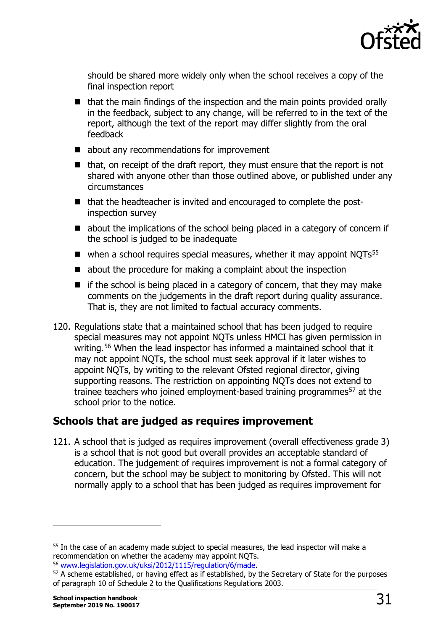

should be shared more widely only when the school receives a copy of the final inspection report

- $\blacksquare$  that the main findings of the inspection and the main points provided orally in the feedback, subject to any change, will be referred to in the text of the report, although the text of the report may differ slightly from the oral feedback
- about any recommendations for improvement
- $\blacksquare$  that, on receipt of the draft report, they must ensure that the report is not shared with anyone other than those outlined above, or published under any circumstances
- that the headteacher is invited and encouraged to complete the postinspection survey
- about the implications of the school being placed in a category of concern if the school is judged to be inadequate
- $\blacksquare$  when a school requires special measures, whether it may appoint NOTs<sup>[55](#page-30-1)</sup>
- about the procedure for making a complaint about the inspection
- $\blacksquare$  if the school is being placed in a category of concern, that they may make comments on the judgements in the draft report during quality assurance. That is, they are not limited to factual accuracy comments.
- 120. Regulations state that a maintained school that has been judged to require special measures may not appoint NQTs unless HMCI has given permission in writing.<sup>[56](#page-30-2)</sup> When the lead inspector has informed a maintained school that it may not appoint NQTs, the school must seek approval if it later wishes to appoint NQTs, by writing to the relevant Ofsted regional director, giving supporting reasons. The restriction on appointing NQTs does not extend to trainee teachers who joined employment-based training programmes<sup>[57](#page-30-3)</sup> at the school prior to the notice.

## <span id="page-30-0"></span>**Schools that are judged as requires improvement**

121. A school that is judged as requires improvement (overall effectiveness grade 3) is a school that is not good but overall provides an acceptable standard of education. The judgement of requires improvement is not a formal category of concern, but the school may be subject to monitoring by Ofsted. This will not normally apply to a school that has been judged as requires improvement for

<span id="page-30-1"></span> $55$  In the case of an academy made subject to special measures, the lead inspector will make a recommendation on whether the academy may appoint NOTs.

<span id="page-30-3"></span><span id="page-30-2"></span><sup>&</sup>lt;sup>56</sup> [www.legislation.gov.uk/uksi/2012/1115/regulation/6/made.](http://www.legislation.gov.uk/uksi/2012/1115/regulation/6/made)<br><sup>57</sup> A scheme established, or having effect as if established, by the Secretary of State for the purposes of paragraph 10 of Schedule 2 to the Qualifications Regulations 2003.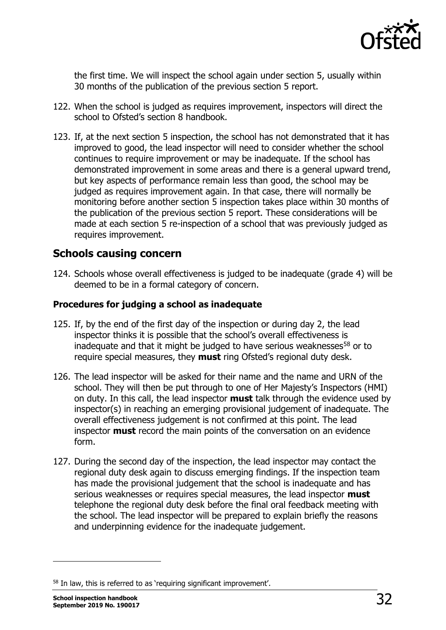

the first time. We will inspect the school again under section 5, usually within 30 months of the publication of the previous section 5 report.

- 122. When the school is judged as requires improvement, inspectors will direct the school to Ofsted's section 8 handbook.
- 123. If, at the next section 5 inspection, the school has not demonstrated that it has improved to good, the lead inspector will need to consider whether the school continues to require improvement or may be inadequate. If the school has demonstrated improvement in some areas and there is a general upward trend, but key aspects of performance remain less than good, the school may be judged as requires improvement again. In that case, there will normally be monitoring before another section 5 inspection takes place within 30 months of the publication of the previous section 5 report. These considerations will be made at each section 5 re-inspection of a school that was previously judged as requires improvement.

## <span id="page-31-0"></span>**Schools causing concern**

124. Schools whose overall effectiveness is judged to be inadequate (grade 4) will be deemed to be in a formal category of concern.

## **Procedures for judging a school as inadequate**

- 125. If, by the end of the first day of the inspection or during day 2, the lead inspector thinks it is possible that the school's overall effectiveness is inadequate and that it might be judged to have serious weaknesses $58$  or to require special measures, they **must** ring Ofsted's regional duty desk.
- 126. The lead inspector will be asked for their name and the name and URN of the school. They will then be put through to one of Her Majesty's Inspectors (HMI) on duty. In this call, the lead inspector **must** talk through the evidence used by inspector(s) in reaching an emerging provisional judgement of inadequate. The overall effectiveness judgement is not confirmed at this point. The lead inspector **must** record the main points of the conversation on an evidence form.
- 127. During the second day of the inspection, the lead inspector may contact the regional duty desk again to discuss emerging findings. If the inspection team has made the provisional judgement that the school is inadequate and has serious weaknesses or requires special measures, the lead inspector **must** telephone the regional duty desk before the final oral feedback meeting with the school. The lead inspector will be prepared to explain briefly the reasons and underpinning evidence for the inadequate judgement.

<span id="page-31-1"></span><sup>58</sup> In law, this is referred to as 'requiring significant improvement'.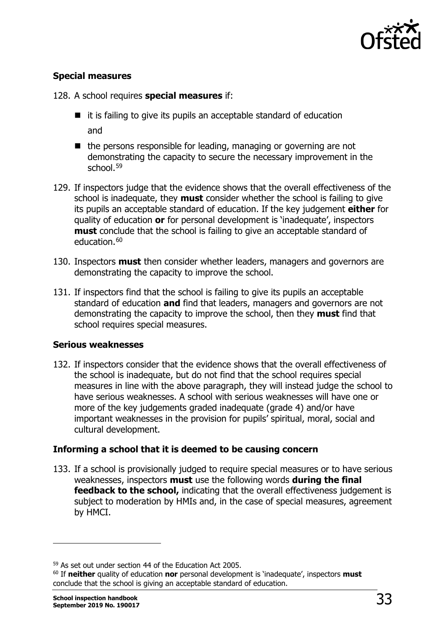

## **Special measures**

128. A school requires **special measures** if:

- $\blacksquare$  it is failing to give its pupils an acceptable standard of education and
- $\blacksquare$  the persons responsible for leading, managing or governing are not demonstrating the capacity to secure the necessary improvement in the school.<sup>[59](#page-32-0)</sup>
- 129. If inspectors judge that the evidence shows that the overall effectiveness of the school is inadequate, they **must** consider whether the school is failing to give its pupils an acceptable standard of education. If the key judgement **either** for quality of education **or** for personal development is 'inadequate', inspectors **must** conclude that the school is failing to give an acceptable standard of education.<sup>[60](#page-32-1)</sup>
- 130. Inspectors **must** then consider whether leaders, managers and governors are demonstrating the capacity to improve the school.
- 131. If inspectors find that the school is failing to give its pupils an acceptable standard of education **and** find that leaders, managers and governors are not demonstrating the capacity to improve the school, then they **must** find that school requires special measures.

## **Serious weaknesses**

132. If inspectors consider that the evidence shows that the overall effectiveness of the school is inadequate, but do not find that the school requires special measures in line with the above paragraph, they will instead judge the school to have serious weaknesses. A school with serious weaknesses will have one or more of the key judgements graded inadequate (grade 4) and/or have important weaknesses in the provision for pupils' spiritual, moral, social and cultural development.

## **Informing a school that it is deemed to be causing concern**

133. If a school is provisionally judged to require special measures or to have serious weaknesses, inspectors **must** use the following words **during the final feedback to the school,** indicating that the overall effectiveness judgement is subject to moderation by HMIs and, in the case of special measures, agreement by HMCI.

<span id="page-32-0"></span><sup>59</sup> As set out under section 44 of the Education Act 2005.

<span id="page-32-1"></span><sup>60</sup> If **neither** quality of education **nor** personal development is 'inadequate', inspectors **must** conclude that the school is giving an acceptable standard of education.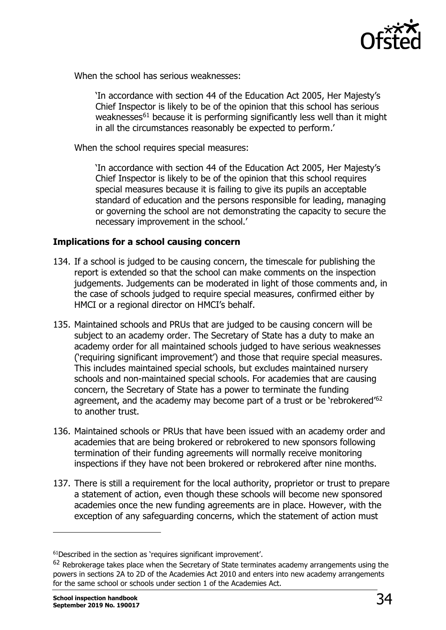

When the school has serious weaknesses:

'In accordance with section 44 of the Education Act 2005, Her Majesty's Chief Inspector is likely to be of the opinion that this school has serious weaknesses<sup>[61](#page-33-0)</sup> because it is performing significantly less well than it might in all the circumstances reasonably be expected to perform.'

When the school requires special measures:

'In accordance with section 44 of the Education Act 2005, Her Majesty's Chief Inspector is likely to be of the opinion that this school requires special measures because it is failing to give its pupils an acceptable standard of education and the persons responsible for leading, managing or governing the school are not demonstrating the capacity to secure the necessary improvement in the school.'

## **Implications for a school causing concern**

- 134. If a school is judged to be causing concern, the timescale for publishing the report is extended so that the school can make comments on the inspection judgements. Judgements can be moderated in light of those comments and, in the case of schools judged to require special measures, confirmed either by HMCI or a regional director on HMCI's behalf.
- 135. Maintained schools and PRUs that are judged to be causing concern will be subject to an academy order. The Secretary of State has a duty to make an academy order for all maintained schools judged to have serious weaknesses ('requiring significant improvement') and those that require special measures. This includes maintained special schools, but excludes maintained nursery schools and non-maintained special schools. For academies that are causing concern, the Secretary of State has a power to terminate the funding agreement, and the academy may become part of a trust or be 'rebrokered'<sup>[62](#page-33-1)</sup> to another trust.
- 136. Maintained schools or PRUs that have been issued with an academy order and academies that are being brokered or rebrokered to new sponsors following termination of their funding agreements will normally receive monitoring inspections if they have not been brokered or rebrokered after nine months.
- 137. There is still a requirement for the local authority, proprietor or trust to prepare a statement of action, even though these schools will become new sponsored academies once the new funding agreements are in place. However, with the exception of any safeguarding concerns, which the statement of action must

<span id="page-33-0"></span><sup>61</sup>Described in the section as 'requires significant improvement'.

<span id="page-33-1"></span> $62$  Rebrokerage takes place when the Secretary of State terminates academy arrangements using the powers in sections 2A to 2D of the Academies Act 2010 and enters into new academy arrangements for the same school or schools under section 1 of the Academies Act.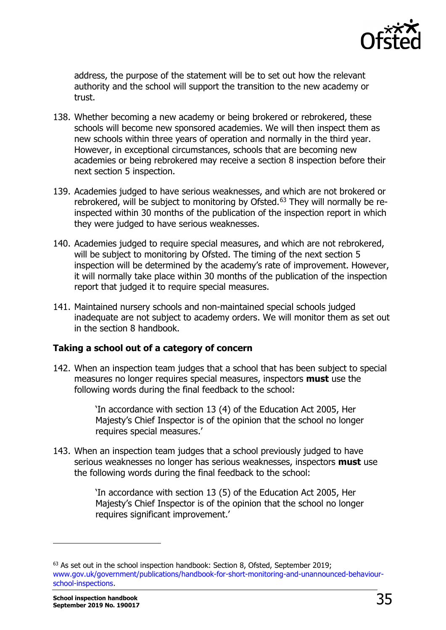

address, the purpose of the statement will be to set out how the relevant authority and the school will support the transition to the new academy or trust.

- 138. Whether becoming a new academy or being brokered or rebrokered, these schools will become new sponsored academies. We will then inspect them as new schools within three years of operation and normally in the third year. However, in exceptional circumstances, schools that are becoming new academies or being rebrokered may receive a section 8 inspection before their next section 5 inspection.
- 139. Academies judged to have serious weaknesses, and which are not brokered or rebrokered, will be subject to monitoring by Ofsted.<sup>[63](#page-34-0)</sup> They will normally be reinspected within 30 months of the publication of the inspection report in which they were judged to have serious weaknesses.
- 140. Academies judged to require special measures, and which are not rebrokered, will be subject to monitoring by Ofsted. The timing of the next section 5 inspection will be determined by the academy's rate of improvement. However, it will normally take place within 30 months of the publication of the inspection report that judged it to require special measures.
- 141. Maintained nursery schools and non-maintained special schools judged inadequate are not subject to academy orders. We will monitor them as set out in the section 8 handbook.

## **Taking a school out of a category of concern**

142. When an inspection team judges that a school that has been subject to special measures no longer requires special measures, inspectors **must** use the following words during the final feedback to the school:

> 'In accordance with section 13 (4) of the Education Act 2005, Her Majesty's Chief Inspector is of the opinion that the school no longer requires special measures.'

143. When an inspection team judges that a school previously judged to have serious weaknesses no longer has serious weaknesses, inspectors **must** use the following words during the final feedback to the school:

> 'In accordance with section 13 (5) of the Education Act 2005, Her Majesty's Chief Inspector is of the opinion that the school no longer requires significant improvement.'

<span id="page-34-0"></span><sup>&</sup>lt;sup>63</sup> As set out in the school inspection handbook: Section 8, Ofsted, September 2019; [www.gov.uk/government/publications/handbook-for-short-monitoring-and-unannounced-behaviour](http://www.gov.uk/government/publications/handbook-for-short-monitoring-and-unannounced-behaviour-school-inspections)[school-inspections](http://www.gov.uk/government/publications/handbook-for-short-monitoring-and-unannounced-behaviour-school-inspections).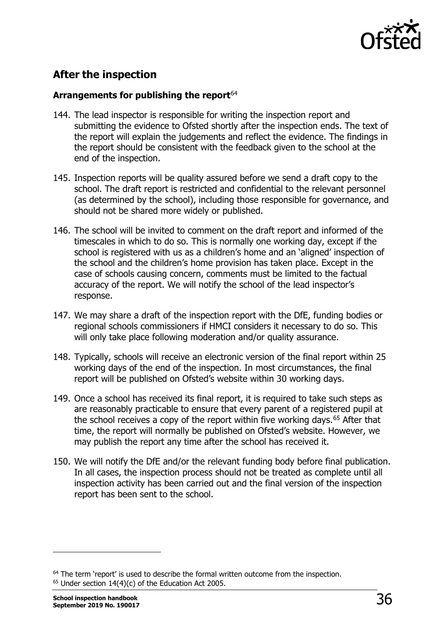

## <span id="page-35-0"></span>**After the inspection**

## **Arrangements for publishing the report**[64](#page-35-1)

- 144. The lead inspector is responsible for writing the inspection report and submitting the evidence to Ofsted shortly after the inspection ends. The text of the report will explain the judgements and reflect the evidence. The findings in the report should be consistent with the feedback given to the school at the end of the inspection.
- 145. Inspection reports will be quality assured before we send a draft copy to the school. The draft report is restricted and confidential to the relevant personnel (as determined by the school), including those responsible for governance, and should not be shared more widely or published.
- 146. The school will be invited to comment on the draft report and informed of the timescales in which to do so. This is normally one working day, except if the school is registered with us as a children's home and an 'aligned' inspection of the school and the children's home provision has taken place. Except in the case of schools causing concern, comments must be limited to the factual accuracy of the report. We will notify the school of the lead inspector's response.
- 147. We may share a draft of the inspection report with the DfE, funding bodies or regional schools commissioners if HMCI considers it necessary to do so. This will only take place following moderation and/or quality assurance.
- 148. Typically, schools will receive an electronic version of the final report within 25 working days of the end of the inspection. In most circumstances, the final report will be published on Ofsted's website within 30 working days.
- 149. Once a school has received its final report, it is required to take such steps as are reasonably practicable to ensure that every parent of a registered pupil at the school receives a copy of the report within five working days.<sup>[65](#page-35-2)</sup> After that time, the report will normally be published on Ofsted's website. However, we may publish the report any time after the school has received it.
- 150. We will notify the DfE and/or the relevant funding body before final publication. In all cases, the inspection process should not be treated as complete until all inspection activity has been carried out and the final version of the inspection report has been sent to the school.

<span id="page-35-2"></span><span id="page-35-1"></span><sup>&</sup>lt;sup>64</sup> The term 'report' is used to describe the formal written outcome from the inspection. <sup>65</sup> Under section 14(4)(c) of the Education Act 2005.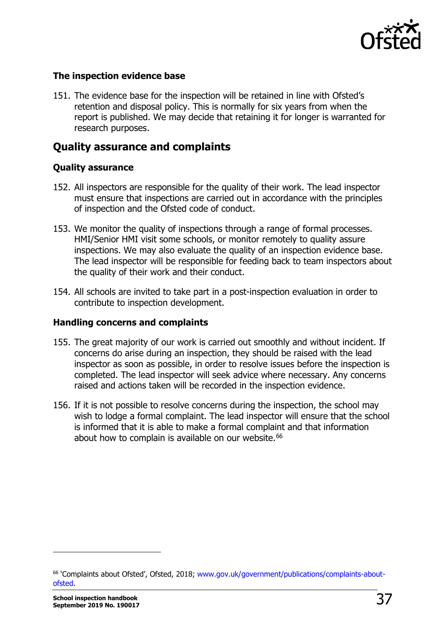

#### **The inspection evidence base**

151. The evidence base for the inspection will be retained in line with Ofsted's retention and disposal policy. This is normally for six years from when the report is published. We may decide that retaining it for longer is warranted for research purposes.

# **Quality assurance and complaints**

#### **Quality assurance**

- 152. All inspectors are responsible for the quality of their work. The lead inspector must ensure that inspections are carried out in accordance with the principles of inspection and the Ofsted code of conduct.
- 153. We monitor the quality of inspections through a range of formal processes. HMI/Senior HMI visit some schools, or monitor remotely to quality assure inspections. We may also evaluate the quality of an inspection evidence base. The lead inspector will be responsible for feeding back to team inspectors about the quality of their work and their conduct.
- 154. All schools are invited to take part in a post-inspection evaluation in order to contribute to inspection development.

#### **Handling concerns and complaints**

- 155. The great majority of our work is carried out smoothly and without incident. If concerns do arise during an inspection, they should be raised with the lead inspector as soon as possible, in order to resolve issues before the inspection is completed. The lead inspector will seek advice where necessary. Any concerns raised and actions taken will be recorded in the inspection evidence.
- 156. If it is not possible to resolve concerns during the inspection, the school may wish to lodge a formal complaint. The lead inspector will ensure that the school is informed that it is able to make a formal complaint and that information about how to complain is available on our website.<sup>66</sup>

<span id="page-36-0"></span><sup>66</sup> 'Complaints about Ofsted', Ofsted, 2018; [www.gov.uk/government/publications/complaints-about](http://www.gov.uk/government/publications/complaints-about-ofsted)[ofsted.](http://www.gov.uk/government/publications/complaints-about-ofsted)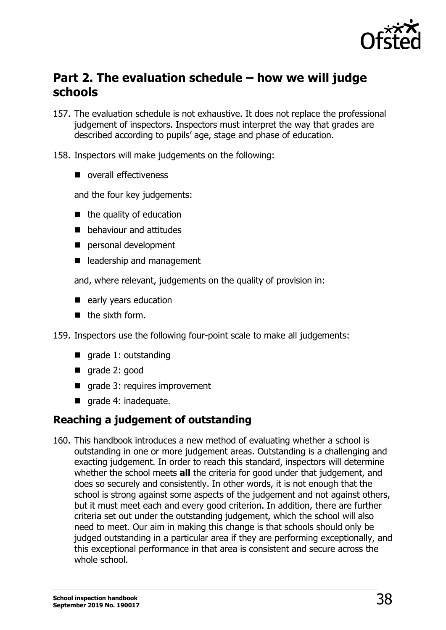

# **Part 2. The evaluation schedule – how we will judge schools**

- 157. The evaluation schedule is not exhaustive. It does not replace the professional judgement of inspectors. Inspectors must interpret the way that grades are described according to pupils' age, stage and phase of education.
- 158. Inspectors will make judgements on the following:
	- overall effectiveness

and the four key judgements:

- $\blacksquare$  the quality of education
- **behaviour and attitudes**
- personal development
- leadership and management

and, where relevant, judgements on the quality of provision in:

- early years education
- $\blacksquare$  the sixth form.

159. Inspectors use the following four-point scale to make all judgements:

- qrade 1: outstanding
- grade 2: good
- $\blacksquare$  grade 3: requires improvement
- qrade 4: inadequate.

# **Reaching a judgement of outstanding**

160. This handbook introduces a new method of evaluating whether a school is outstanding in one or more judgement areas. Outstanding is a challenging and exacting judgement. In order to reach this standard, inspectors will determine whether the school meets **all** the criteria for good under that judgement, and does so securely and consistently. In other words, it is not enough that the school is strong against some aspects of the judgement and not against others, but it must meet each and every good criterion. In addition, there are further criteria set out under the outstanding judgement, which the school will also need to meet. Our aim in making this change is that schools should only be judged outstanding in a particular area if they are performing exceptionally, and this exceptional performance in that area is consistent and secure across the whole school.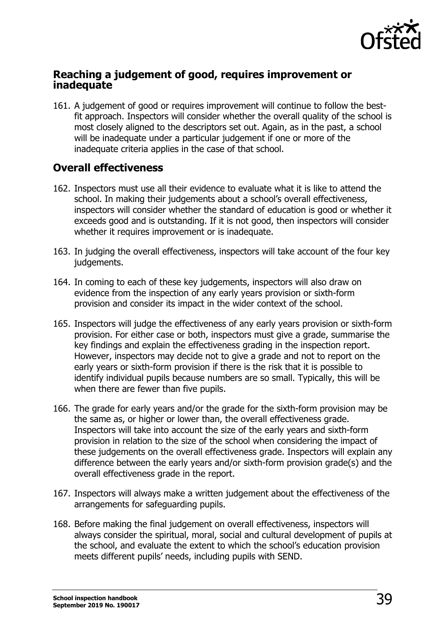

# **Reaching a judgement of good, requires improvement or inadequate**

161. A judgement of good or requires improvement will continue to follow the bestfit approach. Inspectors will consider whether the overall quality of the school is most closely aligned to the descriptors set out. Again, as in the past, a school will be inadequate under a particular judgement if one or more of the inadequate criteria applies in the case of that school.

# **Overall effectiveness**

- 162. Inspectors must use all their evidence to evaluate what it is like to attend the school. In making their judgements about a school's overall effectiveness, inspectors will consider whether the standard of education is good or whether it exceeds good and is outstanding. If it is not good, then inspectors will consider whether it requires improvement or is inadequate.
- 163. In judging the overall effectiveness, inspectors will take account of the four key judgements.
- 164. In coming to each of these key judgements, inspectors will also draw on evidence from the inspection of any early years provision or sixth-form provision and consider its impact in the wider context of the school.
- 165. Inspectors will judge the effectiveness of any early years provision or sixth-form provision. For either case or both, inspectors must give a grade, summarise the key findings and explain the effectiveness grading in the inspection report. However, inspectors may decide not to give a grade and not to report on the early years or sixth-form provision if there is the risk that it is possible to identify individual pupils because numbers are so small. Typically, this will be when there are fewer than five pupils.
- 166. The grade for early years and/or the grade for the sixth-form provision may be the same as, or higher or lower than, the overall effectiveness grade. Inspectors will take into account the size of the early years and sixth-form provision in relation to the size of the school when considering the impact of these judgements on the overall effectiveness grade. Inspectors will explain any difference between the early years and/or sixth-form provision grade(s) and the overall effectiveness grade in the report.
- 167. Inspectors will always make a written judgement about the effectiveness of the arrangements for safeguarding pupils.
- 168. Before making the final judgement on overall effectiveness, inspectors will always consider the spiritual, moral, social and cultural development of pupils at the school, and evaluate the extent to which the school's education provision meets different pupils' needs, including pupils with SEND.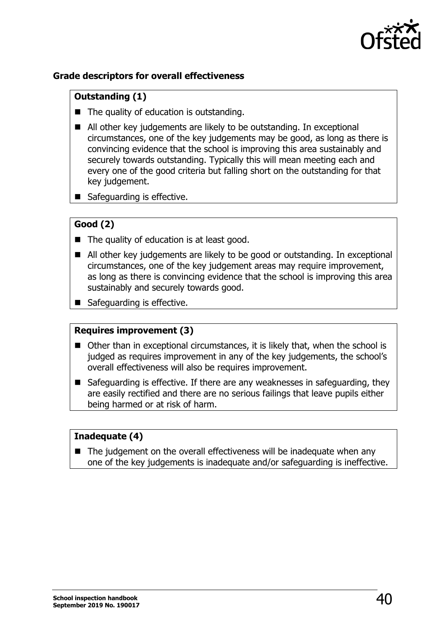

# **Grade descriptors for overall effectiveness**

# **Outstanding (1)**

- The quality of education is outstanding.
- All other key judgements are likely to be outstanding. In exceptional circumstances, one of the key judgements may be good, as long as there is convincing evidence that the school is improving this area sustainably and securely towards outstanding. Typically this will mean meeting each and every one of the good criteria but falling short on the outstanding for that key judgement.
- Safeguarding is effective.

# **Good (2)**

- The quality of education is at least good.
- All other key judgements are likely to be good or outstanding. In exceptional circumstances, one of the key judgement areas may require improvement, as long as there is convincing evidence that the school is improving this area sustainably and securely towards good.
- Safeguarding is effective.

#### **Requires improvement (3)**

- Other than in exceptional circumstances, it is likely that, when the school is judged as requires improvement in any of the key judgements, the school's overall effectiveness will also be requires improvement.
- Safeguarding is effective. If there are any weaknesses in safeguarding, they are easily rectified and there are no serious failings that leave pupils either being harmed or at risk of harm.

#### **Inadequate (4)**

 $\blacksquare$  The judgement on the overall effectiveness will be inadequate when any one of the key judgements is inadequate and/or safeguarding is ineffective.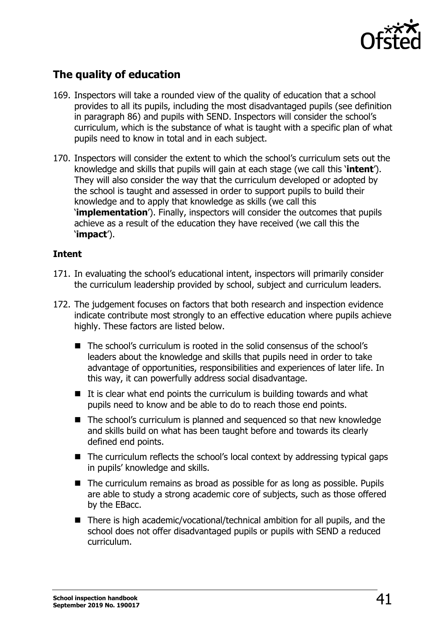

# **The quality of education**

- 169. Inspectors will take a rounded view of the quality of education that a school provides to all its pupils, including the most disadvantaged pupils (see definition in paragraph 86) and pupils with SEND. Inspectors will consider the school's curriculum, which is the substance of what is taught with a specific plan of what pupils need to know in total and in each subject.
- 170. Inspectors will consider the extent to which the school's curriculum sets out the knowledge and skills that pupils will gain at each stage (we call this '**intent**'). They will also consider the way that the curriculum developed or adopted by the school is taught and assessed in order to support pupils to build their knowledge and to apply that knowledge as skills (we call this '**implementation**'). Finally, inspectors will consider the outcomes that pupils achieve as a result of the education they have received (we call this the '**impact**').

#### **Intent**

- 171. In evaluating the school's educational intent, inspectors will primarily consider the curriculum leadership provided by school, subject and curriculum leaders.
- 172. The judgement focuses on factors that both research and inspection evidence indicate contribute most strongly to an effective education where pupils achieve highly. These factors are listed below.
	- The school's curriculum is rooted in the solid consensus of the school's leaders about the knowledge and skills that pupils need in order to take advantage of opportunities, responsibilities and experiences of later life. In this way, it can powerfully address social disadvantage.
	- $\blacksquare$  It is clear what end points the curriculum is building towards and what pupils need to know and be able to do to reach those end points.
	- The school's curriculum is planned and sequenced so that new knowledge and skills build on what has been taught before and towards its clearly defined end points.
	- The curriculum reflects the school's local context by addressing typical gaps in pupils' knowledge and skills.
	- The curriculum remains as broad as possible for as long as possible. Pupils are able to study a strong academic core of subjects, such as those offered by the EBacc.
	- There is high academic/vocational/technical ambition for all pupils, and the school does not offer disadvantaged pupils or pupils with SEND a reduced curriculum.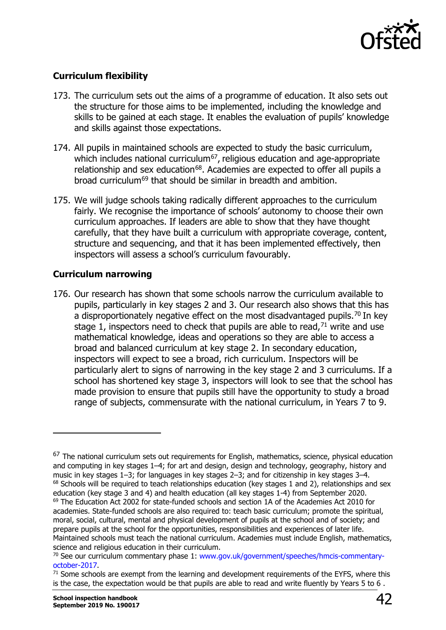

# **Curriculum flexibility**

- 173. The curriculum sets out the aims of a programme of education. It also sets out the structure for those aims to be implemented, including the knowledge and skills to be gained at each stage. It enables the evaluation of pupils' knowledge and skills against those expectations.
- 174. All pupils in maintained schools are expected to study the basic curriculum, which includes national curriculum<sup>67</sup>, religious education and age-appropriate relationship and sex education<sup>68</sup>. Academies are expected to offer all pupils a broad curriculum[69](#page-41-2) that should be similar in breadth and ambition.
- 175. We will judge schools taking radically different approaches to the curriculum fairly. We recognise the importance of schools' autonomy to choose their own curriculum approaches. If leaders are able to show that they have thought carefully, that they have built a curriculum with appropriate coverage, content, structure and sequencing, and that it has been implemented effectively, then inspectors will assess a school's curriculum favourably.

# **Curriculum narrowing**

176. Our research has shown that some schools narrow the curriculum available to pupils, particularly in key stages 2 and 3. Our research also shows that this has a disproportionately negative effect on the most disadvantaged pupils.<sup>[70](#page-41-3)</sup> In key stage 1, inspectors need to check that pupils are able to read,  $71$  write and use mathematical knowledge, ideas and operations so they are able to access a broad and balanced curriculum at key stage 2. In secondary education, inspectors will expect to see a broad, rich curriculum. Inspectors will be particularly alert to signs of narrowing in the key stage 2 and 3 curriculums. If a school has shortened key stage 3, inspectors will look to see that the school has made provision to ensure that pupils still have the opportunity to study a broad range of subjects, commensurate with the national curriculum, in Years 7 to 9.

<span id="page-41-2"></span><span id="page-41-1"></span><span id="page-41-0"></span><sup>&</sup>lt;sup>67</sup> The national curriculum sets out requirements for English, mathematics, science, physical education and computing in key stages 1–4; for art and design, design and technology, geography, history and music in key stages 1–3; for languages in key stages 2–3; and for citizenship in key stages 3–4. 68 Schools will be required to teach relationships education (key stages 1 and 2), relationships and sex education (key stage 3 and 4) and health education (all key stages 1-4) from September 2020. <sup>69</sup> The Education Act 2002 for state-funded schools and section 1A of the Academies Act 2010 for academies. State-funded schools are also required to: teach basic curriculum; promote the spiritual, moral, social, cultural, mental and physical development of pupils at the school and of society; and prepare pupils at the school for the opportunities, responsibilities and experiences of later life. Maintained schools must teach the national curriculum. Academies must include English, mathematics, science and religious education in their curriculum.

<span id="page-41-3"></span><sup>70</sup> See our curriculum commentary phase 1: [www.gov.uk/government/speeches/hmcis-commentary](http://www.gov.uk/government/speeches/hmcis-commentary-october-2017)[october-2017.](http://www.gov.uk/government/speeches/hmcis-commentary-october-2017)<br><sup>71</sup> Some schools are exempt from the learning and development requirements of the EYFS, where this

<span id="page-41-4"></span>is the case, the expectation would be that pupils are able to read and write fluently by Years 5 to 6 .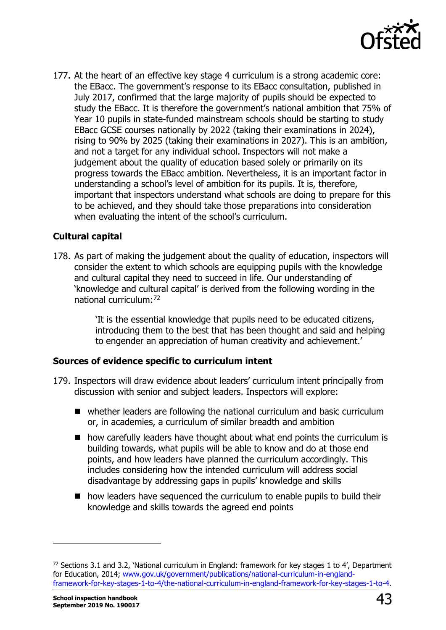

177. At the heart of an effective key stage 4 curriculum is a strong academic core: the EBacc. The government's response to its EBacc consultation, published in July 2017, confirmed that the large majority of pupils should be expected to study the EBacc. It is therefore the government's national ambition that 75% of Year 10 pupils in state-funded mainstream schools should be starting to study EBacc GCSE courses nationally by 2022 (taking their examinations in 2024), rising to 90% by 2025 (taking their examinations in 2027). This is an ambition, and not a target for any individual school. Inspectors will not make a judgement about the quality of education based solely or primarily on its progress towards the EBacc ambition. Nevertheless, it is an important factor in understanding a school's level of ambition for its pupils. It is, therefore, important that inspectors understand what schools are doing to prepare for this to be achieved, and they should take those preparations into consideration when evaluating the intent of the school's curriculum.

# **Cultural capital**

178. As part of making the judgement about the quality of education, inspectors will consider the extent to which schools are equipping pupils with the knowledge and cultural capital they need to succeed in life. Our understanding of 'knowledge and cultural capital' is derived from the following wording in the national curriculum:[72](#page-42-0)

> 'It is the essential knowledge that pupils need to be educated citizens, introducing them to the best that has been thought and said and helping to engender an appreciation of human creativity and achievement.'

#### **Sources of evidence specific to curriculum intent**

- 179. Inspectors will draw evidence about leaders' curriculum intent principally from discussion with senior and subject leaders. Inspectors will explore:
	- whether leaders are following the national curriculum and basic curriculum or, in academies, a curriculum of similar breadth and ambition
	- $\blacksquare$  how carefully leaders have thought about what end points the curriculum is building towards, what pupils will be able to know and do at those end points, and how leaders have planned the curriculum accordingly. This includes considering how the intended curriculum will address social disadvantage by addressing gaps in pupils' knowledge and skills
	- how leaders have sequenced the curriculum to enable pupils to build their knowledge and skills towards the agreed end points

<span id="page-42-0"></span><sup>&</sup>lt;sup>72</sup> Sections 3.1 and 3.2, 'National curriculum in England: framework for key stages 1 to 4', Department for Education, 2014; [www.gov.uk/government/publications/national-curriculum-in-england](http://www.gov.uk/government/publications/national-curriculum-in-england-framework-for-key-stages-1-to-4/the-national-curriculum-in-england-framework-for-key-stages-1-to-4)[framework-for-key-stages-1-to-4/the-national-curriculum-in-england-framework-for-key-stages-1-to-4.](http://www.gov.uk/government/publications/national-curriculum-in-england-framework-for-key-stages-1-to-4/the-national-curriculum-in-england-framework-for-key-stages-1-to-4)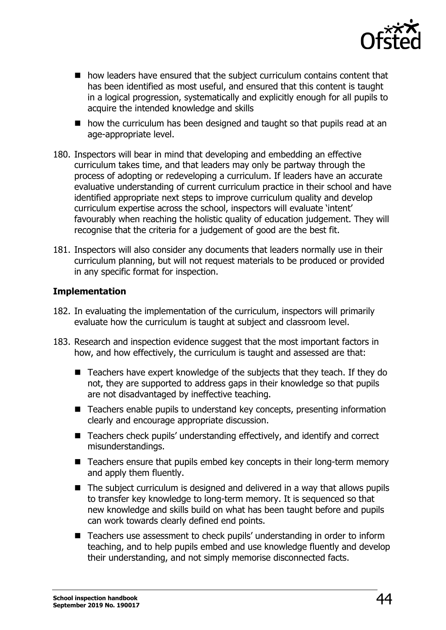

- how leaders have ensured that the subject curriculum contains content that has been identified as most useful, and ensured that this content is taught in a logical progression, systematically and explicitly enough for all pupils to acquire the intended knowledge and skills
- how the curriculum has been designed and taught so that pupils read at an age-appropriate level.
- 180. Inspectors will bear in mind that developing and embedding an effective curriculum takes time, and that leaders may only be partway through the process of adopting or redeveloping a curriculum. If leaders have an accurate evaluative understanding of current curriculum practice in their school and have identified appropriate next steps to improve curriculum quality and develop curriculum expertise across the school, inspectors will evaluate 'intent' favourably when reaching the holistic quality of education judgement. They will recognise that the criteria for a judgement of good are the best fit.
- 181. Inspectors will also consider any documents that leaders normally use in their curriculum planning, but will not request materials to be produced or provided in any specific format for inspection.

#### **Implementation**

- 182. In evaluating the implementation of the curriculum, inspectors will primarily evaluate how the curriculum is taught at subject and classroom level.
- 183. Research and inspection evidence suggest that the most important factors in how, and how effectively, the curriculum is taught and assessed are that:
	- Teachers have expert knowledge of the subjects that they teach. If they do not, they are supported to address gaps in their knowledge so that pupils are not disadvantaged by ineffective teaching.
	- Teachers enable pupils to understand key concepts, presenting information clearly and encourage appropriate discussion.
	- Teachers check pupils' understanding effectively, and identify and correct misunderstandings.
	- Teachers ensure that pupils embed key concepts in their long-term memory and apply them fluently.
	- The subject curriculum is designed and delivered in a way that allows pupils to transfer key knowledge to long-term memory. It is sequenced so that new knowledge and skills build on what has been taught before and pupils can work towards clearly defined end points.
	- Teachers use assessment to check pupils' understanding in order to inform teaching, and to help pupils embed and use knowledge fluently and develop their understanding, and not simply memorise disconnected facts.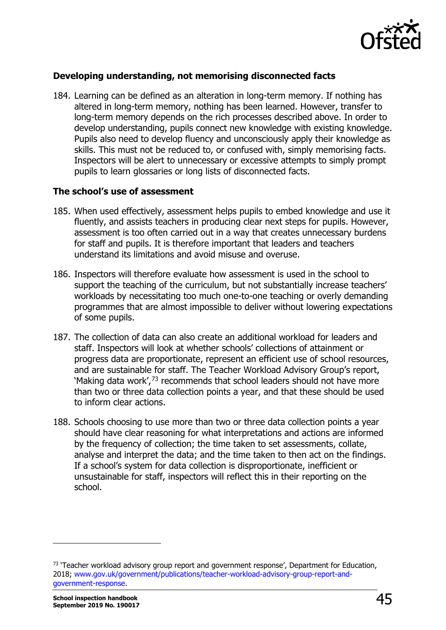

### **Developing understanding, not memorising disconnected facts**

184. Learning can be defined as an alteration in long-term memory. If nothing has altered in long-term memory, nothing has been learned. However, transfer to long-term memory depends on the rich processes described above. In order to develop understanding, pupils connect new knowledge with existing knowledge. Pupils also need to develop fluency and unconsciously apply their knowledge as skills. This must not be reduced to, or confused with, simply memorising facts. Inspectors will be alert to unnecessary or excessive attempts to simply prompt pupils to learn glossaries or long lists of disconnected facts.

#### **The school's use of assessment**

- 185. When used effectively, assessment helps pupils to embed knowledge and use it fluently, and assists teachers in producing clear next steps for pupils. However, assessment is too often carried out in a way that creates unnecessary burdens for staff and pupils. It is therefore important that leaders and teachers understand its limitations and avoid misuse and overuse.
- 186. Inspectors will therefore evaluate how assessment is used in the school to support the teaching of the curriculum, but not substantially increase teachers' workloads by necessitating too much one-to-one teaching or overly demanding programmes that are almost impossible to deliver without lowering expectations of some pupils.
- 187. The collection of data can also create an additional workload for leaders and staff. Inspectors will look at whether schools' collections of attainment or progress data are proportionate, represent an efficient use of school resources, and are sustainable for staff. The Teacher Workload Advisory Group's report, 'Making data work',[73](#page-44-0) recommends that school leaders should not have more than two or three data collection points a year, and that these should be used to inform clear actions.
- 188. Schools choosing to use more than two or three data collection points a year should have clear reasoning for what interpretations and actions are informed by the frequency of collection; the time taken to set assessments, collate, analyse and interpret the data; and the time taken to then act on the findings. If a school's system for data collection is disproportionate, inefficient or unsustainable for staff, inspectors will reflect this in their reporting on the school.

<span id="page-44-0"></span><sup>&</sup>lt;sup>73</sup> 'Teacher workload advisory group report and government response', Department for Education, 2018; [www.gov.uk/government/publications/teacher-workload-advisory-group-report-and](http://www.gov.uk/government/publications/teacher-workload-advisory-group-report-and-government-response)[government-response.](http://www.gov.uk/government/publications/teacher-workload-advisory-group-report-and-government-response)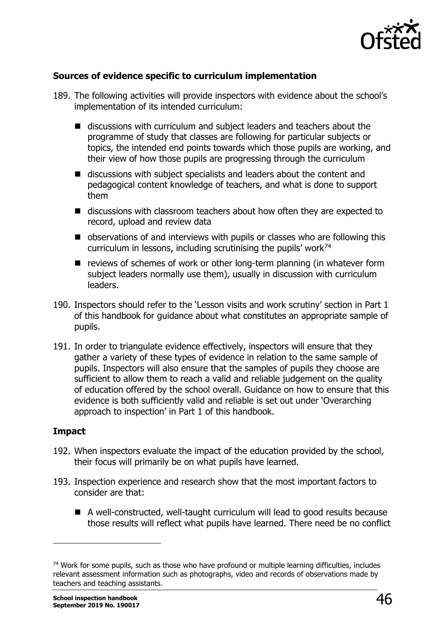

# **Sources of evidence specific to curriculum implementation**

- 189. The following activities will provide inspectors with evidence about the school's implementation of its intended curriculum:
	- discussions with curriculum and subject leaders and teachers about the programme of study that classes are following for particular subjects or topics, the intended end points towards which those pupils are working, and their view of how those pupils are progressing through the curriculum
	- discussions with subject specialists and leaders about the content and pedagogical content knowledge of teachers, and what is done to support them
	- discussions with classroom teachers about how often they are expected to record, upload and review data
	- observations of and interviews with pupils or classes who are following this curriculum in lessons, including scrutinising the pupils' work<sup>[74](#page-45-0)</sup>
	- $\blacksquare$  reviews of schemes of work or other long-term planning (in whatever form subject leaders normally use them), usually in discussion with curriculum leaders.
- 190. Inspectors should refer to the 'Lesson visits and work scrutiny' section in Part 1 of this handbook for guidance about what constitutes an appropriate sample of pupils.
- 191. In order to triangulate evidence effectively, inspectors will ensure that they gather a variety of these types of evidence in relation to the same sample of pupils. Inspectors will also ensure that the samples of pupils they choose are sufficient to allow them to reach a valid and reliable judgement on the quality of education offered by the school overall. Guidance on how to ensure that this evidence is both sufficiently valid and reliable is set out under 'Overarching approach to inspection' in Part 1 of this handbook.

#### **Impact**

- 192. When inspectors evaluate the impact of the education provided by the school, their focus will primarily be on what pupils have learned.
- 193. Inspection experience and research show that the most important factors to consider are that:
	- A well-constructed, well-taught curriculum will lead to good results because those results will reflect what pupils have learned. There need be no conflict

<span id="page-45-0"></span><sup>&</sup>lt;sup>74</sup> Work for some pupils, such as those who have profound or multiple learning difficulties, includes relevant assessment information such as photographs, video and records of observations made by teachers and teaching assistants.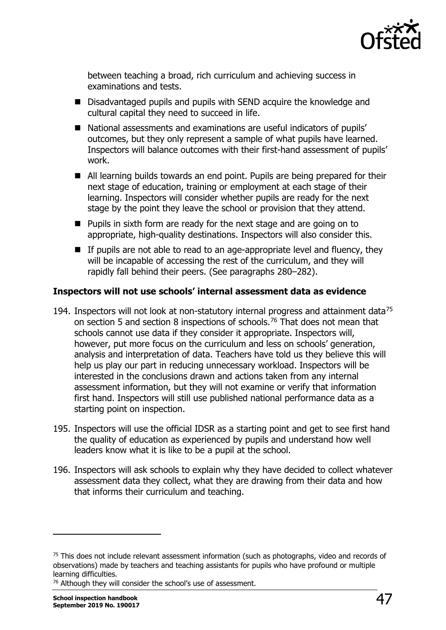

between teaching a broad, rich curriculum and achieving success in examinations and tests.

- Disadvantaged pupils and pupils with SEND acquire the knowledge and cultural capital they need to succeed in life.
- National assessments and examinations are useful indicators of pupils' outcomes, but they only represent a sample of what pupils have learned. Inspectors will balance outcomes with their first-hand assessment of pupils' work.
- All learning builds towards an end point. Pupils are being prepared for their next stage of education, training or employment at each stage of their learning. Inspectors will consider whether pupils are ready for the next stage by the point they leave the school or provision that they attend.
- **Pupils in sixth form are ready for the next stage and are going on to** appropriate, high-quality destinations. Inspectors will also consider this.
- $\blacksquare$  If pupils are not able to read to an age-appropriate level and fluency, they will be incapable of accessing the rest of the curriculum, and they will rapidly fall behind their peers. (See paragraphs 280–282).

#### **Inspectors will not use schools' internal assessment data as evidence**

- 194. Inspectors will not look at non-statutory internal progress and attainment data<sup>[75](#page-46-0)</sup> on section 5 and section 8 inspections of schools.<sup>[76](#page-46-1)</sup> That does not mean that schools cannot use data if they consider it appropriate. Inspectors will, however, put more focus on the curriculum and less on schools' generation, analysis and interpretation of data. Teachers have told us they believe this will help us play our part in reducing unnecessary workload. Inspectors will be interested in the conclusions drawn and actions taken from any internal assessment information, but they will not examine or verify that information first hand. Inspectors will still use published national performance data as a starting point on inspection.
- 195. Inspectors will use the official IDSR as a starting point and get to see first hand the quality of education as experienced by pupils and understand how well leaders know what it is like to be a pupil at the school.
- 196. Inspectors will ask schools to explain why they have decided to collect whatever assessment data they collect, what they are drawing from their data and how that informs their curriculum and teaching.

<span id="page-46-0"></span> $75$  This does not include relevant assessment information (such as photographs, video and records of observations) made by teachers and teaching assistants for pupils who have profound or multiple learning difficulties.

<span id="page-46-1"></span><sup>&</sup>lt;sup>76</sup> Although they will consider the school's use of assessment.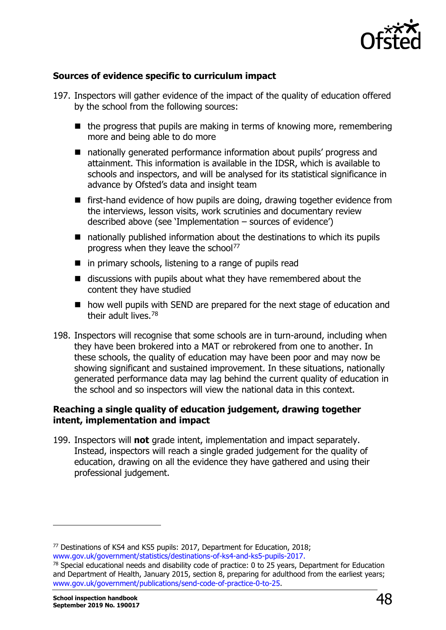

### **Sources of evidence specific to curriculum impact**

- 197. Inspectors will gather evidence of the impact of the quality of education offered by the school from the following sources:
	- $\blacksquare$  the progress that pupils are making in terms of knowing more, remembering more and being able to do more
	- nationally generated performance information about pupils' progress and attainment. This information is available in the IDSR, which is available to schools and inspectors, and will be analysed for its statistical significance in advance by Ofsted's data and insight team
	- first-hand evidence of how pupils are doing, drawing together evidence from the interviews, lesson visits, work scrutinies and documentary review described above (see 'Implementation – sources of evidence')
	- nationally published information about the destinations to which its pupils progress when they leave the school<sup>[77](#page-47-0)</sup>
	- $\blacksquare$  in primary schools, listening to a range of pupils read
	- $\blacksquare$  discussions with pupils about what they have remembered about the content they have studied
	- how well pupils with SEND are prepared for the next stage of education and their adult lives.[78](#page-47-1)
- 198. Inspectors will recognise that some schools are in turn-around, including when they have been brokered into a MAT or rebrokered from one to another. In these schools, the quality of education may have been poor and may now be showing significant and sustained improvement. In these situations, nationally generated performance data may lag behind the current quality of education in the school and so inspectors will view the national data in this context.

#### **Reaching a single quality of education judgement, drawing together intent, implementation and impact**

199. Inspectors will **not** grade intent, implementation and impact separately. Instead, inspectors will reach a single graded judgement for the quality of education, drawing on all the evidence they have gathered and using their professional judgement.

<span id="page-47-0"></span><sup>77</sup> Destinations of KS4 and KS5 pupils: 2017, Department for Education, 2018; [www.gov.uk/government/statistics/destinations-of-ks4-and-ks5-pupils-2017.](http://www.gov.uk/government/statistics/destinations-of-ks4-and-ks5-pupils-2017)

<span id="page-47-1"></span><sup>&</sup>lt;sup>78</sup> Special educational needs and disability code of practice: 0 to 25 years, Department for Education and Department of Health, January 2015, section 8, preparing for adulthood from the earliest years; [www.gov.uk/government/publications/send-code-of-practice-0-to-25.](http://www.gov.uk/government/publications/send-code-of-practice-0-to-25)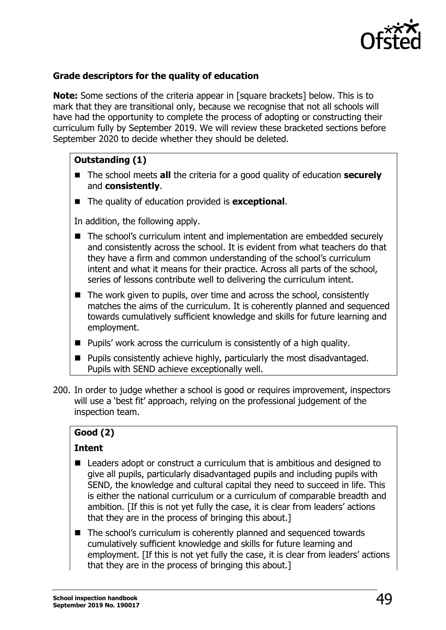

# **Grade descriptors for the quality of education**

**Note:** Some sections of the criteria appear in [square brackets] below. This is to mark that they are transitional only, because we recognise that not all schools will have had the opportunity to complete the process of adopting or constructing their curriculum fully by September 2019. We will review these bracketed sections before September 2020 to decide whether they should be deleted.

# **Outstanding (1)**

- The school meets **all** the criteria for a good quality of education **securely** and **consistently**.
- The quality of education provided is **exceptional**.

In addition, the following apply.

- The school's curriculum intent and implementation are embedded securely and consistently across the school. It is evident from what teachers do that they have a firm and common understanding of the school's curriculum intent and what it means for their practice. Across all parts of the school, series of lessons contribute well to delivering the curriculum intent.
- $\blacksquare$  The work given to pupils, over time and across the school, consistently matches the aims of the curriculum. It is coherently planned and sequenced towards cumulatively sufficient knowledge and skills for future learning and employment.
- $\blacksquare$  Pupils' work across the curriculum is consistently of a high quality.
- Pupils consistently achieve highly, particularly the most disadvantaged. Pupils with SEND achieve exceptionally well.
- 200. In order to judge whether a school is good or requires improvement, inspectors will use a 'best fit' approach, relying on the professional judgement of the inspection team.

# **Good (2)**

#### **Intent**

- Leaders adopt or construct a curriculum that is ambitious and designed to give all pupils, particularly disadvantaged pupils and including pupils with SEND, the knowledge and cultural capital they need to succeed in life. This is either the national curriculum or a curriculum of comparable breadth and ambition. [If this is not yet fully the case, it is clear from leaders' actions that they are in the process of bringing this about.]
- The school's curriculum is coherently planned and sequenced towards cumulatively sufficient knowledge and skills for future learning and employment. [If this is not yet fully the case, it is clear from leaders' actions that they are in the process of bringing this about.]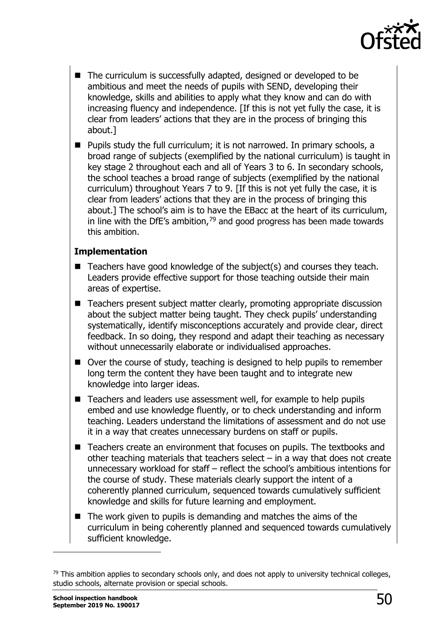

- The curriculum is successfully adapted, designed or developed to be ambitious and meet the needs of pupils with SEND, developing their knowledge, skills and abilities to apply what they know and can do with increasing fluency and independence. [If this is not yet fully the case, it is clear from leaders' actions that they are in the process of bringing this about.]
- Pupils study the full curriculum; it is not narrowed. In primary schools, a broad range of subjects (exemplified by the national curriculum) is taught in key stage 2 throughout each and all of Years 3 to 6. In secondary schools, the school teaches a broad range of subjects (exemplified by the national curriculum) throughout Years 7 to 9. [If this is not yet fully the case, it is clear from leaders' actions that they are in the process of bringing this about.] The school's aim is to have the EBacc at the heart of its curriculum, in line with the DfE's ambition, $79$  and good progress has been made towards this ambition.

#### **Implementation**

- $\blacksquare$  Teachers have good knowledge of the subject(s) and courses they teach. Leaders provide effective support for those teaching outside their main areas of expertise.
- Teachers present subject matter clearly, promoting appropriate discussion about the subject matter being taught. They check pupils' understanding systematically, identify misconceptions accurately and provide clear, direct feedback. In so doing, they respond and adapt their teaching as necessary without unnecessarily elaborate or individualised approaches.
- Over the course of study, teaching is designed to help pupils to remember long term the content they have been taught and to integrate new knowledge into larger ideas.
- Teachers and leaders use assessment well, for example to help pupils embed and use knowledge fluently, or to check understanding and inform teaching. Leaders understand the limitations of assessment and do not use it in a way that creates unnecessary burdens on staff or pupils.
- Teachers create an environment that focuses on pupils. The textbooks and other teaching materials that teachers select – in a way that does not create unnecessary workload for staff – reflect the school's ambitious intentions for the course of study. These materials clearly support the intent of a coherently planned curriculum, sequenced towards cumulatively sufficient knowledge and skills for future learning and employment.
- $\blacksquare$  The work given to pupils is demanding and matches the aims of the curriculum in being coherently planned and sequenced towards cumulatively sufficient knowledge.

<span id="page-49-0"></span><sup>&</sup>lt;sup>79</sup> This ambition applies to secondary schools only, and does not apply to university technical colleges, studio schools, alternate provision or special schools.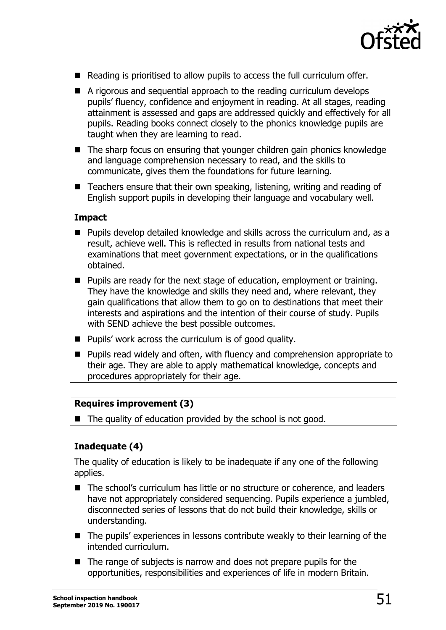

- Reading is prioritised to allow pupils to access the full curriculum offer.
- A rigorous and sequential approach to the reading curriculum develops pupils' fluency, confidence and enjoyment in reading. At all stages, reading attainment is assessed and gaps are addressed quickly and effectively for all pupils. Reading books connect closely to the phonics knowledge pupils are taught when they are learning to read.
- The sharp focus on ensuring that younger children gain phonics knowledge and language comprehension necessary to read, and the skills to communicate, gives them the foundations for future learning.
- $\blacksquare$  Teachers ensure that their own speaking, listening, writing and reading of English support pupils in developing their language and vocabulary well.

#### **Impact**

- Pupils develop detailed knowledge and skills across the curriculum and, as a result, achieve well. This is reflected in results from national tests and examinations that meet government expectations, or in the qualifications obtained.
- Pupils are ready for the next stage of education, employment or training. They have the knowledge and skills they need and, where relevant, they gain qualifications that allow them to go on to destinations that meet their interests and aspirations and the intention of their course of study. Pupils with SEND achieve the best possible outcomes.
- $\blacksquare$  Pupils' work across the curriculum is of good quality.
- **Pupils read widely and often, with fluency and comprehension appropriate to** their age. They are able to apply mathematical knowledge, concepts and procedures appropriately for their age.

#### **Requires improvement (3)**

 $\blacksquare$  The quality of education provided by the school is not good.

# **Inadequate (4)**

The quality of education is likely to be inadequate if any one of the following applies.

- The school's curriculum has little or no structure or coherence, and leaders have not appropriately considered sequencing. Pupils experience a jumbled, disconnected series of lessons that do not build their knowledge, skills or understanding.
- The pupils' experiences in lessons contribute weakly to their learning of the intended curriculum.
- $\blacksquare$  The range of subjects is narrow and does not prepare pupils for the opportunities, responsibilities and experiences of life in modern Britain.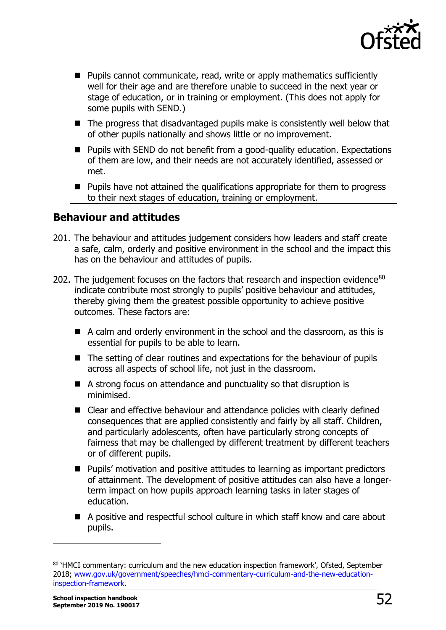

- Pupils cannot communicate, read, write or apply mathematics sufficiently well for their age and are therefore unable to succeed in the next year or stage of education, or in training or employment. (This does not apply for some pupils with SEND.)
- The progress that disadvantaged pupils make is consistently well below that of other pupils nationally and shows little or no improvement.
- Pupils with SEND do not benefit from a good-quality education. Expectations of them are low, and their needs are not accurately identified, assessed or met.
- Pupils have not attained the qualifications appropriate for them to progress to their next stages of education, training or employment.

# **Behaviour and attitudes**

- 201. The behaviour and attitudes judgement considers how leaders and staff create a safe, calm, orderly and positive environment in the school and the impact this has on the behaviour and attitudes of pupils.
- 202. The judgement focuses on the factors that research and inspection evidence<sup>80</sup> indicate contribute most strongly to pupils' positive behaviour and attitudes, thereby giving them the greatest possible opportunity to achieve positive outcomes. These factors are:
	- A calm and orderly environment in the school and the classroom, as this is essential for pupils to be able to learn.
	- The setting of clear routines and expectations for the behaviour of pupils across all aspects of school life, not just in the classroom.
	- A strong focus on attendance and punctuality so that disruption is minimised.
	- Clear and effective behaviour and attendance policies with clearly defined consequences that are applied consistently and fairly by all staff. Children, and particularly adolescents, often have particularly strong concepts of fairness that may be challenged by different treatment by different teachers or of different pupils.
	- Pupils' motivation and positive attitudes to learning as important predictors of attainment. The development of positive attitudes can also have a longerterm impact on how pupils approach learning tasks in later stages of education.
	- A positive and respectful school culture in which staff know and care about pupils.

<span id="page-51-0"></span><sup>80 &#</sup>x27;HMCI commentary: curriculum and the new education inspection framework', Ofsted, September 2018; [www.gov.uk/government/speeches/hmci-commentary-curriculum-and-the-new-education](http://www.gov.uk/government/speeches/hmci-commentary-curriculum-and-the-new-education-inspection-framework)[inspection-framework.](http://www.gov.uk/government/speeches/hmci-commentary-curriculum-and-the-new-education-inspection-framework)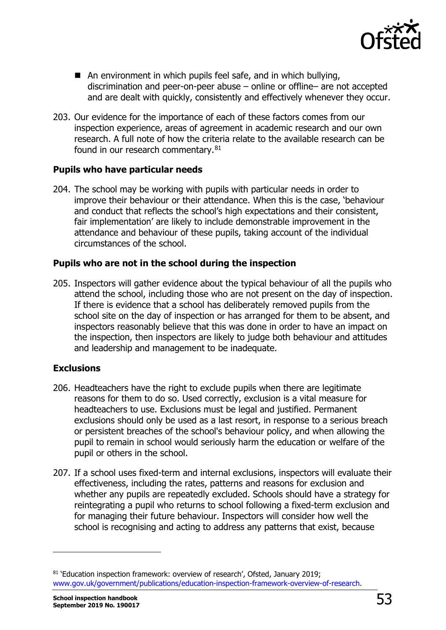

- An environment in which pupils feel safe, and in which bullying, discrimination and peer-on-peer abuse – online or offline– are not accepted and are dealt with quickly, consistently and effectively whenever they occur.
- 203. Our evidence for the importance of each of these factors comes from our inspection experience, areas of agreement in academic research and our own research. A full note of how the criteria relate to the available research can be found in our research commentary.<sup>[81](#page-52-0)</sup>

#### **Pupils who have particular needs**

204. The school may be working with pupils with particular needs in order to improve their behaviour or their attendance. When this is the case, 'behaviour and conduct that reflects the school's high expectations and their consistent, fair implementation' are likely to include demonstrable improvement in the attendance and behaviour of these pupils, taking account of the individual circumstances of the school.

#### **Pupils who are not in the school during the inspection**

205. Inspectors will gather evidence about the typical behaviour of all the pupils who attend the school, including those who are not present on the day of inspection. If there is evidence that a school has deliberately removed pupils from the school site on the day of inspection or has arranged for them to be absent, and inspectors reasonably believe that this was done in order to have an impact on the inspection, then inspectors are likely to judge both behaviour and attitudes and leadership and management to be inadequate.

#### **Exclusions**

- 206. Headteachers have the right to exclude pupils when there are legitimate reasons for them to do so. Used correctly, exclusion is a vital measure for headteachers to use. Exclusions must be legal and justified. Permanent exclusions should only be used as a last resort, in response to a serious breach or persistent breaches of the school's behaviour policy, and when allowing the pupil to remain in school would seriously harm the education or welfare of the pupil or others in the school.
- 207. If a school uses fixed-term and internal exclusions, inspectors will evaluate their effectiveness, including the rates, patterns and reasons for exclusion and whether any pupils are repeatedly excluded. Schools should have a strategy for reintegrating a pupil who returns to school following a fixed-term exclusion and for managing their future behaviour. Inspectors will consider how well the school is recognising and acting to address any patterns that exist, because

<span id="page-52-0"></span><sup>81 &#</sup>x27;Education inspection framework: overview of research', Ofsted, January 2019; [www.gov.uk/government/publications/education-inspection-framework-overview-of-research.](http://www.gov.uk/government/publications/education-inspection-framework-overview-of-research)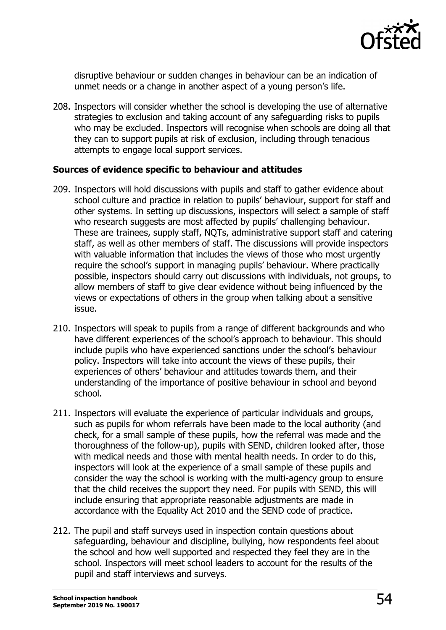

disruptive behaviour or sudden changes in behaviour can be an indication of unmet needs or a change in another aspect of a young person's life.

208. Inspectors will consider whether the school is developing the use of alternative strategies to exclusion and taking account of any safeguarding risks to pupils who may be excluded. Inspectors will recognise when schools are doing all that they can to support pupils at risk of exclusion, including through tenacious attempts to engage local support services.

#### **Sources of evidence specific to behaviour and attitudes**

- 209. Inspectors will hold discussions with pupils and staff to gather evidence about school culture and practice in relation to pupils' behaviour, support for staff and other systems. In setting up discussions, inspectors will select a sample of staff who research suggests are most affected by pupils' challenging behaviour. These are trainees, supply staff, NQTs, administrative support staff and catering staff, as well as other members of staff. The discussions will provide inspectors with valuable information that includes the views of those who most urgently require the school's support in managing pupils' behaviour. Where practically possible, inspectors should carry out discussions with individuals, not groups, to allow members of staff to give clear evidence without being influenced by the views or expectations of others in the group when talking about a sensitive issue.
- 210. Inspectors will speak to pupils from a range of different backgrounds and who have different experiences of the school's approach to behaviour. This should include pupils who have experienced sanctions under the school's behaviour policy. Inspectors will take into account the views of these pupils, their experiences of others' behaviour and attitudes towards them, and their understanding of the importance of positive behaviour in school and beyond school.
- 211. Inspectors will evaluate the experience of particular individuals and groups, such as pupils for whom referrals have been made to the local authority (and check, for a small sample of these pupils, how the referral was made and the thoroughness of the follow-up), pupils with SEND, children looked after, those with medical needs and those with mental health needs. In order to do this, inspectors will look at the experience of a small sample of these pupils and consider the way the school is working with the multi-agency group to ensure that the child receives the support they need. For pupils with SEND, this will include ensuring that appropriate reasonable adjustments are made in accordance with the Equality Act 2010 and the SEND code of practice.
- 212. The pupil and staff surveys used in inspection contain questions about safeguarding, behaviour and discipline, bullying, how respondents feel about the school and how well supported and respected they feel they are in the school. Inspectors will meet school leaders to account for the results of the pupil and staff interviews and surveys.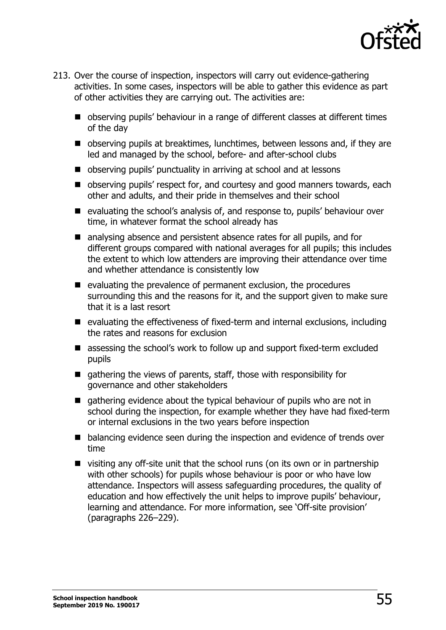

- 213. Over the course of inspection, inspectors will carry out evidence-gathering activities. In some cases, inspectors will be able to gather this evidence as part of other activities they are carrying out. The activities are:
	- observing pupils' behaviour in a range of different classes at different times of the day
	- observing pupils at breaktimes, lunchtimes, between lessons and, if they are led and managed by the school, before- and after-school clubs
	- observing pupils' punctuality in arriving at school and at lessons
	- observing pupils' respect for, and courtesy and good manners towards, each other and adults, and their pride in themselves and their school
	- evaluating the school's analysis of, and response to, pupils' behaviour over time, in whatever format the school already has
	- analysing absence and persistent absence rates for all pupils, and for different groups compared with national averages for all pupils; this includes the extent to which low attenders are improving their attendance over time and whether attendance is consistently low
	- $\blacksquare$  evaluating the prevalence of permanent exclusion, the procedures surrounding this and the reasons for it, and the support given to make sure that it is a last resort
	- $\blacksquare$  evaluating the effectiveness of fixed-term and internal exclusions, including the rates and reasons for exclusion
	- assessing the school's work to follow up and support fixed-term excluded pupils
	- $\blacksquare$  gathering the views of parents, staff, those with responsibility for governance and other stakeholders
	- $\Box$  gathering evidence about the typical behaviour of pupils who are not in school during the inspection, for example whether they have had fixed-term or internal exclusions in the two years before inspection
	- balancing evidence seen during the inspection and evidence of trends over time
	- visiting any off-site unit that the school runs (on its own or in partnership with other schools) for pupils whose behaviour is poor or who have low attendance. Inspectors will assess safeguarding procedures, the quality of education and how effectively the unit helps to improve pupils' behaviour, learning and attendance. For more information, see 'Off-site provision' (paragraphs 226–229).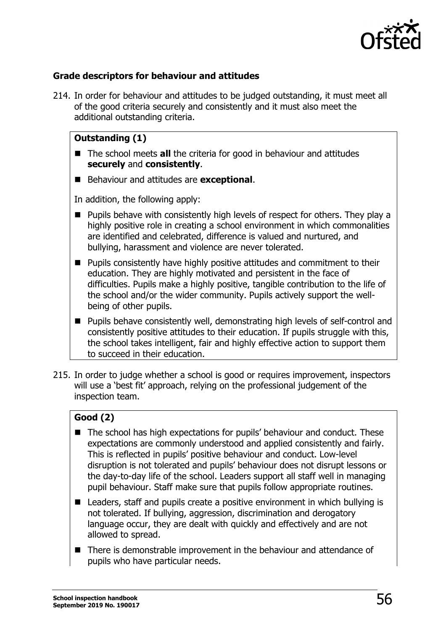

# **Grade descriptors for behaviour and attitudes**

214. In order for behaviour and attitudes to be judged outstanding, it must meet all of the good criteria securely and consistently and it must also meet the additional outstanding criteria.

# **Outstanding (1)**

- The school meets **all** the criteria for good in behaviour and attitudes **securely** and **consistently**.
- Behaviour and attitudes are **exceptional**.

In addition, the following apply:

- **Pupils behave with consistently high levels of respect for others. They play a** highly positive role in creating a school environment in which commonalities are identified and celebrated, difference is valued and nurtured, and bullying, harassment and violence are never tolerated.
- **Pupils consistently have highly positive attitudes and commitment to their** education. They are highly motivated and persistent in the face of difficulties. Pupils make a highly positive, tangible contribution to the life of the school and/or the wider community. Pupils actively support the wellbeing of other pupils.
- Pupils behave consistently well, demonstrating high levels of self-control and consistently positive attitudes to their education. If pupils struggle with this, the school takes intelligent, fair and highly effective action to support them to succeed in their education.
- 215. In order to judge whether a school is good or requires improvement, inspectors will use a 'best fit' approach, relying on the professional judgement of the inspection team.

# **Good (2)**

- The school has high expectations for pupils' behaviour and conduct. These expectations are commonly understood and applied consistently and fairly. This is reflected in pupils' positive behaviour and conduct. Low-level disruption is not tolerated and pupils' behaviour does not disrupt lessons or the day-to-day life of the school. Leaders support all staff well in managing pupil behaviour. Staff make sure that pupils follow appropriate routines.
- Leaders, staff and pupils create a positive environment in which bullying is not tolerated. If bullying, aggression, discrimination and derogatory language occur, they are dealt with quickly and effectively and are not allowed to spread.
- There is demonstrable improvement in the behaviour and attendance of pupils who have particular needs.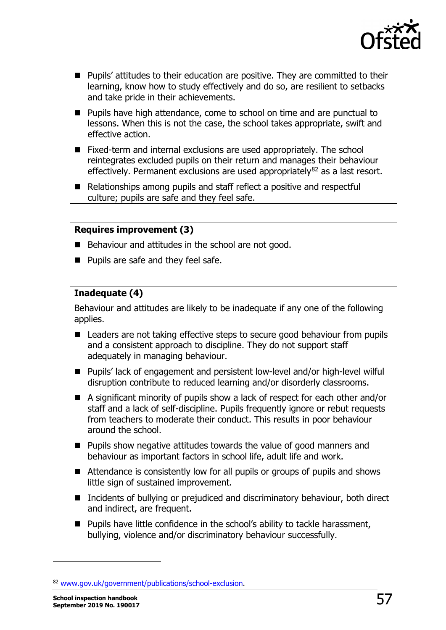

- **Pupils' attitudes to their education are positive. They are committed to their** learning, know how to study effectively and do so, are resilient to setbacks and take pride in their achievements.
- Pupils have high attendance, come to school on time and are punctual to lessons. When this is not the case, the school takes appropriate, swift and effective action.
- Fixed-term and internal exclusions are used appropriately. The school reintegrates excluded pupils on their return and manages their behaviour effectively. Permanent exclusions are used appropriately $82$  as a last resort.
- Relationships among pupils and staff reflect a positive and respectful culture; pupils are safe and they feel safe.

# **Requires improvement (3)**

- Behaviour and attitudes in the school are not good.
- **Pupils are safe and they feel safe.**

# **Inadequate (4)**

Behaviour and attitudes are likely to be inadequate if any one of the following applies.

- Leaders are not taking effective steps to secure good behaviour from pupils and a consistent approach to discipline. They do not support staff adequately in managing behaviour.
- Pupils' lack of engagement and persistent low-level and/or high-level wilful disruption contribute to reduced learning and/or disorderly classrooms.
- A significant minority of pupils show a lack of respect for each other and/or staff and a lack of self-discipline. Pupils frequently ignore or rebut requests from teachers to moderate their conduct. This results in poor behaviour around the school.
- **Pupils show negative attitudes towards the value of good manners and** behaviour as important factors in school life, adult life and work.
- Attendance is consistently low for all pupils or groups of pupils and shows little sign of sustained improvement.
- Incidents of bullying or prejudiced and discriminatory behaviour, both direct and indirect, are frequent.
- Pupils have little confidence in the school's ability to tackle harassment, bullying, violence and/or discriminatory behaviour successfully.

1

<span id="page-56-0"></span><sup>82</sup> [www.gov.uk/government/publications/school-exclusion.](http://www.gov.uk/government/publications/school-exclusion)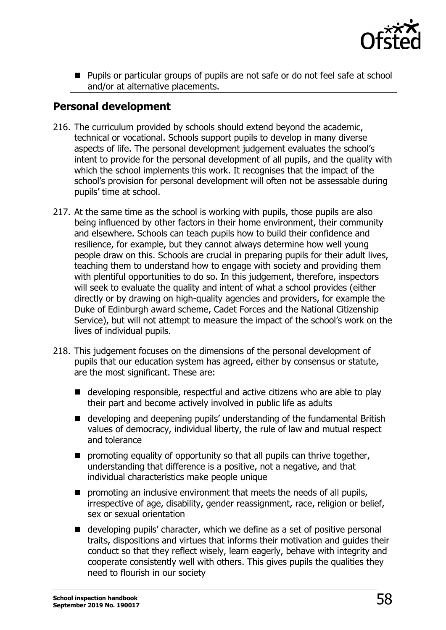

**Pupils or particular groups of pupils are not safe or do not feel safe at school** and/or at alternative placements.

# **Personal development**

- 216. The curriculum provided by schools should extend beyond the academic, technical or vocational. Schools support pupils to develop in many diverse aspects of life. The personal development judgement evaluates the school's intent to provide for the personal development of all pupils, and the quality with which the school implements this work. It recognises that the impact of the school's provision for personal development will often not be assessable during pupils' time at school.
- 217. At the same time as the school is working with pupils, those pupils are also being influenced by other factors in their home environment, their community and elsewhere. Schools can teach pupils how to build their confidence and resilience, for example, but they cannot always determine how well young people draw on this. Schools are crucial in preparing pupils for their adult lives, teaching them to understand how to engage with society and providing them with plentiful opportunities to do so. In this judgement, therefore, inspectors will seek to evaluate the quality and intent of what a school provides (either directly or by drawing on high-quality agencies and providers, for example the Duke of Edinburgh award scheme, Cadet Forces and the National Citizenship Service), but will not attempt to measure the impact of the school's work on the lives of individual pupils.
- 218. This judgement focuses on the dimensions of the personal development of pupils that our education system has agreed, either by consensus or statute, are the most significant. These are:
	- developing responsible, respectful and active citizens who are able to play their part and become actively involved in public life as adults
	- developing and deepening pupils' understanding of the fundamental British values of democracy, individual liberty, the rule of law and mutual respect and tolerance
	- $\blacksquare$  promoting equality of opportunity so that all pupils can thrive together, understanding that difference is a positive, not a negative, and that individual characteristics make people unique
	- $\blacksquare$  promoting an inclusive environment that meets the needs of all pupils, irrespective of age, disability, gender reassignment, race, religion or belief, sex or sexual orientation
	- developing pupils' character, which we define as a set of positive personal traits, dispositions and virtues that informs their motivation and guides their conduct so that they reflect wisely, learn eagerly, behave with integrity and cooperate consistently well with others. This gives pupils the qualities they need to flourish in our society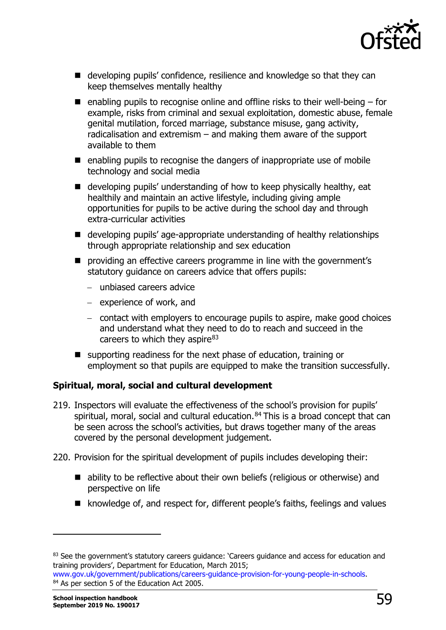

- developing pupils' confidence, resilience and knowledge so that they can keep themselves mentally healthy
- $\blacksquare$  enabling pupils to recognise online and offline risks to their well-being for example, risks from criminal and sexual exploitation, domestic abuse, female genital mutilation, forced marriage, substance misuse, gang activity, radicalisation and extremism – and making them aware of the support available to them
- $\blacksquare$  enabling pupils to recognise the dangers of inappropriate use of mobile technology and social media
- $\blacksquare$  developing pupils' understanding of how to keep physically healthy, eat healthily and maintain an active lifestyle, including giving ample opportunities for pupils to be active during the school day and through extra-curricular activities
- developing pupils' age-appropriate understanding of healthy relationships through appropriate relationship and sex education
- **P** providing an effective careers programme in line with the government's statutory guidance on careers advice that offers pupils:
	- − unbiased careers advice
	- − experience of work, and
	- − contact with employers to encourage pupils to aspire, make good choices and understand what they need to do to reach and succeed in the careers to which they aspire $83$
- supporting readiness for the next phase of education, training or employment so that pupils are equipped to make the transition successfully.

# **Spiritual, moral, social and cultural development**

- 219. Inspectors will evaluate the effectiveness of the school's provision for pupils' spiritual, moral, social and cultural education.<sup>[84](#page-58-1)</sup> This is a broad concept that can be seen across the school's activities, but draws together many of the areas covered by the personal development judgement.
- 220. Provision for the spiritual development of pupils includes developing their:
	- ability to be reflective about their own beliefs (religious or otherwise) and perspective on life
	- knowledge of, and respect for, different people's faiths, feelings and values

1

<span id="page-58-0"></span><sup>&</sup>lt;sup>83</sup> See the government's statutory careers guidance: 'Careers guidance and access for education and training providers', Department for Education, March 2015;

<span id="page-58-1"></span>[www.gov.uk/government/publications/careers-guidance-provision-for-young-people-in-schools.](http://www.gov.uk/government/publications/careers-guidance-provision-for-young-people-in-schools) 84 As per section 5 of the Education Act 2005.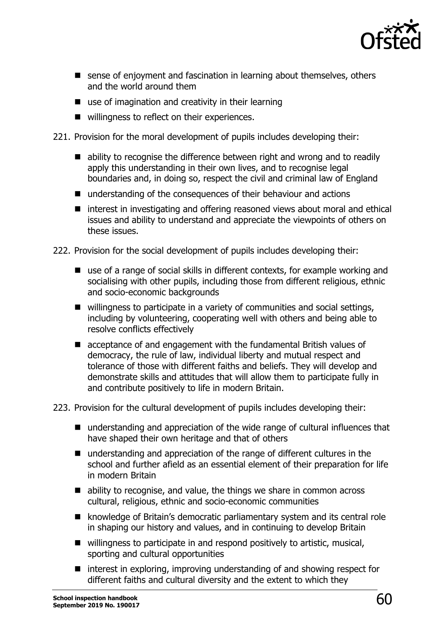

- sense of enjoyment and fascination in learning about themselves, others and the world around them
- $\blacksquare$  use of imagination and creativity in their learning
- willingness to reflect on their experiences.
- 221. Provision for the moral development of pupils includes developing their:
	- ability to recognise the difference between right and wrong and to readily apply this understanding in their own lives, and to recognise legal boundaries and, in doing so, respect the civil and criminal law of England
	- understanding of the consequences of their behaviour and actions
	- $\blacksquare$  interest in investigating and offering reasoned views about moral and ethical issues and ability to understand and appreciate the viewpoints of others on these issues.
- 222. Provision for the social development of pupils includes developing their:
	- use of a range of social skills in different contexts, for example working and socialising with other pupils, including those from different religious, ethnic and socio-economic backgrounds
	- willingness to participate in a variety of communities and social settings, including by volunteering, cooperating well with others and being able to resolve conflicts effectively
	- **E** acceptance of and engagement with the fundamental British values of democracy, the rule of law, individual liberty and mutual respect and tolerance of those with different faiths and beliefs. They will develop and demonstrate skills and attitudes that will allow them to participate fully in and contribute positively to life in modern Britain.
- 223. Provision for the cultural development of pupils includes developing their:
	- understanding and appreciation of the wide range of cultural influences that have shaped their own heritage and that of others
	- understanding and appreciation of the range of different cultures in the school and further afield as an essential element of their preparation for life in modern Britain
	- ability to recognise, and value, the things we share in common across cultural, religious, ethnic and socio-economic communities
	- knowledge of Britain's democratic parliamentary system and its central role in shaping our history and values, and in continuing to develop Britain
	- willingness to participate in and respond positively to artistic, musical, sporting and cultural opportunities
	- $\blacksquare$  interest in exploring, improving understanding of and showing respect for different faiths and cultural diversity and the extent to which they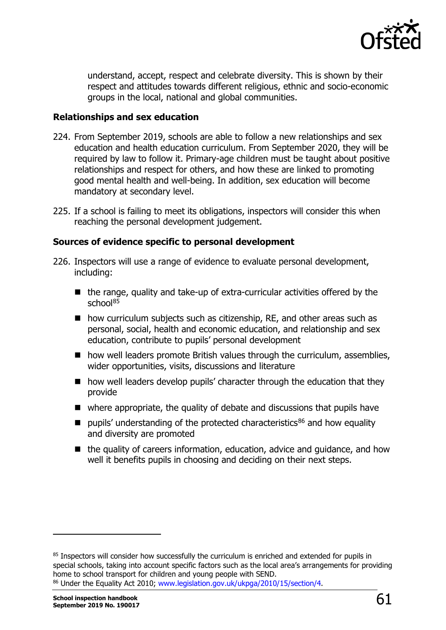

understand, accept, respect and celebrate diversity. This is shown by their respect and attitudes towards different religious, ethnic and socio-economic groups in the local, national and global communities.

#### **Relationships and sex education**

- 224. From September 2019, schools are able to follow a new relationships and sex education and health education curriculum. From September 2020, they will be required by law to follow it. Primary-age children must be taught about positive relationships and respect for others, and how these are linked to promoting good mental health and well-being. In addition, sex education will become mandatory at secondary level.
- 225. If a school is failing to meet its obligations, inspectors will consider this when reaching the personal development judgement.

#### **Sources of evidence specific to personal development**

- 226. Inspectors will use a range of evidence to evaluate personal development, including:
	- $\blacksquare$  the range, quality and take-up of extra-curricular activities offered by the school<sup>[85](#page-60-0)</sup>
	- how curriculum subjects such as citizenship, RE, and other areas such as personal, social, health and economic education, and relationship and sex education, contribute to pupils' personal development
	- how well leaders promote British values through the curriculum, assemblies, wider opportunities, visits, discussions and literature
	- $\blacksquare$  how well leaders develop pupils' character through the education that they provide
	- where appropriate, the quality of debate and discussions that pupils have
	- pupils' understanding of the protected characteristics<sup>[86](#page-60-1)</sup> and how equality and diversity are promoted
	- $\blacksquare$  the quality of careers information, education, advice and quidance, and how well it benefits pupils in choosing and deciding on their next steps.

<span id="page-60-1"></span>**School inspection handbook** School inspection handbook  $\overline{61}$ 

1

<span id="page-60-0"></span><sup>&</sup>lt;sup>85</sup> Inspectors will consider how successfully the curriculum is enriched and extended for pupils in special schools, taking into account specific factors such as the local area's arrangements for providing home to school transport for children and young people with SEND. 86 Under the Equality Act 2010; [www.legislation.gov.uk/ukpga/2010/15/section/4.](http://www.legislation.gov.uk/ukpga/2010/15/section/4)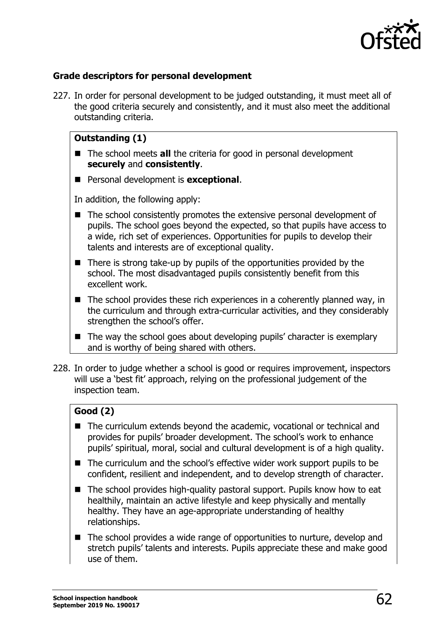

# **Grade descriptors for personal development**

227. In order for personal development to be judged outstanding, it must meet all of the good criteria securely and consistently, and it must also meet the additional outstanding criteria.

# **Outstanding (1)**

- The school meets **all** the criteria for good in personal development **securely** and **consistently**.
- **Personal development is exceptional.**

In addition, the following apply:

- The school consistently promotes the extensive personal development of pupils. The school goes beyond the expected, so that pupils have access to a wide, rich set of experiences. Opportunities for pupils to develop their talents and interests are of exceptional quality.
- $\blacksquare$  There is strong take-up by pupils of the opportunities provided by the school. The most disadvantaged pupils consistently benefit from this excellent work.
- $\blacksquare$  The school provides these rich experiences in a coherently planned way, in the curriculum and through extra-curricular activities, and they considerably strengthen the school's offer.
- $\blacksquare$  The way the school goes about developing pupils' character is exemplary and is worthy of being shared with others.
- 228. In order to judge whether a school is good or requires improvement, inspectors will use a 'best fit' approach, relying on the professional judgement of the inspection team.

# **Good (2)**

- The curriculum extends beyond the academic, vocational or technical and provides for pupils' broader development. The school's work to enhance pupils' spiritual, moral, social and cultural development is of a high quality.
- The curriculum and the school's effective wider work support pupils to be confident, resilient and independent, and to develop strength of character.
- The school provides high-quality pastoral support. Pupils know how to eat healthily, maintain an active lifestyle and keep physically and mentally healthy. They have an age-appropriate understanding of healthy relationships.
- The school provides a wide range of opportunities to nurture, develop and stretch pupils' talents and interests. Pupils appreciate these and make good use of them.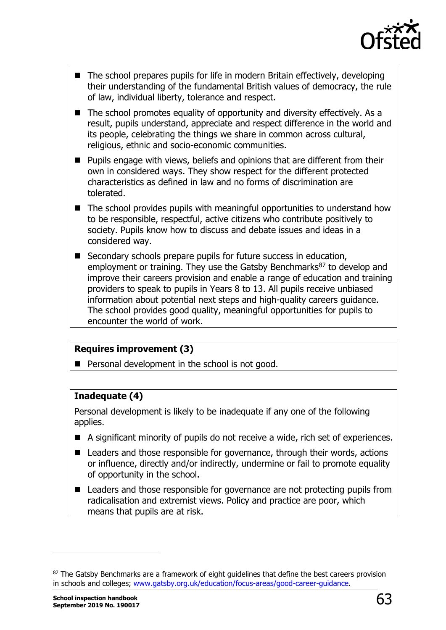

- $\blacksquare$  The school prepares pupils for life in modern Britain effectively, developing their understanding of the fundamental British values of democracy, the rule of law, individual liberty, tolerance and respect.
- $\blacksquare$  The school promotes equality of opportunity and diversity effectively. As a result, pupils understand, appreciate and respect difference in the world and its people, celebrating the things we share in common across cultural, religious, ethnic and socio-economic communities.
- **Pupils engage with views, beliefs and opinions that are different from their** own in considered ways. They show respect for the different protected characteristics as defined in law and no forms of discrimination are tolerated.
- The school provides pupils with meaningful opportunities to understand how to be responsible, respectful, active citizens who contribute positively to society. Pupils know how to discuss and debate issues and ideas in a considered way.
- Secondary schools prepare pupils for future success in education, employment or training. They use the Gatsby Benchmarks<sup>[87](#page-62-0)</sup> to develop and improve their careers provision and enable a range of education and training providers to speak to pupils in Years 8 to 13. All pupils receive unbiased information about potential next steps and high-quality careers guidance. The school provides good quality, meaningful opportunities for pupils to encounter the world of work.

#### **Requires improvement (3)**

**Personal development in the school is not good.** 

#### **Inadequate (4)**

Personal development is likely to be inadequate if any one of the following applies.

- A significant minority of pupils do not receive a wide, rich set of experiences.
- Leaders and those responsible for governance, through their words, actions or influence, directly and/or indirectly, undermine or fail to promote equality of opportunity in the school.
- Leaders and those responsible for governance are not protecting pupils from radicalisation and extremist views. Policy and practice are poor, which means that pupils are at risk.

<span id="page-62-0"></span><sup>87</sup> The Gatsby Benchmarks are a framework of eight guidelines that define the best careers provision in schools and colleges; [www.gatsby.org.uk/education/focus-areas/good-career-guidance.](http://www.gatsby.org.uk/education/focus-areas/good-career-guidance)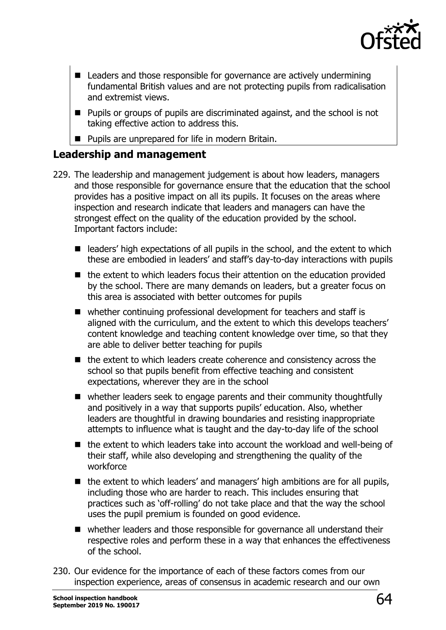

- Leaders and those responsible for governance are actively undermining fundamental British values and are not protecting pupils from radicalisation and extremist views.
- **Pupils or groups of pupils are discriminated against, and the school is not** taking effective action to address this.
- **Pupils are unprepared for life in modern Britain.**

# **Leadership and management**

- 229. The leadership and management judgement is about how leaders, managers and those responsible for governance ensure that the education that the school provides has a positive impact on all its pupils. It focuses on the areas where inspection and research indicate that leaders and managers can have the strongest effect on the quality of the education provided by the school. Important factors include:
	- $\blacksquare$  leaders' high expectations of all pupils in the school, and the extent to which these are embodied in leaders' and staff's day-to-day interactions with pupils
	- $\blacksquare$  the extent to which leaders focus their attention on the education provided by the school. There are many demands on leaders, but a greater focus on this area is associated with better outcomes for pupils
	- whether continuing professional development for teachers and staff is aligned with the curriculum, and the extent to which this develops teachers' content knowledge and teaching content knowledge over time, so that they are able to deliver better teaching for pupils
	- $\blacksquare$  the extent to which leaders create coherence and consistency across the school so that pupils benefit from effective teaching and consistent expectations, wherever they are in the school
	- whether leaders seek to engage parents and their community thoughtfully and positively in a way that supports pupils' education. Also, whether leaders are thoughtful in drawing boundaries and resisting inappropriate attempts to influence what is taught and the day-to-day life of the school
	- $\blacksquare$  the extent to which leaders take into account the workload and well-being of their staff, while also developing and strengthening the quality of the workforce
	- $\blacksquare$  the extent to which leaders' and managers' high ambitions are for all pupils, including those who are harder to reach. This includes ensuring that practices such as 'off-rolling' do not take place and that the way the school uses the pupil premium is founded on good evidence.
	- whether leaders and those responsible for governance all understand their respective roles and perform these in a way that enhances the effectiveness of the school.
- 230. Our evidence for the importance of each of these factors comes from our inspection experience, areas of consensus in academic research and our own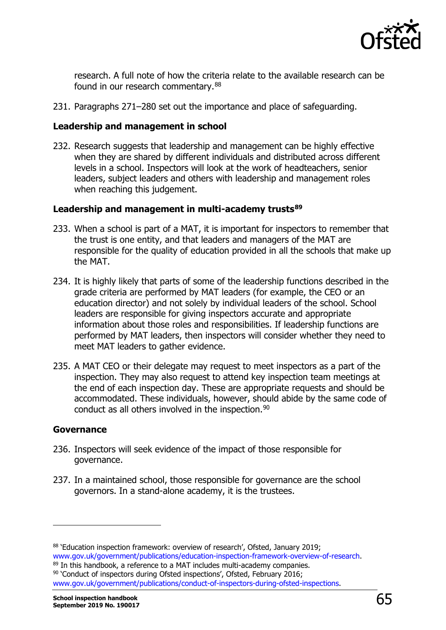

research. A full note of how the criteria relate to the available research can be found in our research commentary. [88](#page-64-0)

231. Paragraphs 271–280 set out the importance and place of safeguarding.

#### **Leadership and management in school**

232. Research suggests that leadership and management can be highly effective when they are shared by different individuals and distributed across different levels in a school. Inspectors will look at the work of headteachers, senior leaders, subject leaders and others with leadership and management roles when reaching this judgement.

#### **Leadership and management in multi-academy trusts[89](#page-64-1)**

- 233. When a school is part of a MAT, it is important for inspectors to remember that the trust is one entity, and that leaders and managers of the MAT are responsible for the quality of education provided in all the schools that make up the MAT.
- 234. It is highly likely that parts of some of the leadership functions described in the grade criteria are performed by MAT leaders (for example, the CEO or an education director) and not solely by individual leaders of the school. School leaders are responsible for giving inspectors accurate and appropriate information about those roles and responsibilities. If leadership functions are performed by MAT leaders, then inspectors will consider whether they need to meet MAT leaders to gather evidence.
- 235. A MAT CEO or their delegate may request to meet inspectors as a part of the inspection. They may also request to attend key inspection team meetings at the end of each inspection day. These are appropriate requests and should be accommodated. These individuals, however, should abide by the same code of conduct as all others involved in the inspection.<sup>[90](#page-64-2)</sup>

#### **Governance**

1

- 236. Inspectors will seek evidence of the impact of those responsible for governance.
- 237. In a maintained school, those responsible for governance are the school governors. In a stand-alone academy, it is the trustees.

<span id="page-64-0"></span><sup>&</sup>lt;sup>88</sup> 'Education inspection framework: overview of research', Ofsted, January 2019;<br>www.gov.uk/government/publications/education-inspection-framework-overview-of-research.

<span id="page-64-1"></span><sup>&</sup>lt;sup>89</sup> In this handbook, a reference to a MAT includes multi-academy companies. 90 'Conduct of inspectors during Ofsted inspections', Ofsted, February 2016;

<span id="page-64-2"></span>[www.gov.uk/government/publications/conduct-of-inspectors-during-ofsted-inspections.](http://www.gov.uk/government/publications/conduct-of-inspectors-during-ofsted-inspections)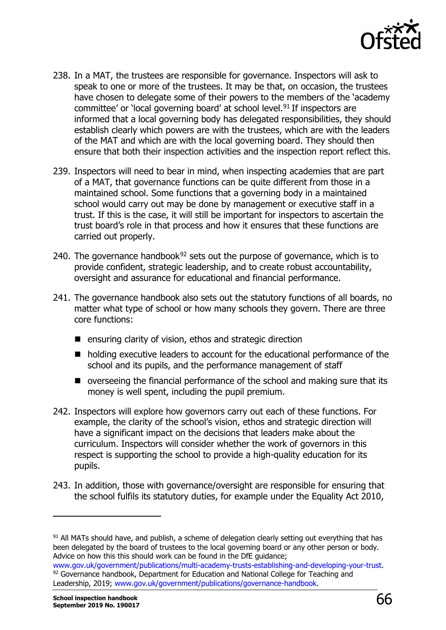

- 238. In a MAT, the trustees are responsible for governance. Inspectors will ask to speak to one or more of the trustees. It may be that, on occasion, the trustees have chosen to delegate some of their powers to the members of the 'academy committee' or 'local governing board' at school level.<sup>[91](#page-65-0)</sup> If inspectors are informed that a local governing body has delegated responsibilities, they should establish clearly which powers are with the trustees, which are with the leaders of the MAT and which are with the local governing board. They should then ensure that both their inspection activities and the inspection report reflect this.
- 239. Inspectors will need to bear in mind, when inspecting academies that are part of a MAT, that governance functions can be quite different from those in a maintained school. Some functions that a governing body in a maintained school would carry out may be done by management or executive staff in a trust. If this is the case, it will still be important for inspectors to ascertain the trust board's role in that process and how it ensures that these functions are carried out properly.
- 240. The governance handbook $92$  sets out the purpose of governance, which is to provide confident, strategic leadership, and to create robust accountability, oversight and assurance for educational and financial performance.
- 241. The governance handbook also sets out the statutory functions of all boards, no matter what type of school or how many schools they govern. There are three core functions:
	- $\blacksquare$  ensuring clarity of vision, ethos and strategic direction
	- holding executive leaders to account for the educational performance of the school and its pupils, and the performance management of staff
	- overseeing the financial performance of the school and making sure that its money is well spent, including the pupil premium.
- 242. Inspectors will explore how governors carry out each of these functions. For example, the clarity of the school's vision, ethos and strategic direction will have a significant impact on the decisions that leaders make about the curriculum. Inspectors will consider whether the work of governors in this respect is supporting the school to provide a high-quality education for its pupils.
- 243. In addition, those with governance/oversight are responsible for ensuring that the school fulfils its statutory duties, for example under the Equality Act 2010,

1

<span id="page-65-0"></span><sup>91</sup> All MATs should have, and publish, a scheme of delegation clearly setting out everything that has been delegated by the board of trustees to the local governing board or any other person or body. Advice on how this this should work can be found in the DfE guidance;<br>www.gov.uk/government/publications/multi-academy-trusts-establishing-and-developing-your-trust.

<span id="page-65-1"></span><sup>&</sup>lt;sup>92</sup> Governance handbook, Department for Education and National College for Teaching and Leadership, 2019; [www.gov.uk/government/publications/governance-handbook.](http://www.gov.uk/government/publications/governance-handbook)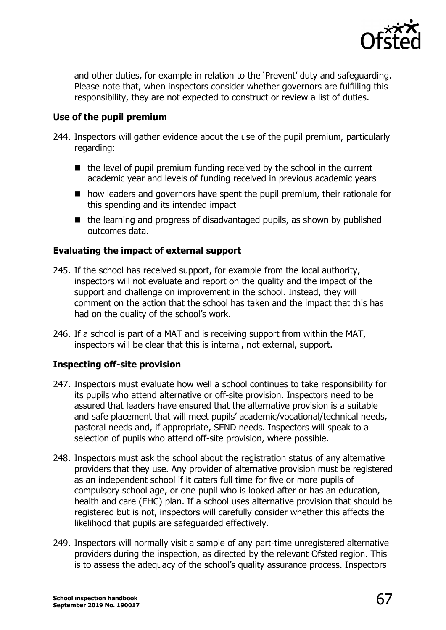

and other duties, for example in relation to the 'Prevent' duty and safeguarding. Please note that, when inspectors consider whether governors are fulfilling this responsibility, they are not expected to construct or review a list of duties.

### **Use of the pupil premium**

- 244. Inspectors will gather evidence about the use of the pupil premium, particularly regarding:
	- $\blacksquare$  the level of pupil premium funding received by the school in the current academic year and levels of funding received in previous academic years
	- how leaders and governors have spent the pupil premium, their rationale for this spending and its intended impact
	- $\blacksquare$  the learning and progress of disadvantaged pupils, as shown by published outcomes data.

# **Evaluating the impact of external support**

- 245. If the school has received support, for example from the local authority, inspectors will not evaluate and report on the quality and the impact of the support and challenge on improvement in the school. Instead, they will comment on the action that the school has taken and the impact that this has had on the quality of the school's work.
- 246. If a school is part of a MAT and is receiving support from within the MAT, inspectors will be clear that this is internal, not external, support.

# **Inspecting off-site provision**

- 247. Inspectors must evaluate how well a school continues to take responsibility for its pupils who attend alternative or off-site provision. Inspectors need to be assured that leaders have ensured that the alternative provision is a suitable and safe placement that will meet pupils' academic/vocational/technical needs, pastoral needs and, if appropriate, SEND needs. Inspectors will speak to a selection of pupils who attend off-site provision, where possible.
- 248. Inspectors must ask the school about the registration status of any alternative providers that they use. Any provider of alternative provision must be registered as an independent school if it caters full time for five or more pupils of compulsory school age, or one pupil who is looked after or has an education, health and care (EHC) plan. If a school uses alternative provision that should be registered but is not, inspectors will carefully consider whether this affects the likelihood that pupils are safeguarded effectively.
- 249. Inspectors will normally visit a sample of any part-time unregistered alternative providers during the inspection, as directed by the relevant Ofsted region. This is to assess the adequacy of the school's quality assurance process. Inspectors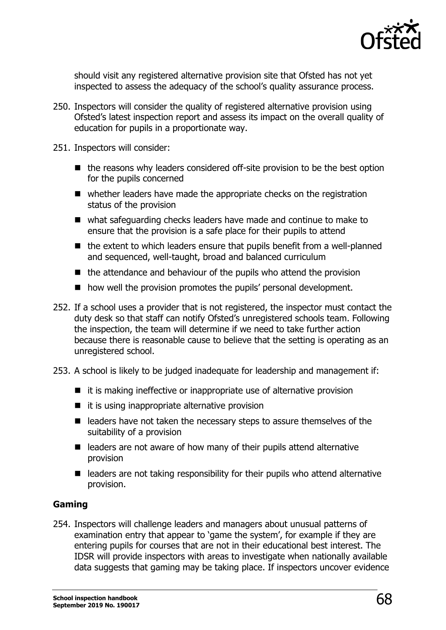

should visit any registered alternative provision site that Ofsted has not yet inspected to assess the adequacy of the school's quality assurance process.

- 250. Inspectors will consider the quality of registered alternative provision using Ofsted's latest inspection report and assess its impact on the overall quality of education for pupils in a proportionate way.
- 251. Inspectors will consider:
	- $\blacksquare$  the reasons why leaders considered off-site provision to be the best option for the pupils concerned
	- whether leaders have made the appropriate checks on the registration status of the provision
	- what safeguarding checks leaders have made and continue to make to ensure that the provision is a safe place for their pupils to attend
	- $\blacksquare$  the extent to which leaders ensure that pupils benefit from a well-planned and sequenced, well-taught, broad and balanced curriculum
	- $\blacksquare$  the attendance and behaviour of the pupils who attend the provision
	- how well the provision promotes the pupils' personal development.
- 252. If a school uses a provider that is not registered, the inspector must contact the duty desk so that staff can notify Ofsted's unregistered schools team. Following the inspection, the team will determine if we need to take further action because there is reasonable cause to believe that the setting is operating as an unregistered school.
- 253. A school is likely to be judged inadequate for leadership and management if:
	- $\blacksquare$  it is making ineffective or inappropriate use of alternative provision
	- $\blacksquare$  it is using inappropriate alternative provision
	- leaders have not taken the necessary steps to assure themselves of the suitability of a provision
	- $\blacksquare$  leaders are not aware of how many of their pupils attend alternative provision
	- $\blacksquare$  leaders are not taking responsibility for their pupils who attend alternative provision.

#### **Gaming**

254. Inspectors will challenge leaders and managers about unusual patterns of examination entry that appear to 'game the system', for example if they are entering pupils for courses that are not in their educational best interest. The IDSR will provide inspectors with areas to investigate when nationally available data suggests that gaming may be taking place. If inspectors uncover evidence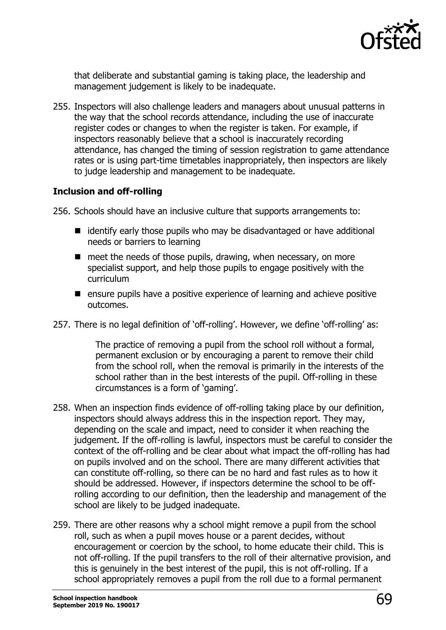

that deliberate and substantial gaming is taking place, the leadership and management judgement is likely to be inadequate.

255. Inspectors will also challenge leaders and managers about unusual patterns in the way that the school records attendance, including the use of inaccurate register codes or changes to when the register is taken. For example, if inspectors reasonably believe that a school is inaccurately recording attendance, has changed the timing of session registration to game attendance rates or is using part-time timetables inappropriately, then inspectors are likely to judge leadership and management to be inadequate.

#### **Inclusion and off-rolling**

256. Schools should have an inclusive culture that supports arrangements to:

- $\blacksquare$  identify early those pupils who may be disadvantaged or have additional needs or barriers to learning
- $\blacksquare$  meet the needs of those pupils, drawing, when necessary, on more specialist support, and help those pupils to engage positively with the curriculum
- $\blacksquare$  ensure pupils have a positive experience of learning and achieve positive outcomes.
- 257. There is no legal definition of 'off-rolling'. However, we define 'off-rolling' as:

The practice of removing a pupil from the school roll without a formal, permanent exclusion or by encouraging a parent to remove their child from the school roll, when the removal is primarily in the interests of the school rather than in the best interests of the pupil. Off-rolling in these circumstances is a form of 'gaming'.

- 258. When an inspection finds evidence of off-rolling taking place by our definition, inspectors should always address this in the inspection report. They may, depending on the scale and impact, need to consider it when reaching the judgement. If the off-rolling is lawful, inspectors must be careful to consider the context of the off-rolling and be clear about what impact the off-rolling has had on pupils involved and on the school. There are many different activities that can constitute off-rolling, so there can be no hard and fast rules as to how it should be addressed. However, if inspectors determine the school to be offrolling according to our definition, then the leadership and management of the school are likely to be judged inadequate.
- 259. There are other reasons why a school might remove a pupil from the school roll, such as when a pupil moves house or a parent decides, without encouragement or coercion by the school, to home educate their child. This is not off-rolling. If the pupil transfers to the roll of their alternative provision, and this is genuinely in the best interest of the pupil, this is not off-rolling. If a school appropriately removes a pupil from the roll due to a formal permanent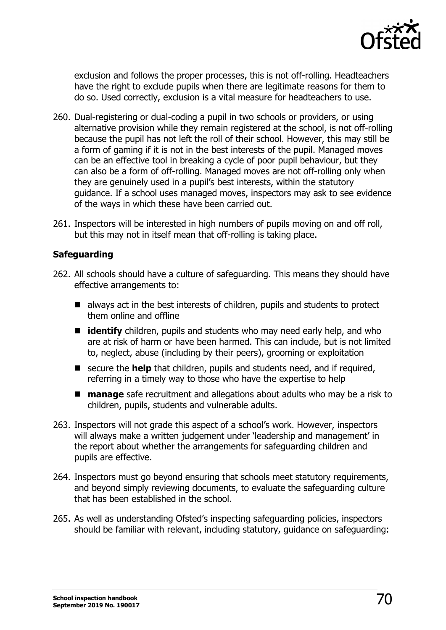

exclusion and follows the proper processes, this is not off-rolling. Headteachers have the right to exclude pupils when there are legitimate reasons for them to do so. Used correctly, exclusion is a vital measure for headteachers to use.

- 260. Dual-registering or dual-coding a pupil in two schools or providers, or using alternative provision while they remain registered at the school, is not off-rolling because the pupil has not left the roll of their school. However, this may still be a form of gaming if it is not in the best interests of the pupil. Managed moves can be an effective tool in breaking a cycle of poor pupil behaviour, but they can also be a form of off-rolling. Managed moves are not off-rolling only when they are genuinely used in a pupil's best interests, within the statutory guidance. If a school uses managed moves, inspectors may ask to see evidence of the ways in which these have been carried out.
- 261. Inspectors will be interested in high numbers of pupils moving on and off roll, but this may not in itself mean that off-rolling is taking place.

#### **Safeguarding**

- 262. All schools should have a culture of safeguarding. This means they should have effective arrangements to:
	- $\blacksquare$  always act in the best interests of children, pupils and students to protect them online and offline
	- **I** identify children, pupils and students who may need early help, and who are at risk of harm or have been harmed. This can include, but is not limited to, neglect, abuse (including by their peers), grooming or exploitation
	- secure the **help** that children, pupils and students need, and if required, referring in a timely way to those who have the expertise to help
	- **manage** safe recruitment and allegations about adults who may be a risk to children, pupils, students and vulnerable adults.
- 263. Inspectors will not grade this aspect of a school's work. However, inspectors will always make a written judgement under 'leadership and management' in the report about whether the arrangements for safeguarding children and pupils are effective.
- 264. Inspectors must go beyond ensuring that schools meet statutory requirements, and beyond simply reviewing documents, to evaluate the safeguarding culture that has been established in the school.
- 265. As well as understanding Ofsted's inspecting safeguarding policies, inspectors should be familiar with relevant, including statutory, guidance on safeguarding: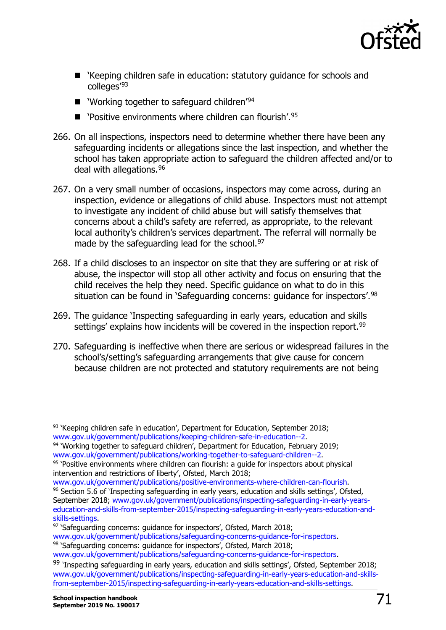

- 'Keeping children safe in education: statutory guidance for schools and colleges<sup>'[93](#page-70-0)</sup>
- $\blacksquare$  'Working together to safeguard children'<sup>[94](#page-70-1)</sup>
- $\blacksquare$  'Positive environments where children can flourish'.<sup>[95](#page-70-2)</sup>
- 266. On all inspections, inspectors need to determine whether there have been any safeguarding incidents or allegations since the last inspection, and whether the school has taken appropriate action to safeguard the children affected and/or to deal with allegations.[96](#page-70-3)
- 267. On a very small number of occasions, inspectors may come across, during an inspection, evidence or allegations of child abuse. Inspectors must not attempt to investigate any incident of child abuse but will satisfy themselves that concerns about a child's safety are referred, as appropriate, to the relevant local authority's children's services department. The referral will normally be made by the safeguarding lead for the school.<sup>[97](#page-70-4)</sup>
- 268. If a child discloses to an inspector on site that they are suffering or at risk of abuse, the inspector will stop all other activity and focus on ensuring that the child receives the help they need. Specific guidance on what to do in this situation can be found in 'Safeguarding concerns: quidance for inspectors'.<sup>[98](#page-70-5)</sup>
- 269. The guidance 'Inspecting safeguarding in early years, education and skills settings' explains how incidents will be covered in the inspection report.<sup>[99](#page-70-6)</sup>
- 270. Safeguarding is ineffective when there are serious or widespread failures in the school's/setting's safeguarding arrangements that give cause for concern because children are not protected and statutory requirements are not being

<span id="page-70-3"></span><sup>96</sup> Section 5.6 of 'Inspecting safeguarding in early years, education and skills settings', Ofsted, September 2018; [www.gov.uk/government/publications/inspecting-safeguarding-in-early-years](http://www.gov.uk/government/publications/inspecting-safeguarding-in-early-years-education-and-skills-from-september-2015/inspecting-safeguarding-in-early-years-education-and-skills-settings)[education-and-skills-from-september-2015/inspecting-safeguarding-in-early-years-education-and-](http://www.gov.uk/government/publications/inspecting-safeguarding-in-early-years-education-and-skills-from-september-2015/inspecting-safeguarding-in-early-years-education-and-skills-settings)

<span id="page-70-4"></span>[skills-settings.](http://www.gov.uk/government/publications/inspecting-safeguarding-in-early-years-education-and-skills-from-september-2015/inspecting-safeguarding-in-early-years-education-and-skills-settings)<br><sup>97</sup> 'Safeguarding concerns: guidance for inspectors', Ofsted, March 2018;<br>www.gov.uk/government/publications/safeguarding-concerns-guidance-for-inspectors.

1

<span id="page-70-0"></span><sup>&</sup>lt;sup>93</sup> 'Keeping children safe in education', Department for Education, September 2018;<br>www.gov.uk/government/publications/keeping-children-safe-in-education--2.

<span id="page-70-1"></span><sup>&</sup>lt;sup>94</sup> 'Working to gether to safeguard children', Department for Education, February 2019;<br>www.gov.uk/government/publications/working-together-to-safeguard-children--2.

<span id="page-70-2"></span> $95$  'Positive environments where children can flourish: a quide for inspectors about physical intervention and restrictions of liberty', Ofsted, March 2018;<br>www.gov.uk/government/publications/positive-environments-where-children-can-flourish.

<span id="page-70-5"></span><sup>&</sup>lt;sup>98</sup> 'Safeguarding-concerns: guidance-for-inspectors', Ofsted, March 2018;

[www.gov.uk/government/publications/safeguarding-concerns-guidance-for-inspectors.](http://www.gov.uk/government/publications/safeguarding-concerns-guidance-for-inspectors)

<span id="page-70-6"></span><sup>&</sup>lt;sup>99</sup> 'Inspecting safeguarding in early years, education and skills settings', Ofsted, September 2018; [www.gov.uk/government/publications/inspecting-safeguarding-in-early-years-education-and-skills](http://www.gov.uk/government/publications/inspecting-safeguarding-in-early-years-education-and-skills-from-september-2015/inspecting-safeguarding-in-early-years-education-and-skills-settings)[from-september-2015/inspecting-safeguarding-in-early-years-education-and-skills-settings.](http://www.gov.uk/government/publications/inspecting-safeguarding-in-early-years-education-and-skills-from-september-2015/inspecting-safeguarding-in-early-years-education-and-skills-settings)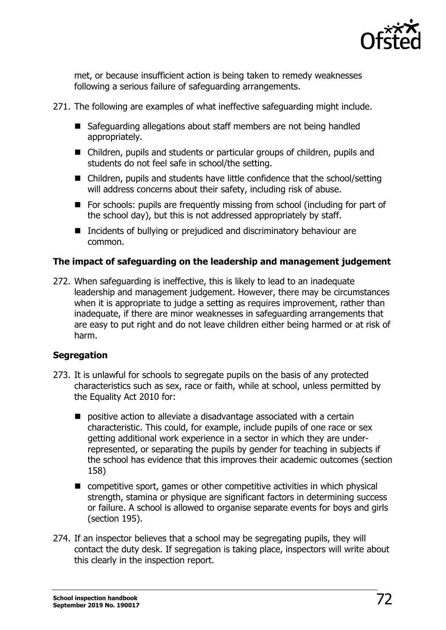

met, or because insufficient action is being taken to remedy weaknesses following a serious failure of safeguarding arrangements.

- 271. The following are examples of what ineffective safeguarding might include.
	- Safeguarding allegations about staff members are not being handled appropriately.
	- Children, pupils and students or particular groups of children, pupils and students do not feel safe in school/the setting.
	- Children, pupils and students have little confidence that the school/setting will address concerns about their safety, including risk of abuse.
	- For schools: pupils are frequently missing from school (including for part of the school day), but this is not addressed appropriately by staff.
	- Incidents of bullying or prejudiced and discriminatory behaviour are common.

# **The impact of safeguarding on the leadership and management judgement**

272. When safeguarding is ineffective, this is likely to lead to an inadequate leadership and management judgement. However, there may be circumstances when it is appropriate to judge a setting as requires improvement, rather than inadequate, if there are minor weaknesses in safeguarding arrangements that are easy to put right and do not leave children either being harmed or at risk of harm.

#### **Segregation**

- 273. It is unlawful for schools to segregate pupils on the basis of any protected characteristics such as sex, race or faith, while at school, unless permitted by the Equality Act 2010 for:
	- $\blacksquare$  positive action to alleviate a disadvantage associated with a certain characteristic. This could, for example, include pupils of one race or sex getting additional work experience in a sector in which they are underrepresented, or separating the pupils by gender for teaching in subjects if the school has evidence that this improves their academic outcomes (section 158)
	- competitive sport, games or other competitive activities in which physical strength, stamina or physique are significant factors in determining success or failure. A school is allowed to organise separate events for boys and girls (section 195).
- 274. If an inspector believes that a school may be segregating pupils, they will contact the duty desk. If segregation is taking place, inspectors will write about this clearly in the inspection report.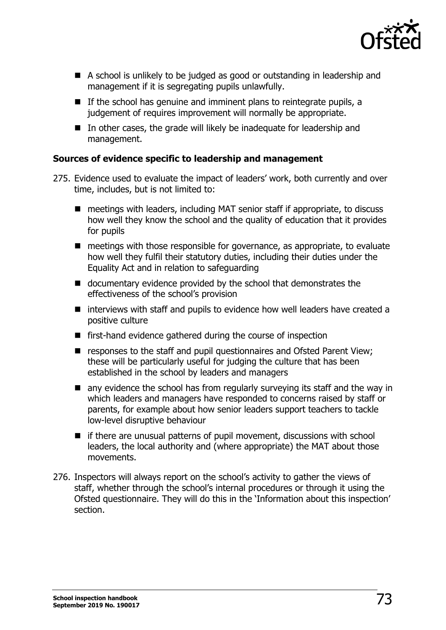

- A school is unlikely to be judged as good or outstanding in leadership and management if it is segregating pupils unlawfully.
- $\blacksquare$  If the school has genuine and imminent plans to reintegrate pupils, a judgement of requires improvement will normally be appropriate.
- $\blacksquare$  In other cases, the grade will likely be inadequate for leadership and management.

### **Sources of evidence specific to leadership and management**

- 275. Evidence used to evaluate the impact of leaders' work, both currently and over time, includes, but is not limited to:
	- meetings with leaders, including MAT senior staff if appropriate, to discuss how well they know the school and the quality of education that it provides for pupils
	- meetings with those responsible for governance, as appropriate, to evaluate how well they fulfil their statutory duties, including their duties under the Equality Act and in relation to safeguarding
	- documentary evidence provided by the school that demonstrates the effectiveness of the school's provision
	- $\blacksquare$  interviews with staff and pupils to evidence how well leaders have created a positive culture
	- first-hand evidence gathered during the course of inspection
	- responses to the staff and pupil questionnaires and Ofsted Parent View; these will be particularly useful for judging the culture that has been established in the school by leaders and managers
	- **E** any evidence the school has from regularly surveying its staff and the way in which leaders and managers have responded to concerns raised by staff or parents, for example about how senior leaders support teachers to tackle low-level disruptive behaviour
	- $\blacksquare$  if there are unusual patterns of pupil movement, discussions with school leaders, the local authority and (where appropriate) the MAT about those movements.
- 276. Inspectors will always report on the school's activity to gather the views of staff, whether through the school's internal procedures or through it using the Ofsted questionnaire. They will do this in the 'Information about this inspection' section.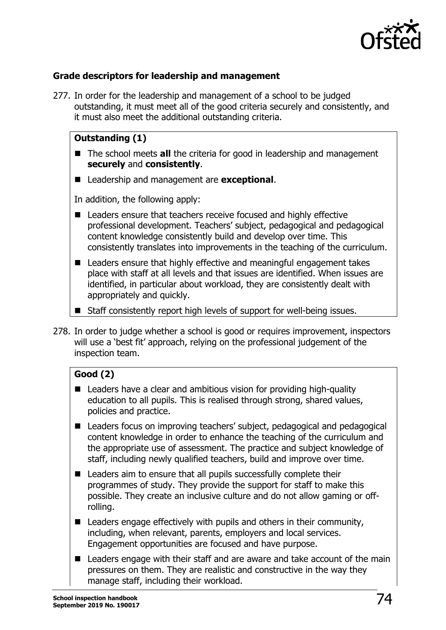

### **Grade descriptors for leadership and management**

277. In order for the leadership and management of a school to be judged outstanding, it must meet all of the good criteria securely and consistently, and it must also meet the additional outstanding criteria.

### **Outstanding (1)**

- The school meets **all** the criteria for good in leadership and management **securely** and **consistently**.
- Leadership and management are **exceptional**.

In addition, the following apply:

- Leaders ensure that teachers receive focused and highly effective professional development. Teachers' subject, pedagogical and pedagogical content knowledge consistently build and develop over time. This consistently translates into improvements in the teaching of the curriculum.
- Leaders ensure that highly effective and meaningful engagement takes place with staff at all levels and that issues are identified. When issues are identified, in particular about workload, they are consistently dealt with appropriately and quickly.
- Staff consistently report high levels of support for well-being issues.
- 278. In order to judge whether a school is good or requires improvement, inspectors will use a 'best fit' approach, relying on the professional judgement of the inspection team.

### **Good (2)**

- Leaders have a clear and ambitious vision for providing high-quality education to all pupils. This is realised through strong, shared values, policies and practice.
- Leaders focus on improving teachers' subject, pedagogical and pedagogical content knowledge in order to enhance the teaching of the curriculum and the appropriate use of assessment. The practice and subject knowledge of staff, including newly qualified teachers, build and improve over time.
- Leaders aim to ensure that all pupils successfully complete their programmes of study. They provide the support for staff to make this possible. They create an inclusive culture and do not allow gaming or offrolling.
- $\blacksquare$  Leaders engage effectively with pupils and others in their community, including, when relevant, parents, employers and local services. Engagement opportunities are focused and have purpose.
- Leaders engage with their staff and are aware and take account of the main pressures on them. They are realistic and constructive in the way they manage staff, including their workload.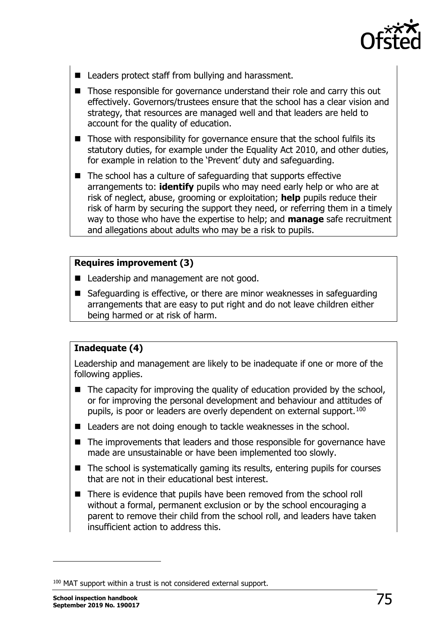

- Leaders protect staff from bullying and harassment.
- Those responsible for governance understand their role and carry this out effectively. Governors/trustees ensure that the school has a clear vision and strategy, that resources are managed well and that leaders are held to account for the quality of education.
- Those with responsibility for governance ensure that the school fulfils its statutory duties, for example under the Equality Act 2010, and other duties, for example in relation to the 'Prevent' duty and safeguarding.
- The school has a culture of safeguarding that supports effective arrangements to: **identify** pupils who may need early help or who are at risk of neglect, abuse, grooming or exploitation; **help** pupils reduce their risk of harm by securing the support they need, or referring them in a timely way to those who have the expertise to help; and **manage** safe recruitment and allegations about adults who may be a risk to pupils.

#### **Requires improvement (3)**

- Leadership and management are not good.
- Safeguarding is effective, or there are minor weaknesses in safeguarding arrangements that are easy to put right and do not leave children either being harmed or at risk of harm.

### **Inadequate (4)**

Leadership and management are likely to be inadequate if one or more of the following applies.

- $\blacksquare$  The capacity for improving the quality of education provided by the school, or for improving the personal development and behaviour and attitudes of pupils, is poor or leaders are overly dependent on external support.<sup>100</sup>
- Leaders are not doing enough to tackle weaknesses in the school.
- The improvements that leaders and those responsible for governance have made are unsustainable or have been implemented too slowly.
- $\blacksquare$  The school is systematically gaming its results, entering pupils for courses that are not in their educational best interest.
- There is evidence that pupils have been removed from the school roll without a formal, permanent exclusion or by the school encouraging a parent to remove their child from the school roll, and leaders have taken insufficient action to address this.

<span id="page-74-0"></span><sup>&</sup>lt;sup>100</sup> MAT support within a trust is not considered external support.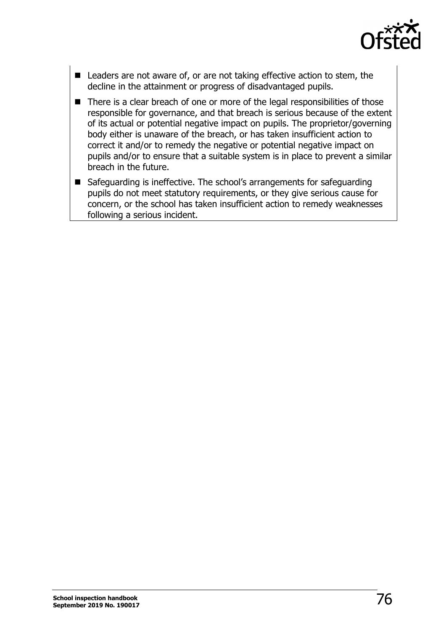

- Leaders are not aware of, or are not taking effective action to stem, the decline in the attainment or progress of disadvantaged pupils.
- There is a clear breach of one or more of the legal responsibilities of those responsible for governance, and that breach is serious because of the extent of its actual or potential negative impact on pupils. The proprietor/governing body either is unaware of the breach, or has taken insufficient action to correct it and/or to remedy the negative or potential negative impact on pupils and/or to ensure that a suitable system is in place to prevent a similar breach in the future.
- Safeguarding is ineffective. The school's arrangements for safeguarding pupils do not meet statutory requirements, or they give serious cause for concern, or the school has taken insufficient action to remedy weaknesses following a serious incident.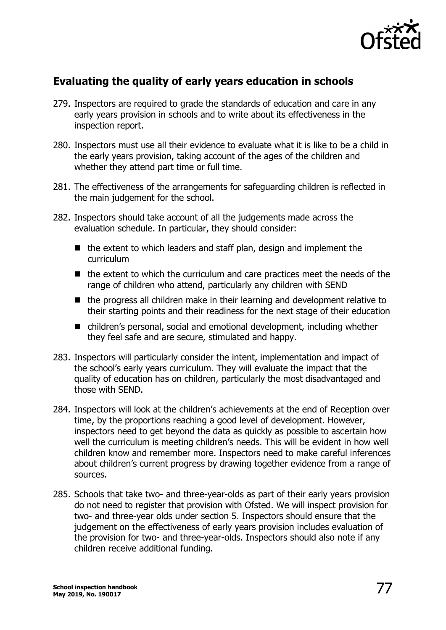

### **Evaluating the quality of early years education in schools**

- 279. Inspectors are required to grade the standards of education and care in any early years provision in schools and to write about its effectiveness in the inspection report.
- 280. Inspectors must use all their evidence to evaluate what it is like to be a child in the early years provision, taking account of the ages of the children and whether they attend part time or full time.
- 281. The effectiveness of the arrangements for safeguarding children is reflected in the main judgement for the school.
- 282. Inspectors should take account of all the judgements made across the evaluation schedule. In particular, they should consider:
	- $\blacksquare$  the extent to which leaders and staff plan, design and implement the curriculum
	- $\blacksquare$  the extent to which the curriculum and care practices meet the needs of the range of children who attend, particularly any children with SEND
	- $\blacksquare$  the progress all children make in their learning and development relative to their starting points and their readiness for the next stage of their education
	- children's personal, social and emotional development, including whether they feel safe and are secure, stimulated and happy.
- 283. Inspectors will particularly consider the intent, implementation and impact of the school's early years curriculum. They will evaluate the impact that the quality of education has on children, particularly the most disadvantaged and those with SEND.
- 284. Inspectors will look at the children's achievements at the end of Reception over time, by the proportions reaching a good level of development. However, inspectors need to get beyond the data as quickly as possible to ascertain how well the curriculum is meeting children's needs. This will be evident in how well children know and remember more. Inspectors need to make careful inferences about children's current progress by drawing together evidence from a range of sources.
- 285. Schools that take two- and three-year-olds as part of their early years provision do not need to register that provision with Ofsted. We will inspect provision for two- and three-year olds under section 5. Inspectors should ensure that the judgement on the effectiveness of early years provision includes evaluation of the provision for two- and three-year-olds. Inspectors should also note if any children receive additional funding.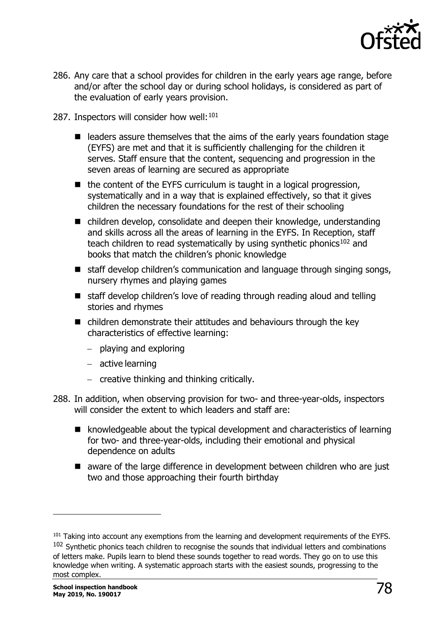

- 286. Any care that a school provides for children in the early years age range, before and/or after the school day or during school holidays, is considered as part of the evaluation of early years provision.
- 287. Inspectors will consider how well:  $101$ 
	- $\blacksquare$  leaders assure themselves that the aims of the early years foundation stage (EYFS) are met and that it is sufficiently challenging for the children it serves. Staff ensure that the content, sequencing and progression in the seven areas of learning are secured as appropriate
	- $\blacksquare$  the content of the EYFS curriculum is taught in a logical progression, systematically and in a way that is explained effectively, so that it gives children the necessary foundations for the rest of their schooling
	- children develop, consolidate and deepen their knowledge, understanding and skills across all the areas of learning in the EYFS. In Reception, staff teach children to read systematically by using synthetic phonics<sup>[102](#page-77-1)</sup> and books that match the children's phonic knowledge
	- staff develop children's communication and language through singing songs, nursery rhymes and playing games
	- staff develop children's love of reading through reading aloud and telling stories and rhymes
	- $\blacksquare$  children demonstrate their attitudes and behaviours through the key characteristics of effective learning:
		- − playing and exploring
		- − active learning
		- − creative thinking and thinking critically.
- 288. In addition, when observing provision for two- and three-year-olds, inspectors will consider the extent to which leaders and staff are:
	- knowledgeable about the typical development and characteristics of learning for two- and three-year-olds, including their emotional and physical dependence on adults
	- aware of the large difference in development between children who are just two and those approaching their fourth birthday

<span id="page-77-1"></span><span id="page-77-0"></span><sup>&</sup>lt;sup>101</sup> Taking into account any exemptions from the learning and development requirements of the EYFS.<br><sup>102</sup> Synthetic phonics teach children to recognise the sounds that individual letters and combinations of letters make. Pupils learn to blend these sounds together to read words. They go on to use this knowledge when writing. A systematic approach starts with the easiest sounds, progressing to the most complex.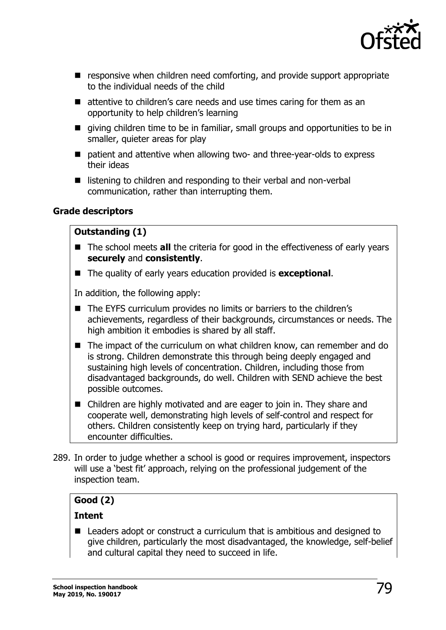

- **E** responsive when children need comforting, and provide support appropriate to the individual needs of the child
- attentive to children's care needs and use times caring for them as an opportunity to help children's learning
- qiving children time to be in familiar, small groups and opportunities to be in smaller, quieter areas for play
- patient and attentive when allowing two- and three-year-olds to express their ideas
- $\blacksquare$  listening to children and responding to their verbal and non-verbal communication, rather than interrupting them.

### **Grade descriptors**

### **Outstanding (1)**

- The school meets **all** the criteria for good in the effectiveness of early years **securely** and **consistently**.
- The quality of early years education provided is **exceptional**.

In addition, the following apply:

- The EYFS curriculum provides no limits or barriers to the children's achievements, regardless of their backgrounds, circumstances or needs. The high ambition it embodies is shared by all staff.
- The impact of the curriculum on what children know, can remember and do is strong. Children demonstrate this through being deeply engaged and sustaining high levels of concentration. Children, including those from disadvantaged backgrounds, do well. Children with SEND achieve the best possible outcomes.
- Children are highly motivated and are eager to join in. They share and cooperate well, demonstrating high levels of self-control and respect for others. Children consistently keep on trying hard, particularly if they encounter difficulties.
- 289. In order to judge whether a school is good or requires improvement, inspectors will use a 'best fit' approach, relying on the professional judgement of the inspection team.

### **Good (2)**

### **Intent**

■ Leaders adopt or construct a curriculum that is ambitious and designed to give children, particularly the most disadvantaged, the knowledge, self-belief and cultural capital they need to succeed in life.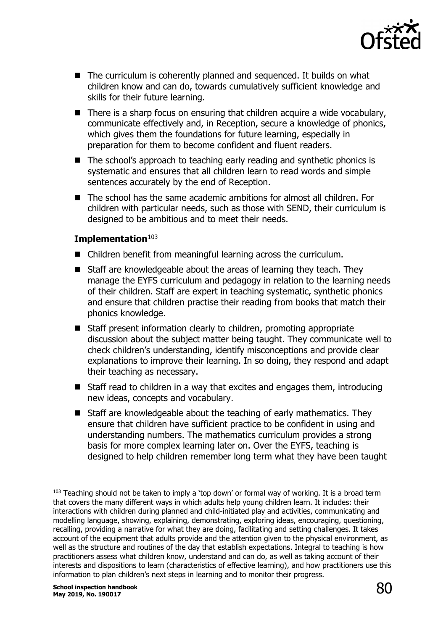

- $\blacksquare$  The curriculum is coherently planned and sequenced. It builds on what children know and can do, towards cumulatively sufficient knowledge and skills for their future learning.
- $\blacksquare$  There is a sharp focus on ensuring that children acquire a wide vocabulary, communicate effectively and, in Reception, secure a knowledge of phonics, which gives them the foundations for future learning, especially in preparation for them to become confident and fluent readers.
- The school's approach to teaching early reading and synthetic phonics is systematic and ensures that all children learn to read words and simple sentences accurately by the end of Reception.
- The school has the same academic ambitions for almost all children. For children with particular needs, such as those with SEND, their curriculum is designed to be ambitious and to meet their needs.

#### **Implementation**[103](#page-79-0)

- Children benefit from meaningful learning across the curriculum.
- $\blacksquare$  Staff are knowledgeable about the areas of learning they teach. They manage the EYFS curriculum and pedagogy in relation to the learning needs of their children. Staff are expert in teaching systematic, synthetic phonics and ensure that children practise their reading from books that match their phonics knowledge.
- Staff present information clearly to children, promoting appropriate discussion about the subject matter being taught. They communicate well to check children's understanding, identify misconceptions and provide clear explanations to improve their learning. In so doing, they respond and adapt their teaching as necessary.
- Staff read to children in a way that excites and engages them, introducing new ideas, concepts and vocabulary.
- Staff are knowledgeable about the teaching of early mathematics. They ensure that children have sufficient practice to be confident in using and understanding numbers. The mathematics curriculum provides a strong basis for more complex learning later on. Over the EYFS, teaching is designed to help children remember long term what they have been taught

<span id="page-79-0"></span> $103$  Teaching should not be taken to imply a 'top down' or formal way of working. It is a broad term that covers the many different ways in which adults help young children learn. It includes: their interactions with children during planned and child-initiated play and activities, communicating and modelling language, showing, explaining, demonstrating, exploring ideas, encouraging, questioning, recalling, providing a narrative for what they are doing, facilitating and setting challenges. It takes account of the equipment that adults provide and the attention given to the physical environment, as well as the structure and routines of the day that establish expectations. Integral to teaching is how practitioners assess what children know, understand and can do, as well as taking account of their interests and dispositions to learn (characteristics of effective learning), and how practitioners use this information to plan children's next steps in learning and to monitor their progress.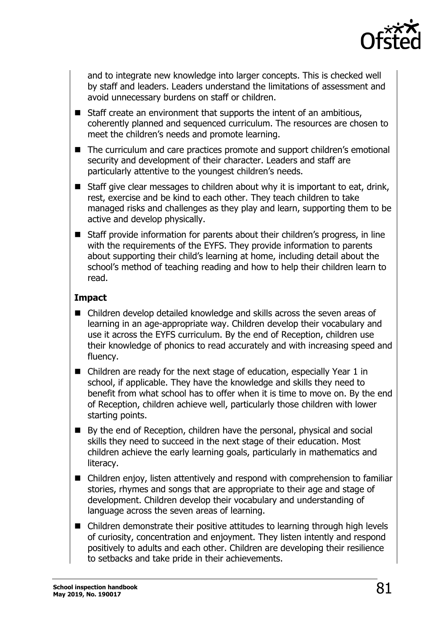

and to integrate new knowledge into larger concepts. This is checked well by staff and leaders. Leaders understand the limitations of assessment and avoid unnecessary burdens on staff or children.

- $\blacksquare$  Staff create an environment that supports the intent of an ambitious, coherently planned and sequenced curriculum. The resources are chosen to meet the children's needs and promote learning.
- The curriculum and care practices promote and support children's emotional security and development of their character. Leaders and staff are particularly attentive to the youngest children's needs.
- Staff give clear messages to children about why it is important to eat, drink, rest, exercise and be kind to each other. They teach children to take managed risks and challenges as they play and learn, supporting them to be active and develop physically.
- Staff provide information for parents about their children's progress, in line with the requirements of the EYFS. They provide information to parents about supporting their child's learning at home, including detail about the school's method of teaching reading and how to help their children learn to read.

### **Impact**

- Children develop detailed knowledge and skills across the seven areas of learning in an age-appropriate way. Children develop their vocabulary and use it across the EYFS curriculum. By the end of Reception, children use their knowledge of phonics to read accurately and with increasing speed and fluency.
- Children are ready for the next stage of education, especially Year 1 in school, if applicable. They have the knowledge and skills they need to benefit from what school has to offer when it is time to move on. By the end of Reception, children achieve well, particularly those children with lower starting points.
- By the end of Reception, children have the personal, physical and social skills they need to succeed in the next stage of their education. Most children achieve the early learning goals, particularly in mathematics and literacy.
- Children enjoy, listen attentively and respond with comprehension to familiar stories, rhymes and songs that are appropriate to their age and stage of development. Children develop their vocabulary and understanding of language across the seven areas of learning.
- Children demonstrate their positive attitudes to learning through high levels of curiosity, concentration and enjoyment. They listen intently and respond positively to adults and each other. Children are developing their resilience to setbacks and take pride in their achievements.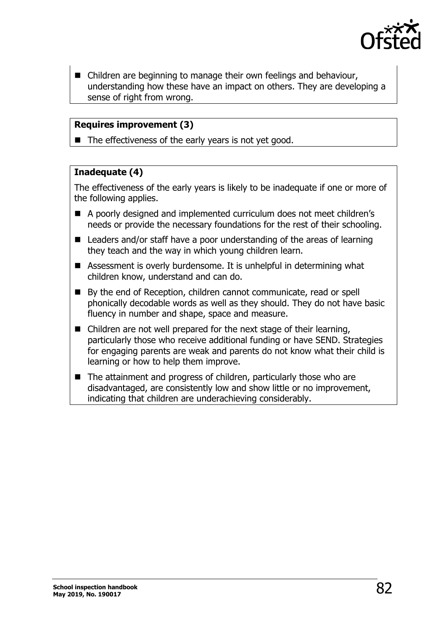

■ Children are beginning to manage their own feelings and behaviour, understanding how these have an impact on others. They are developing a sense of right from wrong.

### **Requires improvement (3)**

 $\blacksquare$  The effectiveness of the early years is not yet good.

### **Inadequate (4)**

The effectiveness of the early years is likely to be inadequate if one or more of the following applies.

- A poorly designed and implemented curriculum does not meet children's needs or provide the necessary foundations for the rest of their schooling.
- Leaders and/or staff have a poor understanding of the areas of learning they teach and the way in which young children learn.
- Assessment is overly burdensome. It is unhelpful in determining what children know, understand and can do.
- By the end of Reception, children cannot communicate, read or spell phonically decodable words as well as they should. They do not have basic fluency in number and shape, space and measure.
- Children are not well prepared for the next stage of their learning, particularly those who receive additional funding or have SEND. Strategies for engaging parents are weak and parents do not know what their child is learning or how to help them improve.
- $\blacksquare$  The attainment and progress of children, particularly those who are disadvantaged, are consistently low and show little or no improvement, indicating that children are underachieving considerably.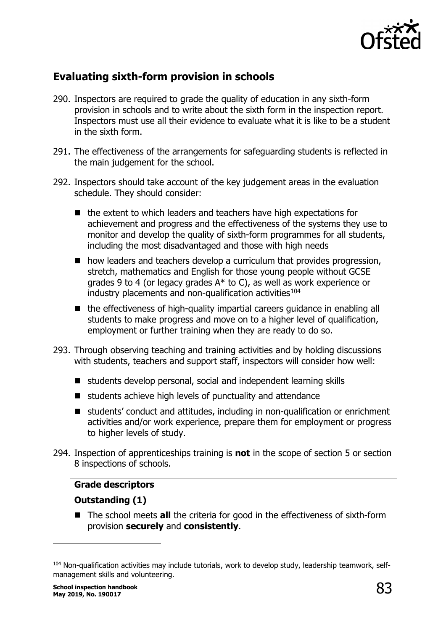

### **Evaluating sixth-form provision in schools**

- 290. Inspectors are required to grade the quality of education in any sixth-form provision in schools and to write about the sixth form in the inspection report. Inspectors must use all their evidence to evaluate what it is like to be a student in the sixth form.
- 291. The effectiveness of the arrangements for safeguarding students is reflected in the main judgement for the school.
- 292. Inspectors should take account of the key judgement areas in the evaluation schedule. They should consider:
	- $\blacksquare$  the extent to which leaders and teachers have high expectations for achievement and progress and the effectiveness of the systems they use to monitor and develop the quality of sixth-form programmes for all students, including the most disadvantaged and those with high needs
	- $\blacksquare$  how leaders and teachers develop a curriculum that provides progression, stretch, mathematics and English for those young people without GCSE grades 9 to 4 (or legacy grades A\* to C), as well as work experience or industry placements and non-qualification activities $104$
	- the effectiveness of high-quality impartial careers guidance in enabling all students to make progress and move on to a higher level of qualification, employment or further training when they are ready to do so.
- 293. Through observing teaching and training activities and by holding discussions with students, teachers and support staff, inspectors will consider how well:
	- students develop personal, social and independent learning skills
	- $\blacksquare$  students achieve high levels of punctuality and attendance
	- students' conduct and attitudes, including in non-qualification or enrichment activities and/or work experience, prepare them for employment or progress to higher levels of study.
- 294. Inspection of apprenticeships training is **not** in the scope of section 5 or section 8 inspections of schools.

### **Grade descriptors**

### **Outstanding (1)**

■ The school meets **all** the criteria for good in the effectiveness of sixth-form provision **securely** and **consistently**.

<span id="page-82-0"></span><sup>&</sup>lt;sup>104</sup> Non-qualification activities may include tutorials, work to develop study, leadership teamwork, selfmanagement skills and volunteering.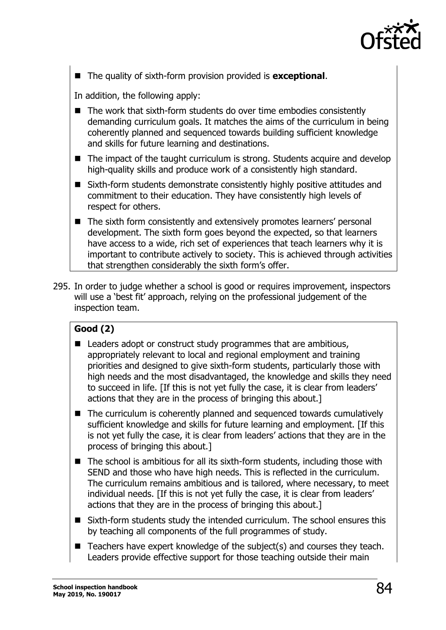

The quality of sixth-form provision provided is **exceptional**.

In addition, the following apply:

- The work that sixth-form students do over time embodies consistently demanding curriculum goals. It matches the aims of the curriculum in being coherently planned and sequenced towards building sufficient knowledge and skills for future learning and destinations.
- The impact of the taught curriculum is strong. Students acquire and develop high-quality skills and produce work of a consistently high standard.
- Sixth-form students demonstrate consistently highly positive attitudes and commitment to their education. They have consistently high levels of respect for others.
- The sixth form consistently and extensively promotes learners' personal development. The sixth form goes beyond the expected, so that learners have access to a wide, rich set of experiences that teach learners why it is important to contribute actively to society. This is achieved through activities that strengthen considerably the sixth form's offer.
- 295. In order to judge whether a school is good or requires improvement, inspectors will use a 'best fit' approach, relying on the professional judgement of the inspection team.

### **Good (2)**

- Leaders adopt or construct study programmes that are ambitious, appropriately relevant to local and regional employment and training priorities and designed to give sixth-form students, particularly those with high needs and the most disadvantaged, the knowledge and skills they need to succeed in life. [If this is not yet fully the case, it is clear from leaders' actions that they are in the process of bringing this about.]
- $\blacksquare$  The curriculum is coherently planned and sequenced towards cumulatively sufficient knowledge and skills for future learning and employment. [If this is not yet fully the case, it is clear from leaders' actions that they are in the process of bringing this about.]
- $\blacksquare$  The school is ambitious for all its sixth-form students, including those with SEND and those who have high needs. This is reflected in the curriculum. The curriculum remains ambitious and is tailored, where necessary, to meet individual needs. [If this is not yet fully the case, it is clear from leaders' actions that they are in the process of bringing this about.]
- Sixth-form students study the intended curriculum. The school ensures this by teaching all components of the full programmes of study.
- $\blacksquare$  Teachers have expert knowledge of the subject(s) and courses they teach. Leaders provide effective support for those teaching outside their main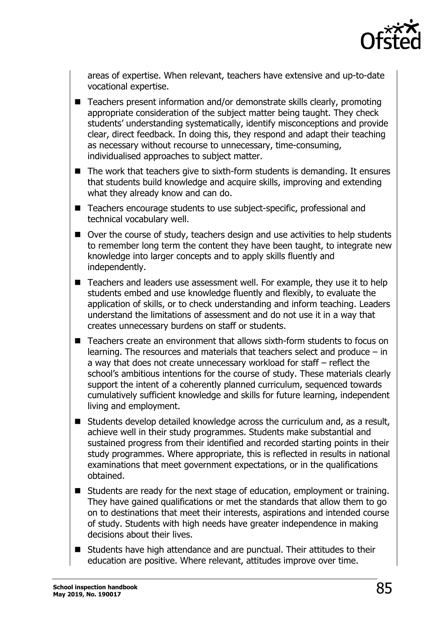

areas of expertise. When relevant, teachers have extensive and up-to-date vocational expertise.

- Teachers present information and/or demonstrate skills clearly, promoting appropriate consideration of the subject matter being taught. They check students' understanding systematically, identify misconceptions and provide clear, direct feedback. In doing this, they respond and adapt their teaching as necessary without recourse to unnecessary, time-consuming, individualised approaches to subject matter.
- $\blacksquare$  The work that teachers give to sixth-form students is demanding. It ensures that students build knowledge and acquire skills, improving and extending what they already know and can do.
- Teachers encourage students to use subject-specific, professional and technical vocabulary well.
- Over the course of study, teachers design and use activities to help students to remember long term the content they have been taught, to integrate new knowledge into larger concepts and to apply skills fluently and independently.
- Teachers and leaders use assessment well. For example, they use it to help students embed and use knowledge fluently and flexibly, to evaluate the application of skills, or to check understanding and inform teaching. Leaders understand the limitations of assessment and do not use it in a way that creates unnecessary burdens on staff or students.
- Teachers create an environment that allows sixth-form students to focus on learning. The resources and materials that teachers select and produce – in a way that does not create unnecessary workload for staff – reflect the school's ambitious intentions for the course of study. These materials clearly support the intent of a coherently planned curriculum, sequenced towards cumulatively sufficient knowledge and skills for future learning, independent living and employment.
- Students develop detailed knowledge across the curriculum and, as a result, achieve well in their study programmes. Students make substantial and sustained progress from their identified and recorded starting points in their study programmes. Where appropriate, this is reflected in results in national examinations that meet government expectations, or in the qualifications obtained.
- Students are ready for the next stage of education, employment or training. They have gained qualifications or met the standards that allow them to go on to destinations that meet their interests, aspirations and intended course of study. Students with high needs have greater independence in making decisions about their lives.
- Students have high attendance and are punctual. Their attitudes to their education are positive. Where relevant, attitudes improve over time.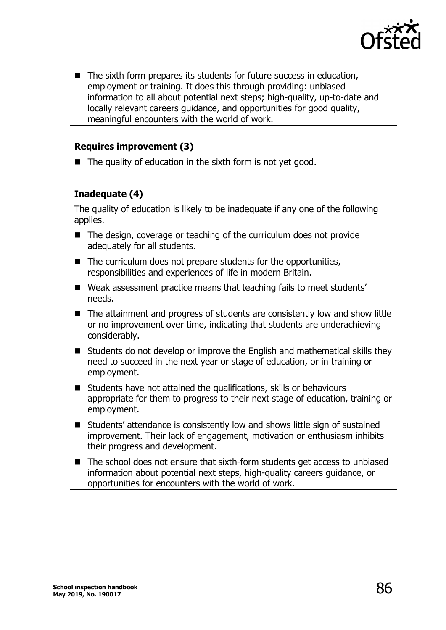

 $\blacksquare$  The sixth form prepares its students for future success in education, employment or training. It does this through providing: unbiased information to all about potential next steps; high-quality, up-to-date and locally relevant careers guidance, and opportunities for good quality, meaningful encounters with the world of work.

### **Requires improvement (3)**

 $\blacksquare$  The quality of education in the sixth form is not yet good.

### **Inadequate (4)**

The quality of education is likely to be inadequate if any one of the following applies.

- $\blacksquare$  The design, coverage or teaching of the curriculum does not provide adequately for all students.
- $\blacksquare$  The curriculum does not prepare students for the opportunities, responsibilities and experiences of life in modern Britain.
- Weak assessment practice means that teaching fails to meet students' needs.
- The attainment and progress of students are consistently low and show little or no improvement over time, indicating that students are underachieving considerably.
- Students do not develop or improve the English and mathematical skills they need to succeed in the next year or stage of education, or in training or employment.
- Students have not attained the qualifications, skills or behaviours appropriate for them to progress to their next stage of education, training or employment.
- Students' attendance is consistently low and shows little sign of sustained improvement. Their lack of engagement, motivation or enthusiasm inhibits their progress and development.
- The school does not ensure that sixth-form students get access to unbiased information about potential next steps, high-quality careers guidance, or opportunities for encounters with the world of work.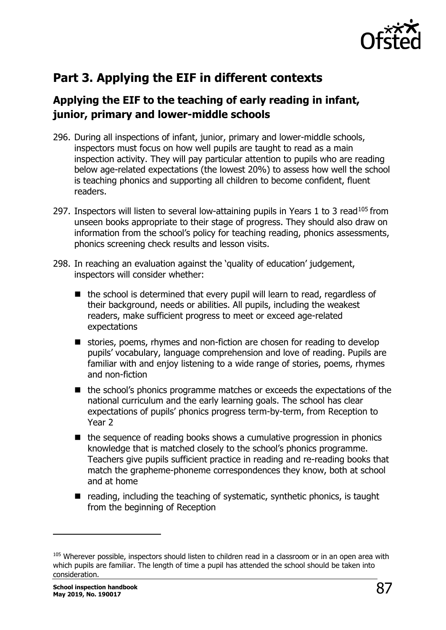

# **Part 3. Applying the EIF in different contexts**

# **Applying the EIF to the teaching of early reading in infant, junior, primary and lower-middle schools**

- 296. During all inspections of infant, junior, primary and lower-middle schools, inspectors must focus on how well pupils are taught to read as a main inspection activity. They will pay particular attention to pupils who are reading below age-related expectations (the lowest 20%) to assess how well the school is teaching phonics and supporting all children to become confident, fluent readers.
- 297. Inspectors will listen to several low-attaining pupils in Years 1 to 3 read<sup>[105](#page-86-0)</sup> from unseen books appropriate to their stage of progress. They should also draw on information from the school's policy for teaching reading, phonics assessments, phonics screening check results and lesson visits.
- 298. In reaching an evaluation against the 'quality of education' judgement, inspectors will consider whether:
	- $\blacksquare$  the school is determined that every pupil will learn to read, regardless of their background, needs or abilities. All pupils, including the weakest readers, make sufficient progress to meet or exceed age-related expectations
	- stories, poems, rhymes and non-fiction are chosen for reading to develop pupils' vocabulary, language comprehension and love of reading. Pupils are familiar with and enjoy listening to a wide range of stories, poems, rhymes and non-fiction
	- the school's phonics programme matches or exceeds the expectations of the national curriculum and the early learning goals. The school has clear expectations of pupils' phonics progress term-by-term, from Reception to Year 2
	- $\blacksquare$  the sequence of reading books shows a cumulative progression in phonics knowledge that is matched closely to the school's phonics programme. Teachers give pupils sufficient practice in reading and re-reading books that match the grapheme-phoneme correspondences they know, both at school and at home
	- $\blacksquare$  reading, including the teaching of systematic, synthetic phonics, is taught from the beginning of Reception

-

<span id="page-86-0"></span><sup>105</sup> Wherever possible, inspectors should listen to children read in a classroom or in an open area with which pupils are familiar. The length of time a pupil has attended the school should be taken into consideration.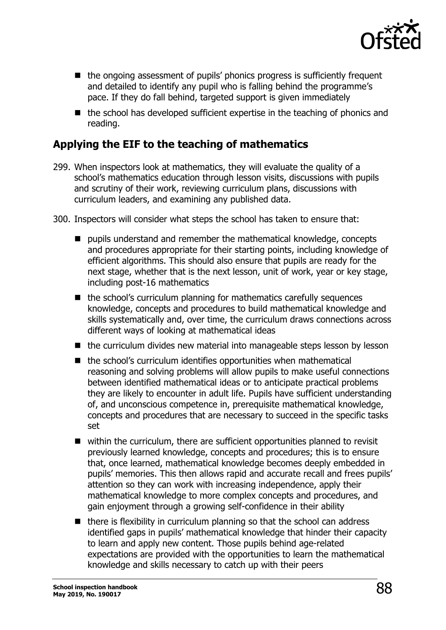

- the ongoing assessment of pupils' phonics progress is sufficiently frequent and detailed to identify any pupil who is falling behind the programme's pace. If they do fall behind, targeted support is given immediately
- $\blacksquare$  the school has developed sufficient expertise in the teaching of phonics and reading.

## **Applying the EIF to the teaching of mathematics**

- 299. When inspectors look at mathematics, they will evaluate the quality of a school's mathematics education through lesson visits, discussions with pupils and scrutiny of their work, reviewing curriculum plans, discussions with curriculum leaders, and examining any published data.
- 300. Inspectors will consider what steps the school has taken to ensure that:
	- $\blacksquare$  pupils understand and remember the mathematical knowledge, concepts and procedures appropriate for their starting points, including knowledge of efficient algorithms. This should also ensure that pupils are ready for the next stage, whether that is the next lesson, unit of work, year or key stage, including post-16 mathematics
	- $\blacksquare$  the school's curriculum planning for mathematics carefully sequences knowledge, concepts and procedures to build mathematical knowledge and skills systematically and, over time, the curriculum draws connections across different ways of looking at mathematical ideas
	- $\blacksquare$  the curriculum divides new material into manageable steps lesson by lesson
	- $\blacksquare$  the school's curriculum identifies opportunities when mathematical reasoning and solving problems will allow pupils to make useful connections between identified mathematical ideas or to anticipate practical problems they are likely to encounter in adult life. Pupils have sufficient understanding of, and unconscious competence in, prerequisite mathematical knowledge, concepts and procedures that are necessary to succeed in the specific tasks set
	- within the curriculum, there are sufficient opportunities planned to revisit previously learned knowledge, concepts and procedures; this is to ensure that, once learned, mathematical knowledge becomes deeply embedded in pupils' memories. This then allows rapid and accurate recall and frees pupils' attention so they can work with increasing independence, apply their mathematical knowledge to more complex concepts and procedures, and gain enjoyment through a growing self-confidence in their ability
	- $\blacksquare$  there is flexibility in curriculum planning so that the school can address identified gaps in pupils' mathematical knowledge that hinder their capacity to learn and apply new content. Those pupils behind age-related expectations are provided with the opportunities to learn the mathematical knowledge and skills necessary to catch up with their peers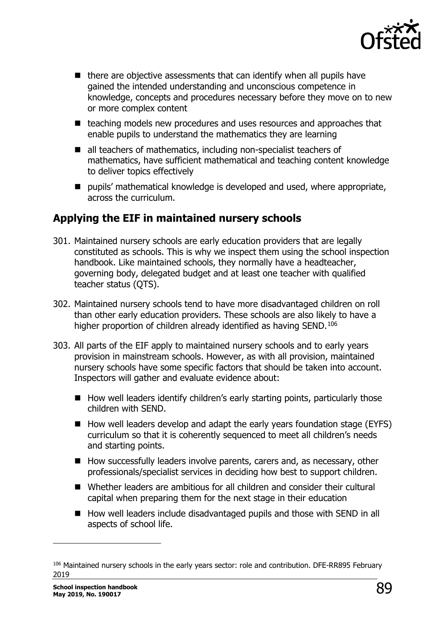

- $\blacksquare$  there are objective assessments that can identify when all pupils have gained the intended understanding and unconscious competence in knowledge, concepts and procedures necessary before they move on to new or more complex content
- teaching models new procedures and uses resources and approaches that enable pupils to understand the mathematics they are learning
- all teachers of mathematics, including non-specialist teachers of mathematics, have sufficient mathematical and teaching content knowledge to deliver topics effectively
- pupils' mathematical knowledge is developed and used, where appropriate, across the curriculum.

# **Applying the EIF in maintained nursery schools**

- 301. Maintained nursery schools are early education providers that are legally constituted as schools. This is why we inspect them using the school inspection handbook. Like maintained schools, they normally have a headteacher, governing body, delegated budget and at least one teacher with qualified teacher status (QTS).
- 302. Maintained nursery schools tend to have more disadvantaged children on roll than other early education providers. These schools are also likely to have a higher proportion of children already identified as having SEND.<sup>[106](#page-88-0)</sup>
- 303. All parts of the EIF apply to maintained nursery schools and to early years provision in mainstream schools. However, as with all provision, maintained nursery schools have some specific factors that should be taken into account. Inspectors will gather and evaluate evidence about:
	- $\blacksquare$  How well leaders identify children's early starting points, particularly those children with SEND.
	- How well leaders develop and adapt the early years foundation stage (EYFS) curriculum so that it is coherently sequenced to meet all children's needs and starting points.
	- $\blacksquare$  How successfully leaders involve parents, carers and, as necessary, other professionals/specialist services in deciding how best to support children.
	- Whether leaders are ambitious for all children and consider their cultural capital when preparing them for the next stage in their education
	- How well leaders include disadvantaged pupils and those with SEND in all aspects of school life.

<span id="page-88-0"></span><sup>106</sup> Maintained nursery schools in the early years sector: role and contribution. DFE-RR895 February 2019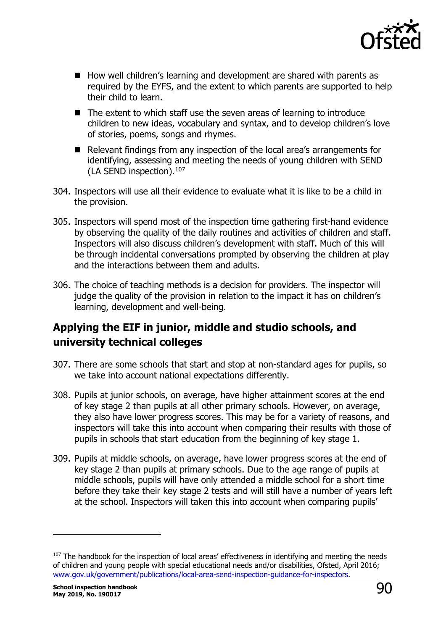

- How well children's learning and development are shared with parents as required by the EYFS, and the extent to which parents are supported to help their child to learn.
- The extent to which staff use the seven areas of learning to introduce children to new ideas, vocabulary and syntax, and to develop children's love of stories, poems, songs and rhymes.
- Relevant findings from any inspection of the local area's arrangements for identifying, assessing and meeting the needs of young children with SEND (LA SEND inspection).<sup>[107](#page-89-0)</sup>
- 304. Inspectors will use all their evidence to evaluate what it is like to be a child in the provision.
- 305. Inspectors will spend most of the inspection time gathering first-hand evidence by observing the quality of the daily routines and activities of children and staff. Inspectors will also discuss children's development with staff. Much of this will be through incidental conversations prompted by observing the children at play and the interactions between them and adults.
- 306. The choice of teaching methods is a decision for providers. The inspector will judge the quality of the provision in relation to the impact it has on children's learning, development and well-being.

# **Applying the EIF in junior, middle and studio schools, and university technical colleges**

- 307. There are some schools that start and stop at non-standard ages for pupils, so we take into account national expectations differently.
- 308. Pupils at junior schools, on average, have higher attainment scores at the end of key stage 2 than pupils at all other primary schools. However, on average, they also have lower progress scores. This may be for a variety of reasons, and inspectors will take this into account when comparing their results with those of pupils in schools that start education from the beginning of key stage 1.
- 309. Pupils at middle schools, on average, have lower progress scores at the end of key stage 2 than pupils at primary schools. Due to the age range of pupils at middle schools, pupils will have only attended a middle school for a short time before they take their key stage 2 tests and will still have a number of years left at the school. Inspectors will taken this into account when comparing pupils'

-

<span id="page-89-0"></span><sup>&</sup>lt;sup>107</sup> The handbook for the inspection of local areas' effectiveness in identifying and meeting the needs of children and young people with special educational needs and/or disabilities, Ofsted, April 2016; [www.gov.uk/government/publications/local-area-send-inspection-guidance-for-inspectors.](http://www.gov.uk/government/publications/local-area-send-inspection-guidance-for-inspectors)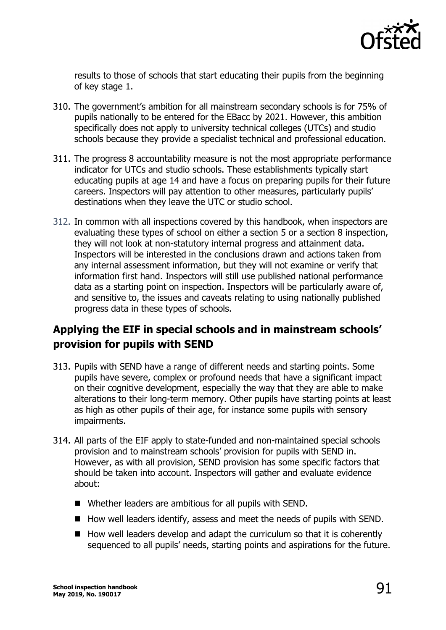

results to those of schools that start educating their pupils from the beginning of key stage 1.

- 310. The government's ambition for all mainstream secondary schools is for 75% of pupils nationally to be entered for the EBacc by 2021. However, this ambition specifically does not apply to university technical colleges (UTCs) and studio schools because they provide a specialist technical and professional education.
- 311. The progress 8 accountability measure is not the most appropriate performance indicator for UTCs and studio schools. These establishments typically start educating pupils at age 14 and have a focus on preparing pupils for their future careers. Inspectors will pay attention to other measures, particularly pupils' destinations when they leave the UTC or studio school.
- 312. In common with all inspections covered by this handbook, when inspectors are evaluating these types of school on either a section 5 or a section 8 inspection, they will not look at non-statutory internal progress and attainment data. Inspectors will be interested in the conclusions drawn and actions taken from any internal assessment information, but they will not examine or verify that information first hand. Inspectors will still use published national performance data as a starting point on inspection. Inspectors will be particularly aware of, and sensitive to, the issues and caveats relating to using nationally published progress data in these types of schools.

# **Applying the EIF in special schools and in mainstream schools' provision for pupils with SEND**

- 313. Pupils with SEND have a range of different needs and starting points. Some pupils have severe, complex or profound needs that have a significant impact on their cognitive development, especially the way that they are able to make alterations to their long-term memory. Other pupils have starting points at least as high as other pupils of their age, for instance some pupils with sensory impairments.
- 314. All parts of the EIF apply to state-funded and non-maintained special schools provision and to mainstream schools' provision for pupils with SEND in. However, as with all provision, SEND provision has some specific factors that should be taken into account. Inspectors will gather and evaluate evidence about:
	- Whether leaders are ambitious for all pupils with SEND.
	- $\blacksquare$  How well leaders identify, assess and meet the needs of pupils with SEND.
	- $\blacksquare$  How well leaders develop and adapt the curriculum so that it is coherently sequenced to all pupils' needs, starting points and aspirations for the future.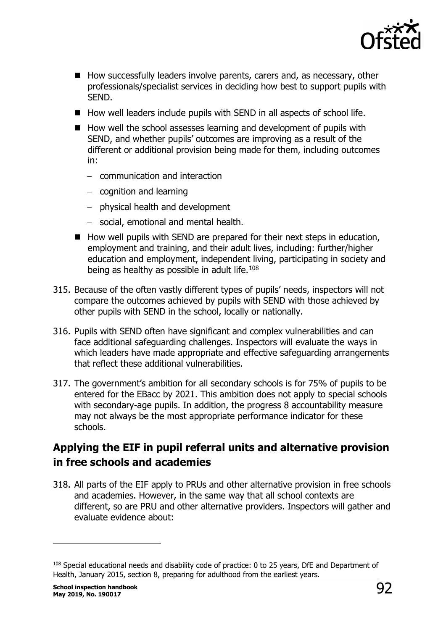

- How successfully leaders involve parents, carers and, as necessary, other professionals/specialist services in deciding how best to support pupils with SEND.
- $\blacksquare$  How well leaders include pupils with SEND in all aspects of school life.
- $\blacksquare$  How well the school assesses learning and development of pupils with SEND, and whether pupils' outcomes are improving as a result of the different or additional provision being made for them, including outcomes in:
	- − communication and interaction
	- − cognition and learning
	- − physical health and development
	- − social, emotional and mental health.
- $\blacksquare$  How well pupils with SEND are prepared for their next steps in education, employment and training, and their adult lives, including: further/higher education and employment, independent living, participating in society and being as healthy as possible in adult life. $108$
- 315. Because of the often vastly different types of pupils' needs, inspectors will not compare the outcomes achieved by pupils with SEND with those achieved by other pupils with SEND in the school, locally or nationally.
- 316. Pupils with SEND often have significant and complex vulnerabilities and can face additional safeguarding challenges. Inspectors will evaluate the ways in which leaders have made appropriate and effective safeguarding arrangements that reflect these additional vulnerabilities.
- 317. The government's ambition for all secondary schools is for 75% of pupils to be entered for the EBacc by 2021. This ambition does not apply to special schools with secondary-age pupils. In addition, the progress 8 accountability measure may not always be the most appropriate performance indicator for these schools.

# **Applying the EIF in pupil referral units and alternative provision in free schools and academies**

318. All parts of the EIF apply to PRUs and other alternative provision in free schools and academies. However, in the same way that all school contexts are different, so are PRU and other alternative providers. Inspectors will gather and evaluate evidence about:

<span id="page-91-0"></span><sup>&</sup>lt;sup>108</sup> Special educational needs and disability code of practice: 0 to 25 years, DfE and Department of Health, January 2015, section 8, preparing for adulthood from the earliest years.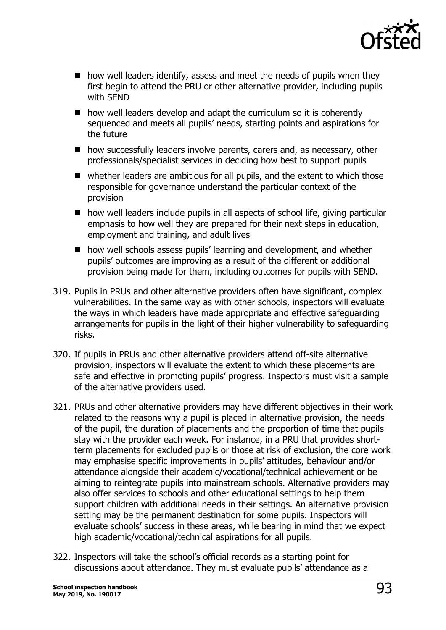

- $\blacksquare$  how well leaders identify, assess and meet the needs of pupils when they first begin to attend the PRU or other alternative provider, including pupils with SEND
- $\blacksquare$  how well leaders develop and adapt the curriculum so it is coherently sequenced and meets all pupils' needs, starting points and aspirations for the future
- how successfully leaders involve parents, carers and, as necessary, other professionals/specialist services in deciding how best to support pupils
- whether leaders are ambitious for all pupils, and the extent to which those responsible for governance understand the particular context of the provision
- $\blacksquare$  how well leaders include pupils in all aspects of school life, giving particular emphasis to how well they are prepared for their next steps in education, employment and training, and adult lives
- how well schools assess pupils' learning and development, and whether pupils' outcomes are improving as a result of the different or additional provision being made for them, including outcomes for pupils with SEND.
- 319. Pupils in PRUs and other alternative providers often have significant, complex vulnerabilities. In the same way as with other schools, inspectors will evaluate the ways in which leaders have made appropriate and effective safeguarding arrangements for pupils in the light of their higher vulnerability to safeguarding risks.
- 320. If pupils in PRUs and other alternative providers attend off-site alternative provision, inspectors will evaluate the extent to which these placements are safe and effective in promoting pupils' progress. Inspectors must visit a sample of the alternative providers used.
- 321. PRUs and other alternative providers may have different objectives in their work related to the reasons why a pupil is placed in alternative provision, the needs of the pupil, the duration of placements and the proportion of time that pupils stay with the provider each week. For instance, in a PRU that provides shortterm placements for excluded pupils or those at risk of exclusion, the core work may emphasise specific improvements in pupils' attitudes, behaviour and/or attendance alongside their academic/vocational/technical achievement or be aiming to reintegrate pupils into mainstream schools. Alternative providers may also offer services to schools and other educational settings to help them support children with additional needs in their settings. An alternative provision setting may be the permanent destination for some pupils. Inspectors will evaluate schools' success in these areas, while bearing in mind that we expect high academic/vocational/technical aspirations for all pupils.
- 322. Inspectors will take the school's official records as a starting point for discussions about attendance. They must evaluate pupils' attendance as a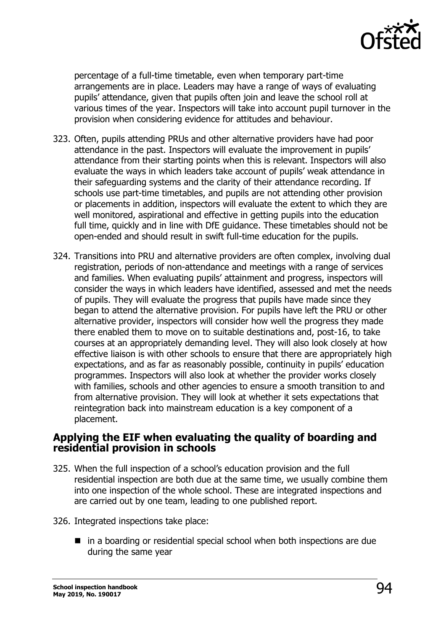

percentage of a full-time timetable, even when temporary part-time arrangements are in place. Leaders may have a range of ways of evaluating pupils' attendance, given that pupils often join and leave the school roll at various times of the year. Inspectors will take into account pupil turnover in the provision when considering evidence for attitudes and behaviour.

- 323. Often, pupils attending PRUs and other alternative providers have had poor attendance in the past. Inspectors will evaluate the improvement in pupils' attendance from their starting points when this is relevant. Inspectors will also evaluate the ways in which leaders take account of pupils' weak attendance in their safeguarding systems and the clarity of their attendance recording. If schools use part-time timetables, and pupils are not attending other provision or placements in addition, inspectors will evaluate the extent to which they are well monitored, aspirational and effective in getting pupils into the education full time, quickly and in line with DfE guidance. These timetables should not be open-ended and should result in swift full-time education for the pupils.
- 324. Transitions into PRU and alternative providers are often complex, involving dual registration, periods of non-attendance and meetings with a range of services and families. When evaluating pupils' attainment and progress, inspectors will consider the ways in which leaders have identified, assessed and met the needs of pupils. They will evaluate the progress that pupils have made since they began to attend the alternative provision. For pupils have left the PRU or other alternative provider, inspectors will consider how well the progress they made there enabled them to move on to suitable destinations and, post-16, to take courses at an appropriately demanding level. They will also look closely at how effective liaison is with other schools to ensure that there are appropriately high expectations, and as far as reasonably possible, continuity in pupils' education programmes. Inspectors will also look at whether the provider works closely with families, schools and other agencies to ensure a smooth transition to and from alternative provision. They will look at whether it sets expectations that reintegration back into mainstream education is a key component of a placement.

### **Applying the EIF when evaluating the quality of boarding and residential provision in schools**

- 325. When the full inspection of a school's education provision and the full residential inspection are both due at the same time, we usually combine them into one inspection of the whole school. These are integrated inspections and are carried out by one team, leading to one published report.
- 326. Integrated inspections take place:
	- $\blacksquare$  in a boarding or residential special school when both inspections are due during the same year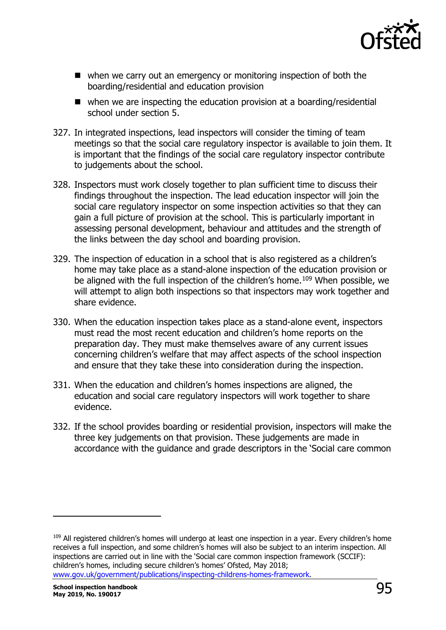

- when we carry out an emergency or monitoring inspection of both the boarding/residential and education provision
- $\blacksquare$  when we are inspecting the education provision at a boarding/residential school under section 5.
- 327. In integrated inspections, lead inspectors will consider the timing of team meetings so that the social care regulatory inspector is available to join them. It is important that the findings of the social care regulatory inspector contribute to judgements about the school.
- 328. Inspectors must work closely together to plan sufficient time to discuss their findings throughout the inspection. The lead education inspector will join the social care regulatory inspector on some inspection activities so that they can gain a full picture of provision at the school. This is particularly important in assessing personal development, behaviour and attitudes and the strength of the links between the day school and boarding provision.
- 329. The inspection of education in a school that is also registered as a children's home may take place as a stand-alone inspection of the education provision or be aligned with the full inspection of the children's home.<sup>[109](#page-94-0)</sup> When possible, we will attempt to align both inspections so that inspectors may work together and share evidence.
- 330. When the education inspection takes place as a stand-alone event, inspectors must read the most recent education and children's home reports on the preparation day. They must make themselves aware of any current issues concerning children's welfare that may affect aspects of the school inspection and ensure that they take these into consideration during the inspection.
- 331. When the education and children's homes inspections are aligned, the education and social care regulatory inspectors will work together to share evidence.
- 332. If the school provides boarding or residential provision, inspectors will make the three key judgements on that provision. These judgements are made in accordance with the guidance and grade descriptors in the 'Social care common

-

<span id="page-94-0"></span><sup>&</sup>lt;sup>109</sup> All registered children's homes will undergo at least one inspection in a year. Every children's home receives a full inspection, and some children's homes will also be subject to an interim inspection. All inspections are carried out in line with the 'Social care common inspection framework (SCCIF): children's homes, including secure children's homes' Ofsted, May 2018; [www.gov.uk/government/publications/inspecting-childrens-homes-framework.](http://www.gov.uk/government/publications/inspecting-childrens-homes-framework)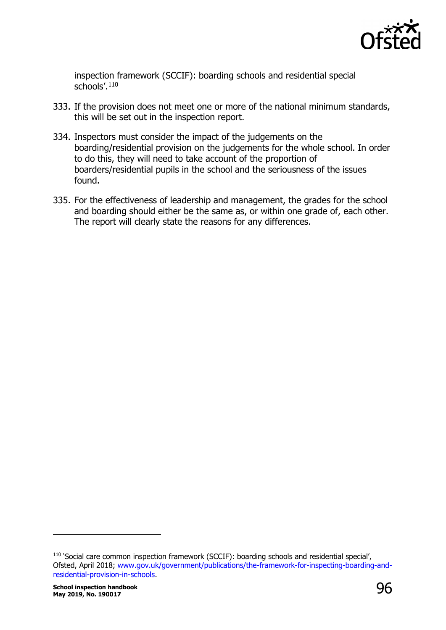

inspection framework (SCCIF): boarding schools and residential special schools'.[110](#page-95-0)

- 333. If the provision does not meet one or more of the national minimum standards, this will be set out in the inspection report.
- 334. Inspectors must consider the impact of the judgements on the boarding/residential provision on the judgements for the whole school. In order to do this, they will need to take account of the proportion of boarders/residential pupils in the school and the seriousness of the issues found.
- 335. For the effectiveness of leadership and management, the grades for the school and boarding should either be the same as, or within one grade of, each other. The report will clearly state the reasons for any differences.

-

<span id="page-95-0"></span><sup>&</sup>lt;sup>110</sup> 'Social care common inspection framework (SCCIF): boarding schools and residential special', Ofsted, April 2018; [www.gov.uk/government/publications/the-framework-for-inspecting-boarding-and](http://www.gov.uk/government/publications/the-framework-for-inspecting-boarding-and-residential-provision-in-schools)[residential-provision-in-schools](http://www.gov.uk/government/publications/the-framework-for-inspecting-boarding-and-residential-provision-in-schools).